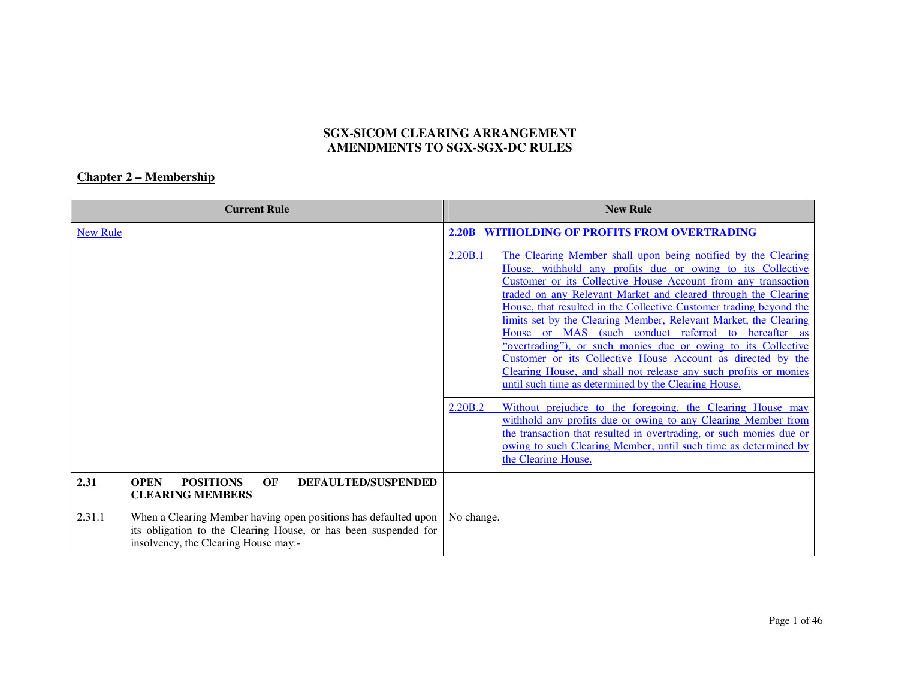## **SGX-SICOM CLEARING ARRANGEMENT AMENDMENTS TO SGX-SGX-DC RULES**

## **Chapter 2 – Membership**

|                 | <b>Current Rule</b>                                                                                                                                                        | <b>New Rule</b>                                                                                                                                                                                                                                                                                                                                                                                                                                                                                                                                                                                                                                                                                                                                     |
|-----------------|----------------------------------------------------------------------------------------------------------------------------------------------------------------------------|-----------------------------------------------------------------------------------------------------------------------------------------------------------------------------------------------------------------------------------------------------------------------------------------------------------------------------------------------------------------------------------------------------------------------------------------------------------------------------------------------------------------------------------------------------------------------------------------------------------------------------------------------------------------------------------------------------------------------------------------------------|
| <b>New Rule</b> |                                                                                                                                                                            | <b>2.20B WITHOLDING OF PROFITS FROM OVERTRADING</b>                                                                                                                                                                                                                                                                                                                                                                                                                                                                                                                                                                                                                                                                                                 |
|                 |                                                                                                                                                                            | 2.20B.1<br>The Clearing Member shall upon being notified by the Clearing<br>House, withhold any profits due or owing to its Collective<br>Customer or its Collective House Account from any transaction<br>traded on any Relevant Market and cleared through the Clearing<br>House, that resulted in the Collective Customer trading beyond the<br>limits set by the Clearing Member, Relevant Market, the Clearing<br>House or MAS (such conduct referred to<br>hereafter<br><b>as</b><br>"overtrading"), or such monies due or owing to its Collective<br>Customer or its Collective House Account as directed by the<br>Clearing House, and shall not release any such profits or monies<br>until such time as determined by the Clearing House. |
|                 |                                                                                                                                                                            | 2.20B.2<br>Without prejudice to the foregoing, the Clearing House may<br>withhold any profits due or owing to any Clearing Member from<br>the transaction that resulted in overtrading, or such monies due or<br>owing to such Clearing Member, until such time as determined by<br>the Clearing House.                                                                                                                                                                                                                                                                                                                                                                                                                                             |
| 2.31            | <b>OPEN</b><br><b>POSITIONS</b><br>OF<br><b>DEFAULTED/SUSPENDED</b><br><b>CLEARING MEMBERS</b>                                                                             |                                                                                                                                                                                                                                                                                                                                                                                                                                                                                                                                                                                                                                                                                                                                                     |
| 2.31.1          | When a Clearing Member having open positions has defaulted upon<br>its obligation to the Clearing House, or has been suspended for<br>insolvency, the Clearing House may:- | No change.                                                                                                                                                                                                                                                                                                                                                                                                                                                                                                                                                                                                                                                                                                                                          |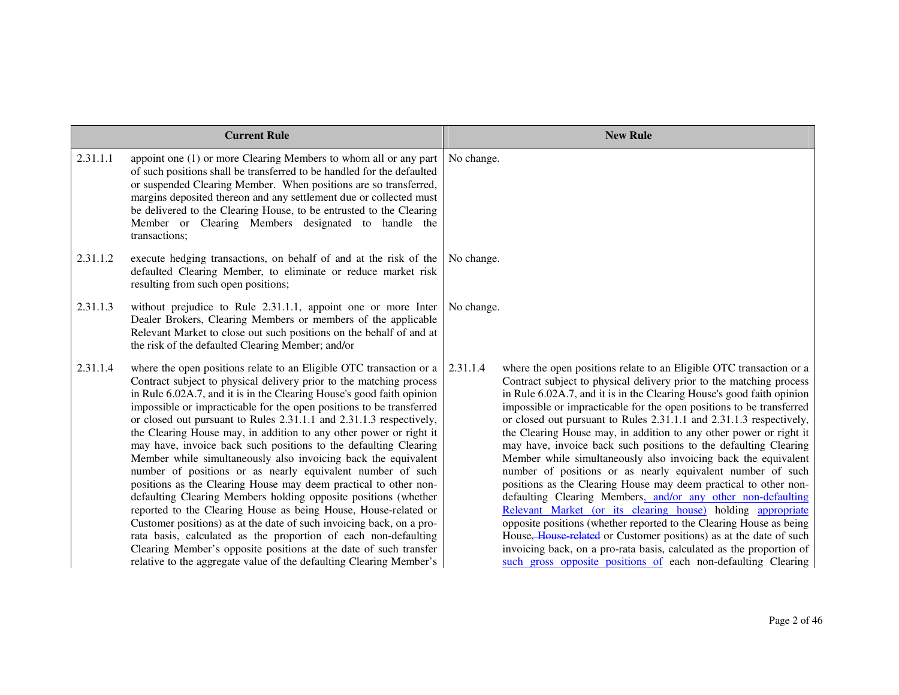| <b>Current Rule</b> |                                                                                                                                                                                                                                                                                                                                                                                                                                                                                                                                                                                                                                                                                                                                                                                                                                                                                                                                                                                                                                                                                                                                               | <b>New Rule</b>                                                                                                                                                                                                                                                                                                                                                                                                                                                                                                                                                                                                                                                                                                                                                                                                                                                                                                                                                                                                                                                                                                                                               |
|---------------------|-----------------------------------------------------------------------------------------------------------------------------------------------------------------------------------------------------------------------------------------------------------------------------------------------------------------------------------------------------------------------------------------------------------------------------------------------------------------------------------------------------------------------------------------------------------------------------------------------------------------------------------------------------------------------------------------------------------------------------------------------------------------------------------------------------------------------------------------------------------------------------------------------------------------------------------------------------------------------------------------------------------------------------------------------------------------------------------------------------------------------------------------------|---------------------------------------------------------------------------------------------------------------------------------------------------------------------------------------------------------------------------------------------------------------------------------------------------------------------------------------------------------------------------------------------------------------------------------------------------------------------------------------------------------------------------------------------------------------------------------------------------------------------------------------------------------------------------------------------------------------------------------------------------------------------------------------------------------------------------------------------------------------------------------------------------------------------------------------------------------------------------------------------------------------------------------------------------------------------------------------------------------------------------------------------------------------|
| 2.31.1.1            | appoint one (1) or more Clearing Members to whom all or any part<br>of such positions shall be transferred to be handled for the defaulted<br>or suspended Clearing Member. When positions are so transferred,<br>margins deposited thereon and any settlement due or collected must<br>be delivered to the Clearing House, to be entrusted to the Clearing<br>Member or Clearing Members designated to handle the<br>transactions;                                                                                                                                                                                                                                                                                                                                                                                                                                                                                                                                                                                                                                                                                                           | No change.                                                                                                                                                                                                                                                                                                                                                                                                                                                                                                                                                                                                                                                                                                                                                                                                                                                                                                                                                                                                                                                                                                                                                    |
| 2.31.1.2            | execute hedging transactions, on behalf of and at the risk of the<br>defaulted Clearing Member, to eliminate or reduce market risk<br>resulting from such open positions;                                                                                                                                                                                                                                                                                                                                                                                                                                                                                                                                                                                                                                                                                                                                                                                                                                                                                                                                                                     | No change.                                                                                                                                                                                                                                                                                                                                                                                                                                                                                                                                                                                                                                                                                                                                                                                                                                                                                                                                                                                                                                                                                                                                                    |
| 2.31.1.3            | without prejudice to Rule 2.31.1.1, appoint one or more Inter<br>Dealer Brokers, Clearing Members or members of the applicable<br>Relevant Market to close out such positions on the behalf of and at<br>the risk of the defaulted Clearing Member; and/or                                                                                                                                                                                                                                                                                                                                                                                                                                                                                                                                                                                                                                                                                                                                                                                                                                                                                    | No change.                                                                                                                                                                                                                                                                                                                                                                                                                                                                                                                                                                                                                                                                                                                                                                                                                                                                                                                                                                                                                                                                                                                                                    |
| 2.31.1.4            | where the open positions relate to an Eligible OTC transaction or a<br>Contract subject to physical delivery prior to the matching process<br>in Rule 6.02A.7, and it is in the Clearing House's good faith opinion<br>impossible or impracticable for the open positions to be transferred<br>or closed out pursuant to Rules 2.31.1.1 and 2.31.1.3 respectively,<br>the Clearing House may, in addition to any other power or right it<br>may have, invoice back such positions to the defaulting Clearing<br>Member while simultaneously also invoicing back the equivalent<br>number of positions or as nearly equivalent number of such<br>positions as the Clearing House may deem practical to other non-<br>defaulting Clearing Members holding opposite positions (whether<br>reported to the Clearing House as being House, House-related or<br>Customer positions) as at the date of such invoicing back, on a pro-<br>rata basis, calculated as the proportion of each non-defaulting<br>Clearing Member's opposite positions at the date of such transfer<br>relative to the aggregate value of the defaulting Clearing Member's | 2.31.1.4<br>where the open positions relate to an Eligible OTC transaction or a<br>Contract subject to physical delivery prior to the matching process<br>in Rule 6.02A.7, and it is in the Clearing House's good faith opinion<br>impossible or impracticable for the open positions to be transferred<br>or closed out pursuant to Rules 2.31.1.1 and 2.31.1.3 respectively,<br>the Clearing House may, in addition to any other power or right it<br>may have, invoice back such positions to the defaulting Clearing<br>Member while simultaneously also invoicing back the equivalent<br>number of positions or as nearly equivalent number of such<br>positions as the Clearing House may deem practical to other non-<br>defaulting Clearing Members, and/or any other non-defaulting<br>Relevant Market (or its clearing house) holding appropriate<br>opposite positions (whether reported to the Clearing House as being<br>House <del>, House related</del> or Customer positions) as at the date of such<br>invoicing back, on a pro-rata basis, calculated as the proportion of<br>such gross opposite positions of each non-defaulting Clearing |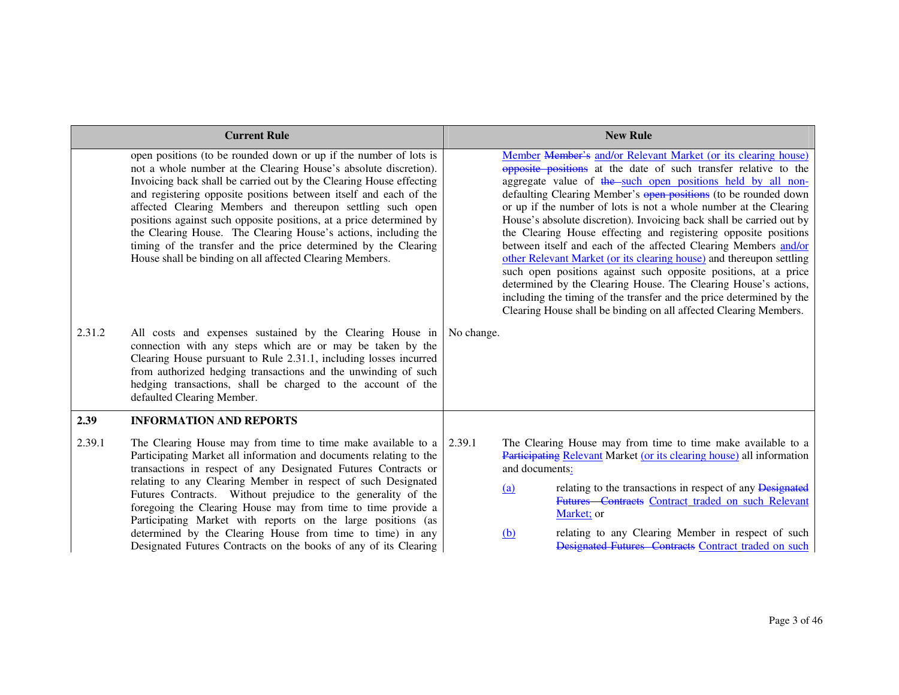|        | <b>Current Rule</b>                                                                                                                                                                                                                                                                                                                                                                                                                                                                                                                                                                                                      |            | <b>New Rule</b>                                                                                                                                                                                                                                                                                                                                                                                                                                                                                                                                                                                                                                                                                                                                                                                                                                                                                                   |
|--------|--------------------------------------------------------------------------------------------------------------------------------------------------------------------------------------------------------------------------------------------------------------------------------------------------------------------------------------------------------------------------------------------------------------------------------------------------------------------------------------------------------------------------------------------------------------------------------------------------------------------------|------------|-------------------------------------------------------------------------------------------------------------------------------------------------------------------------------------------------------------------------------------------------------------------------------------------------------------------------------------------------------------------------------------------------------------------------------------------------------------------------------------------------------------------------------------------------------------------------------------------------------------------------------------------------------------------------------------------------------------------------------------------------------------------------------------------------------------------------------------------------------------------------------------------------------------------|
|        | open positions (to be rounded down or up if the number of lots is<br>not a whole number at the Clearing House's absolute discretion).<br>Invoicing back shall be carried out by the Clearing House effecting<br>and registering opposite positions between itself and each of the<br>affected Clearing Members and thereupon settling such open<br>positions against such opposite positions, at a price determined by<br>the Clearing House. The Clearing House's actions, including the<br>timing of the transfer and the price determined by the Clearing<br>House shall be binding on all affected Clearing Members. |            | Member Member's and/or Relevant Market (or its clearing house)<br>opposite positions at the date of such transfer relative to the<br>aggregate value of the such open positions held by all non-<br>defaulting Clearing Member's open positions (to be rounded down<br>or up if the number of lots is not a whole number at the Clearing<br>House's absolute discretion). Invoicing back shall be carried out by<br>the Clearing House effecting and registering opposite positions<br>between itself and each of the affected Clearing Members and/or<br>other Relevant Market (or its clearing house) and thereupon settling<br>such open positions against such opposite positions, at a price<br>determined by the Clearing House. The Clearing House's actions,<br>including the timing of the transfer and the price determined by the<br>Clearing House shall be binding on all affected Clearing Members. |
| 2.31.2 | All costs and expenses sustained by the Clearing House in<br>connection with any steps which are or may be taken by the<br>Clearing House pursuant to Rule 2.31.1, including losses incurred<br>from authorized hedging transactions and the unwinding of such<br>hedging transactions, shall be charged to the account of the<br>defaulted Clearing Member.                                                                                                                                                                                                                                                             | No change. |                                                                                                                                                                                                                                                                                                                                                                                                                                                                                                                                                                                                                                                                                                                                                                                                                                                                                                                   |
| 2.39   | <b>INFORMATION AND REPORTS</b>                                                                                                                                                                                                                                                                                                                                                                                                                                                                                                                                                                                           |            |                                                                                                                                                                                                                                                                                                                                                                                                                                                                                                                                                                                                                                                                                                                                                                                                                                                                                                                   |
| 2.39.1 | The Clearing House may from time to time make available to a<br>Participating Market all information and documents relating to the<br>transactions in respect of any Designated Futures Contracts or<br>relating to any Clearing Member in respect of such Designated<br>Futures Contracts. Without prejudice to the generality of the<br>foregoing the Clearing House may from time to time provide a<br>Participating Market with reports on the large positions (as<br>determined by the Clearing House from time to time) in any<br>Designated Futures Contracts on the books of any of its Clearing                 | 2.39.1     | The Clearing House may from time to time make available to a<br>Participating Relevant Market (or its clearing house) all information<br>and documents:<br>relating to the transactions in respect of any Designated<br>(a)<br>Futures Contracts Contract traded on such Relevant<br>Market; or<br>relating to any Clearing Member in respect of such<br>(b)<br>Designated Futures Contracts Contract traded on such                                                                                                                                                                                                                                                                                                                                                                                                                                                                                              |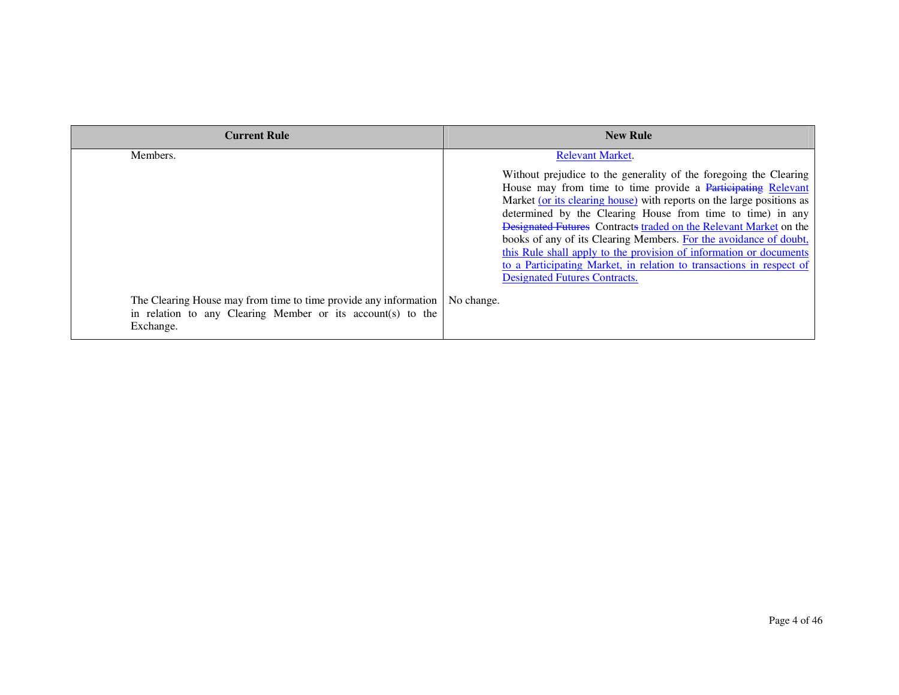| <b>Current Rule</b>                                                                                                                          | <b>New Rule</b>                                                                                                                                                                                                                                                                                                                                                                                                                                                                                                                                                                                          |
|----------------------------------------------------------------------------------------------------------------------------------------------|----------------------------------------------------------------------------------------------------------------------------------------------------------------------------------------------------------------------------------------------------------------------------------------------------------------------------------------------------------------------------------------------------------------------------------------------------------------------------------------------------------------------------------------------------------------------------------------------------------|
| Members.                                                                                                                                     | <b>Relevant Market.</b>                                                                                                                                                                                                                                                                                                                                                                                                                                                                                                                                                                                  |
|                                                                                                                                              | Without prejudice to the generality of the foregoing the Clearing<br>House may from time to time provide a Participating Relevant<br>Market (or its clearing house) with reports on the large positions as<br>determined by the Clearing House from time to time) in any<br>Designated Futures Contracts traded on the Relevant Market on the<br>books of any of its Clearing Members. For the avoidance of doubt,<br>this Rule shall apply to the provision of information or documents<br>to a Participating Market, in relation to transactions in respect of<br><b>Designated Futures Contracts.</b> |
| The Clearing House may from time to time provide any information<br>in relation to any Clearing Member or its account(s) to the<br>Exchange. | No change.                                                                                                                                                                                                                                                                                                                                                                                                                                                                                                                                                                                               |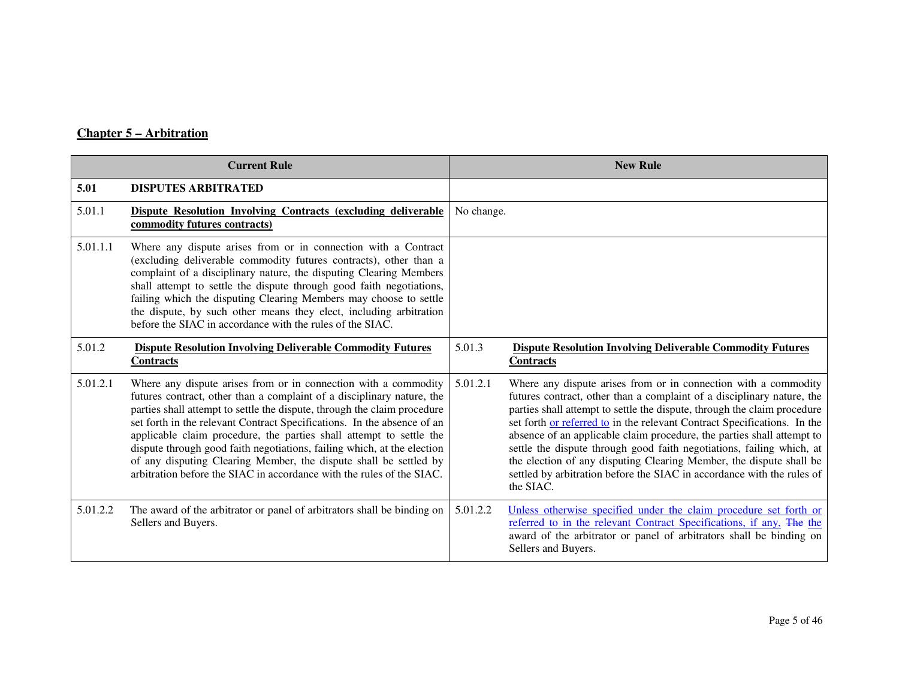## **Chapter 5 – Arbitration**

| <b>Current Rule</b> |                                                                                                                                                                                                                                                                                                                                                                                                                                                                                                                                                                                                  |            | <b>New Rule</b>                                                                                                                                                                                                                                                                                                                                                                                                                                                                                                                                                                                                    |
|---------------------|--------------------------------------------------------------------------------------------------------------------------------------------------------------------------------------------------------------------------------------------------------------------------------------------------------------------------------------------------------------------------------------------------------------------------------------------------------------------------------------------------------------------------------------------------------------------------------------------------|------------|--------------------------------------------------------------------------------------------------------------------------------------------------------------------------------------------------------------------------------------------------------------------------------------------------------------------------------------------------------------------------------------------------------------------------------------------------------------------------------------------------------------------------------------------------------------------------------------------------------------------|
| 5.01                | <b>DISPUTES ARBITRATED</b>                                                                                                                                                                                                                                                                                                                                                                                                                                                                                                                                                                       |            |                                                                                                                                                                                                                                                                                                                                                                                                                                                                                                                                                                                                                    |
| 5.01.1              | Dispute Resolution Involving Contracts (excluding deliverable<br>commodity futures contracts)                                                                                                                                                                                                                                                                                                                                                                                                                                                                                                    | No change. |                                                                                                                                                                                                                                                                                                                                                                                                                                                                                                                                                                                                                    |
| 5.01.1.1            | Where any dispute arises from or in connection with a Contract<br>(excluding deliverable commodity futures contracts), other than a<br>complaint of a disciplinary nature, the disputing Clearing Members<br>shall attempt to settle the dispute through good faith negotiations,<br>failing which the disputing Clearing Members may choose to settle<br>the dispute, by such other means they elect, including arbitration<br>before the SIAC in accordance with the rules of the SIAC.                                                                                                        |            |                                                                                                                                                                                                                                                                                                                                                                                                                                                                                                                                                                                                                    |
| 5.01.2              | <b>Dispute Resolution Involving Deliverable Commodity Futures</b><br><b>Contracts</b>                                                                                                                                                                                                                                                                                                                                                                                                                                                                                                            | 5.01.3     | <b>Dispute Resolution Involving Deliverable Commodity Futures</b><br><b>Contracts</b>                                                                                                                                                                                                                                                                                                                                                                                                                                                                                                                              |
| 5.01.2.1            | Where any dispute arises from or in connection with a commodity<br>futures contract, other than a complaint of a disciplinary nature, the<br>parties shall attempt to settle the dispute, through the claim procedure<br>set forth in the relevant Contract Specifications. In the absence of an<br>applicable claim procedure, the parties shall attempt to settle the<br>dispute through good faith negotiations, failing which, at the election<br>of any disputing Clearing Member, the dispute shall be settled by<br>arbitration before the SIAC in accordance with the rules of the SIAC. | 5.01.2.1   | Where any dispute arises from or in connection with a commodity<br>futures contract, other than a complaint of a disciplinary nature, the<br>parties shall attempt to settle the dispute, through the claim procedure<br>set forth or referred to in the relevant Contract Specifications. In the<br>absence of an applicable claim procedure, the parties shall attempt to<br>settle the dispute through good faith negotiations, failing which, at<br>the election of any disputing Clearing Member, the dispute shall be<br>settled by arbitration before the SIAC in accordance with the rules of<br>the SIAC. |
| 5.01.2.2            | The award of the arbitrator or panel of arbitrators shall be binding on<br>Sellers and Buyers.                                                                                                                                                                                                                                                                                                                                                                                                                                                                                                   | 5.01.2.2   | Unless otherwise specified under the claim procedure set forth or<br>referred to in the relevant Contract Specifications, if any, The the<br>award of the arbitrator or panel of arbitrators shall be binding on<br>Sellers and Buyers.                                                                                                                                                                                                                                                                                                                                                                            |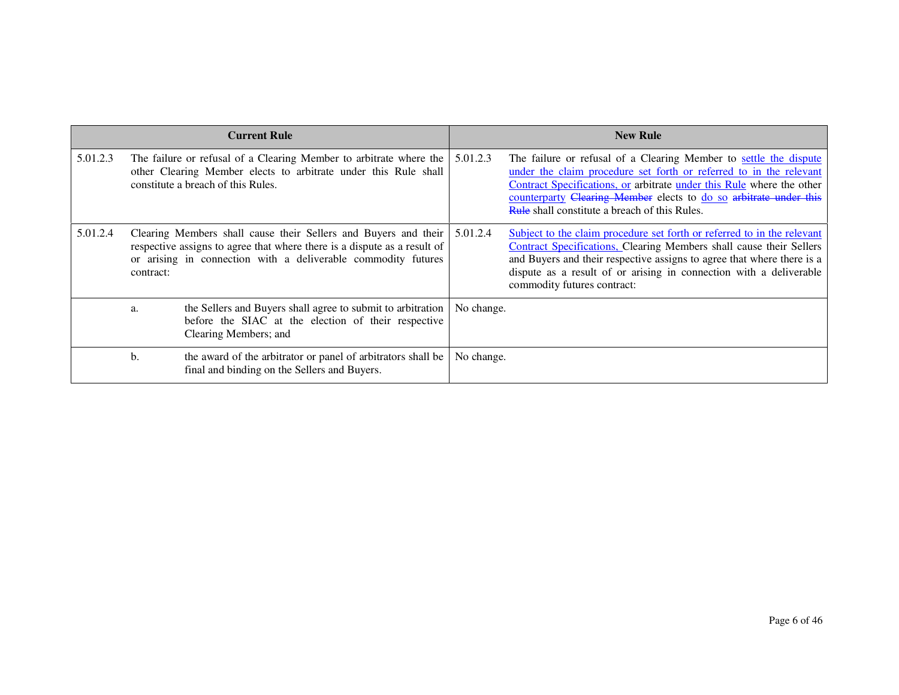|          |           | <b>Current Rule</b>                                                                                                                                                                                          |            | <b>New Rule</b>                                                                                                                                                                                                                                                                                                                               |
|----------|-----------|--------------------------------------------------------------------------------------------------------------------------------------------------------------------------------------------------------------|------------|-----------------------------------------------------------------------------------------------------------------------------------------------------------------------------------------------------------------------------------------------------------------------------------------------------------------------------------------------|
| 5.01.2.3 |           | The failure or refusal of a Clearing Member to arbitrate where the<br>other Clearing Member elects to arbitrate under this Rule shall<br>constitute a breach of this Rules.                                  | 5.01.2.3   | The failure or refusal of a Clearing Member to settle the dispute<br>under the claim procedure set forth or referred to in the relevant<br>Contract Specifications, or arbitrate under this Rule where the other<br>counterparty Clearing Member elects to do so arbitrate under this<br><b>Rule</b> shall constitute a breach of this Rules. |
| 5.01.2.4 | contract: | Clearing Members shall cause their Sellers and Buyers and their<br>respective assigns to agree that where there is a dispute as a result of<br>or arising in connection with a deliverable commodity futures | 5.01.2.4   | Subject to the claim procedure set forth or referred to in the relevant<br>Contract Specifications, Clearing Members shall cause their Sellers<br>and Buyers and their respective assigns to agree that where there is a<br>dispute as a result of or arising in connection with a deliverable<br>commodity futures contract:                 |
|          | a.        | the Sellers and Buyers shall agree to submit to arbitration<br>before the SIAC at the election of their respective<br>Clearing Members; and                                                                  | No change. |                                                                                                                                                                                                                                                                                                                                               |
|          | b.        | the award of the arbitrator or panel of arbitrators shall be<br>final and binding on the Sellers and Buyers.                                                                                                 | No change. |                                                                                                                                                                                                                                                                                                                                               |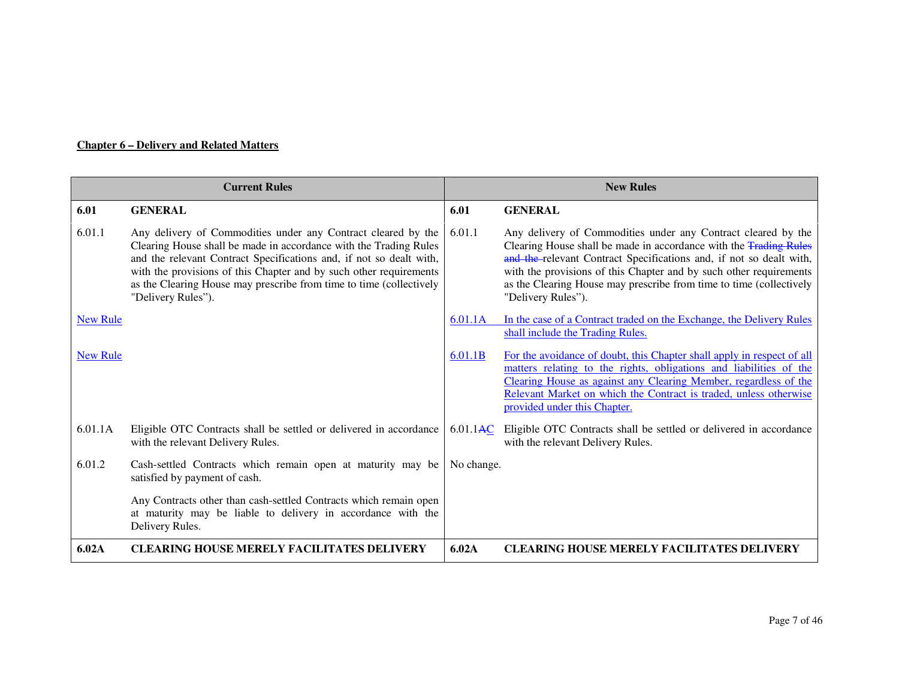#### **Chapter 6 – Delivery and Related Matters**

| <b>Current Rules</b> |                                                                                                                                                                                                                                                                                                                                                                              | <b>New Rules</b> |                                                                                                                                                                                                                                                                                                                                                                              |
|----------------------|------------------------------------------------------------------------------------------------------------------------------------------------------------------------------------------------------------------------------------------------------------------------------------------------------------------------------------------------------------------------------|------------------|------------------------------------------------------------------------------------------------------------------------------------------------------------------------------------------------------------------------------------------------------------------------------------------------------------------------------------------------------------------------------|
| 6.01                 | <b>GENERAL</b>                                                                                                                                                                                                                                                                                                                                                               | 6.01             | <b>GENERAL</b>                                                                                                                                                                                                                                                                                                                                                               |
| 6.01.1               | Any delivery of Commodities under any Contract cleared by the<br>Clearing House shall be made in accordance with the Trading Rules<br>and the relevant Contract Specifications and, if not so dealt with,<br>with the provisions of this Chapter and by such other requirements<br>as the Clearing House may prescribe from time to time (collectively<br>"Delivery Rules"). | 6.01.1           | Any delivery of Commodities under any Contract cleared by the<br>Clearing House shall be made in accordance with the Trading Rules<br>and the relevant Contract Specifications and, if not so dealt with,<br>with the provisions of this Chapter and by such other requirements<br>as the Clearing House may prescribe from time to time (collectively<br>"Delivery Rules"). |
| <b>New Rule</b>      |                                                                                                                                                                                                                                                                                                                                                                              | 6.01.1A          | In the case of a Contract traded on the Exchange, the Delivery Rules<br>shall include the Trading Rules.                                                                                                                                                                                                                                                                     |
| <b>New Rule</b>      |                                                                                                                                                                                                                                                                                                                                                                              | 6.01.1B          | For the avoidance of doubt, this Chapter shall apply in respect of all<br>matters relating to the rights, obligations and liabilities of the<br>Clearing House as against any Clearing Member, regardless of the<br>Relevant Market on which the Contract is traded, unless otherwise<br>provided under this Chapter.                                                        |
| 6.01.1A              | Eligible OTC Contracts shall be settled or delivered in accordance<br>with the relevant Delivery Rules.                                                                                                                                                                                                                                                                      | 6.01.1AC         | Eligible OTC Contracts shall be settled or delivered in accordance<br>with the relevant Delivery Rules.                                                                                                                                                                                                                                                                      |
| 6.01.2               | Cash-settled Contracts which remain open at maturity may be<br>satisfied by payment of cash.                                                                                                                                                                                                                                                                                 | No change.       |                                                                                                                                                                                                                                                                                                                                                                              |
|                      | Any Contracts other than cash-settled Contracts which remain open<br>at maturity may be liable to delivery in accordance with the<br>Delivery Rules.                                                                                                                                                                                                                         |                  |                                                                                                                                                                                                                                                                                                                                                                              |
| 6.02A                | <b>CLEARING HOUSE MERELY FACILITATES DELIVERY</b>                                                                                                                                                                                                                                                                                                                            | 6.02A            | <b>CLEARING HOUSE MERELY FACILITATES DELIVERY</b>                                                                                                                                                                                                                                                                                                                            |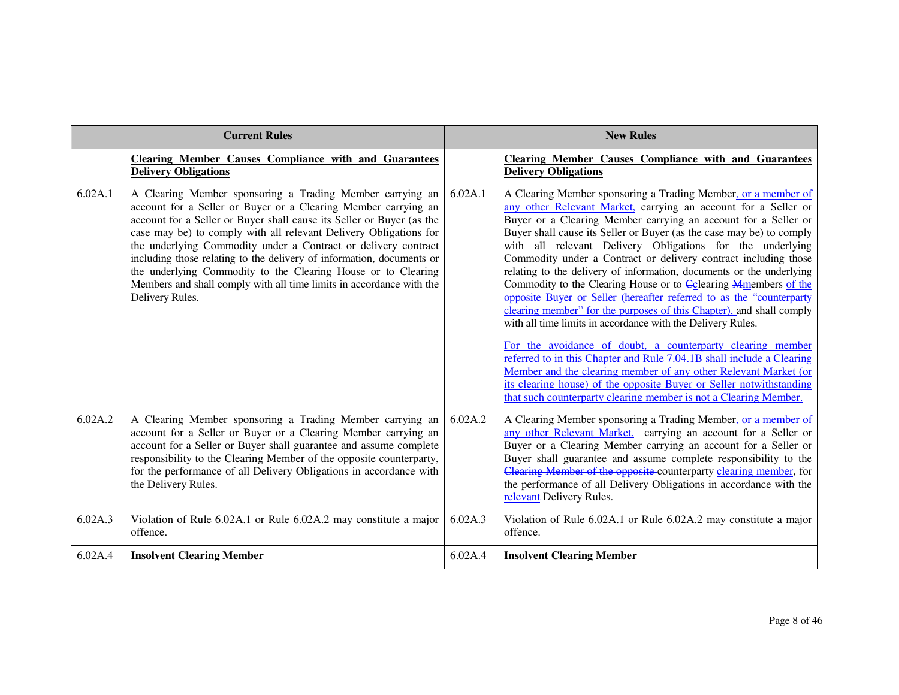| <b>Current Rules</b> |                                                                                                                                                                                                                                                                                                                                                                                                                                                                                                                                                                                  |         | <b>New Rules</b>                                                                                                                                                                                                                                                                                                                                                                                                                                                                                                                                                                                                                                                                                                                                                                                                                                                                                                                                                              |
|----------------------|----------------------------------------------------------------------------------------------------------------------------------------------------------------------------------------------------------------------------------------------------------------------------------------------------------------------------------------------------------------------------------------------------------------------------------------------------------------------------------------------------------------------------------------------------------------------------------|---------|-------------------------------------------------------------------------------------------------------------------------------------------------------------------------------------------------------------------------------------------------------------------------------------------------------------------------------------------------------------------------------------------------------------------------------------------------------------------------------------------------------------------------------------------------------------------------------------------------------------------------------------------------------------------------------------------------------------------------------------------------------------------------------------------------------------------------------------------------------------------------------------------------------------------------------------------------------------------------------|
|                      | <b>Clearing Member Causes Compliance with and Guarantees</b><br><b>Delivery Obligations</b>                                                                                                                                                                                                                                                                                                                                                                                                                                                                                      |         | <b>Clearing Member Causes Compliance with and Guarantees</b><br><b>Delivery Obligations</b>                                                                                                                                                                                                                                                                                                                                                                                                                                                                                                                                                                                                                                                                                                                                                                                                                                                                                   |
| 6.02A.1              | A Clearing Member sponsoring a Trading Member carrying an<br>account for a Seller or Buyer or a Clearing Member carrying an<br>account for a Seller or Buyer shall cause its Seller or Buyer (as the<br>case may be) to comply with all relevant Delivery Obligations for<br>the underlying Commodity under a Contract or delivery contract<br>including those relating to the delivery of information, documents or<br>the underlying Commodity to the Clearing House or to Clearing<br>Members and shall comply with all time limits in accordance with the<br>Delivery Rules. | 6.02A.1 | A Clearing Member sponsoring a Trading Member, or a member of<br>any other Relevant Market, carrying an account for a Seller or<br>Buyer or a Clearing Member carrying an account for a Seller or<br>Buyer shall cause its Seller or Buyer (as the case may be) to comply<br>with all relevant Delivery Obligations for the underlying<br>Commodity under a Contract or delivery contract including those<br>relating to the delivery of information, documents or the underlying<br>Commodity to the Clearing House or to Colearing Mmembers of the<br>opposite Buyer or Seller (hereafter referred to as the "counterparty<br>clearing member" for the purposes of this Chapter), and shall comply<br>with all time limits in accordance with the Delivery Rules.<br>For the avoidance of doubt, a counterparty clearing member<br>referred to in this Chapter and Rule 7.04.1B shall include a Clearing<br>Member and the clearing member of any other Relevant Market (or |
|                      |                                                                                                                                                                                                                                                                                                                                                                                                                                                                                                                                                                                  |         | its clearing house) of the opposite Buyer or Seller notwithstanding<br>that such counterparty clearing member is not a Clearing Member.                                                                                                                                                                                                                                                                                                                                                                                                                                                                                                                                                                                                                                                                                                                                                                                                                                       |
| 6.02A.2              | A Clearing Member sponsoring a Trading Member carrying an<br>account for a Seller or Buyer or a Clearing Member carrying an<br>account for a Seller or Buyer shall guarantee and assume complete<br>responsibility to the Clearing Member of the opposite counterparty,<br>for the performance of all Delivery Obligations in accordance with<br>the Delivery Rules.                                                                                                                                                                                                             | 6.02A.2 | A Clearing Member sponsoring a Trading Member, or a member of<br>any other Relevant Market, carrying an account for a Seller or<br>Buyer or a Clearing Member carrying an account for a Seller or<br>Buyer shall guarantee and assume complete responsibility to the<br>Clearing Member of the opposite counterparty clearing member, for<br>the performance of all Delivery Obligations in accordance with the<br>relevant Delivery Rules.                                                                                                                                                                                                                                                                                                                                                                                                                                                                                                                                   |
| 6.02A.3              | Violation of Rule 6.02A.1 or Rule 6.02A.2 may constitute a major<br>offence.                                                                                                                                                                                                                                                                                                                                                                                                                                                                                                     | 6.02A.3 | Violation of Rule 6.02A.1 or Rule 6.02A.2 may constitute a major<br>offence.                                                                                                                                                                                                                                                                                                                                                                                                                                                                                                                                                                                                                                                                                                                                                                                                                                                                                                  |
| 6.02A.4              | <b>Insolvent Clearing Member</b>                                                                                                                                                                                                                                                                                                                                                                                                                                                                                                                                                 | 6.02A.4 | <b>Insolvent Clearing Member</b>                                                                                                                                                                                                                                                                                                                                                                                                                                                                                                                                                                                                                                                                                                                                                                                                                                                                                                                                              |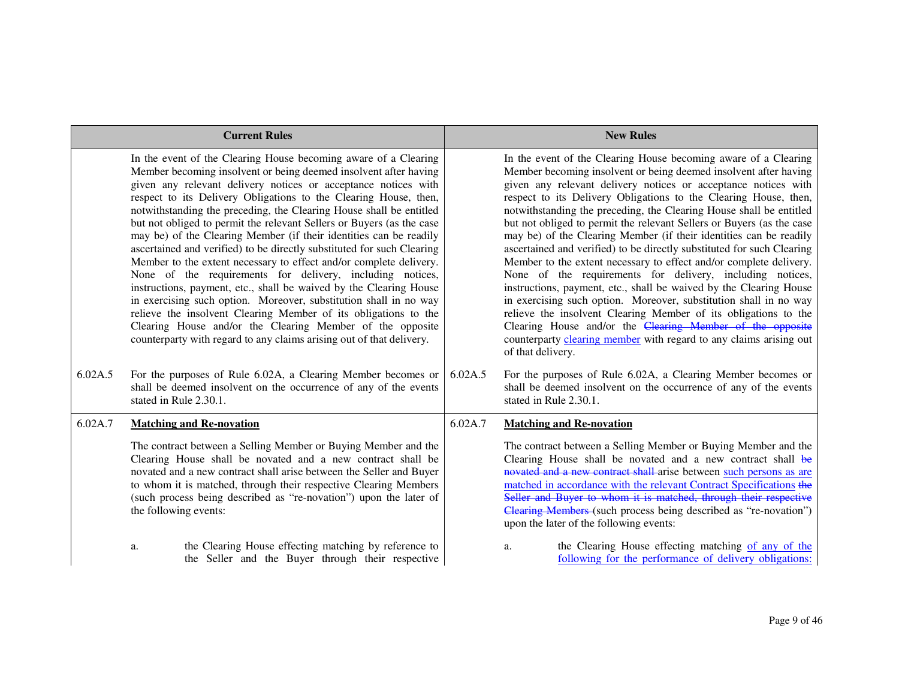|         | <b>Current Rules</b>                                                                                                                                                                                                                                                                                                                                                                                                                                                                                                                                                                                                                                                                                                                                                                                                                                                                                                                                                                                                                                            |         | <b>New Rules</b>                                                                                                                                                                                                                                                                                                                                                                                                                                                                                                                                                                                                                                                                                                                                                                                                                                                                                                                                                                                                                                                                   |
|---------|-----------------------------------------------------------------------------------------------------------------------------------------------------------------------------------------------------------------------------------------------------------------------------------------------------------------------------------------------------------------------------------------------------------------------------------------------------------------------------------------------------------------------------------------------------------------------------------------------------------------------------------------------------------------------------------------------------------------------------------------------------------------------------------------------------------------------------------------------------------------------------------------------------------------------------------------------------------------------------------------------------------------------------------------------------------------|---------|------------------------------------------------------------------------------------------------------------------------------------------------------------------------------------------------------------------------------------------------------------------------------------------------------------------------------------------------------------------------------------------------------------------------------------------------------------------------------------------------------------------------------------------------------------------------------------------------------------------------------------------------------------------------------------------------------------------------------------------------------------------------------------------------------------------------------------------------------------------------------------------------------------------------------------------------------------------------------------------------------------------------------------------------------------------------------------|
|         | In the event of the Clearing House becoming aware of a Clearing<br>Member becoming insolvent or being deemed insolvent after having<br>given any relevant delivery notices or acceptance notices with<br>respect to its Delivery Obligations to the Clearing House, then,<br>notwithstanding the preceding, the Clearing House shall be entitled<br>but not obliged to permit the relevant Sellers or Buyers (as the case<br>may be) of the Clearing Member (if their identities can be readily<br>ascertained and verified) to be directly substituted for such Clearing<br>Member to the extent necessary to effect and/or complete delivery.<br>None of the requirements for delivery, including notices,<br>instructions, payment, etc., shall be waived by the Clearing House<br>in exercising such option. Moreover, substitution shall in no way<br>relieve the insolvent Clearing Member of its obligations to the<br>Clearing House and/or the Clearing Member of the opposite<br>counterparty with regard to any claims arising out of that delivery. |         | In the event of the Clearing House becoming aware of a Clearing<br>Member becoming insolvent or being deemed insolvent after having<br>given any relevant delivery notices or acceptance notices with<br>respect to its Delivery Obligations to the Clearing House, then,<br>notwithstanding the preceding, the Clearing House shall be entitled<br>but not obliged to permit the relevant Sellers or Buyers (as the case<br>may be) of the Clearing Member (if their identities can be readily<br>ascertained and verified) to be directly substituted for such Clearing<br>Member to the extent necessary to effect and/or complete delivery.<br>None of the requirements for delivery, including notices,<br>instructions, payment, etc., shall be waived by the Clearing House<br>in exercising such option. Moreover, substitution shall in no way<br>relieve the insolvent Clearing Member of its obligations to the<br>Clearing House and/or the Clearing Member of the opposite<br>counterparty clearing member with regard to any claims arising out<br>of that delivery. |
| 6.02A.5 | For the purposes of Rule 6.02A, a Clearing Member becomes or<br>shall be deemed insolvent on the occurrence of any of the events<br>stated in Rule 2.30.1.                                                                                                                                                                                                                                                                                                                                                                                                                                                                                                                                                                                                                                                                                                                                                                                                                                                                                                      | 6.02A.5 | For the purposes of Rule 6.02A, a Clearing Member becomes or<br>shall be deemed insolvent on the occurrence of any of the events<br>stated in Rule 2.30.1.                                                                                                                                                                                                                                                                                                                                                                                                                                                                                                                                                                                                                                                                                                                                                                                                                                                                                                                         |
| 6.02A.7 | <b>Matching and Re-novation</b>                                                                                                                                                                                                                                                                                                                                                                                                                                                                                                                                                                                                                                                                                                                                                                                                                                                                                                                                                                                                                                 | 6.02A.7 | <b>Matching and Re-novation</b>                                                                                                                                                                                                                                                                                                                                                                                                                                                                                                                                                                                                                                                                                                                                                                                                                                                                                                                                                                                                                                                    |
|         | The contract between a Selling Member or Buying Member and the<br>Clearing House shall be novated and a new contract shall be<br>novated and a new contract shall arise between the Seller and Buyer<br>to whom it is matched, through their respective Clearing Members<br>(such process being described as "re-novation") upon the later of<br>the following events:                                                                                                                                                                                                                                                                                                                                                                                                                                                                                                                                                                                                                                                                                          |         | The contract between a Selling Member or Buying Member and the<br>Clearing House shall be novated and a new contract shall be<br>novated and a new contract shall arise between such persons as are<br>matched in accordance with the relevant Contract Specifications the<br>Seller and Buyer to whom it is matched, through their respective<br>Clearing Members (such process being described as "re-novation")<br>upon the later of the following events:                                                                                                                                                                                                                                                                                                                                                                                                                                                                                                                                                                                                                      |
|         | the Clearing House effecting matching by reference to<br>a.<br>the Seller and the Buyer through their respective                                                                                                                                                                                                                                                                                                                                                                                                                                                                                                                                                                                                                                                                                                                                                                                                                                                                                                                                                |         | the Clearing House effecting matching of any of the<br>a.<br>following for the performance of delivery obligations:                                                                                                                                                                                                                                                                                                                                                                                                                                                                                                                                                                                                                                                                                                                                                                                                                                                                                                                                                                |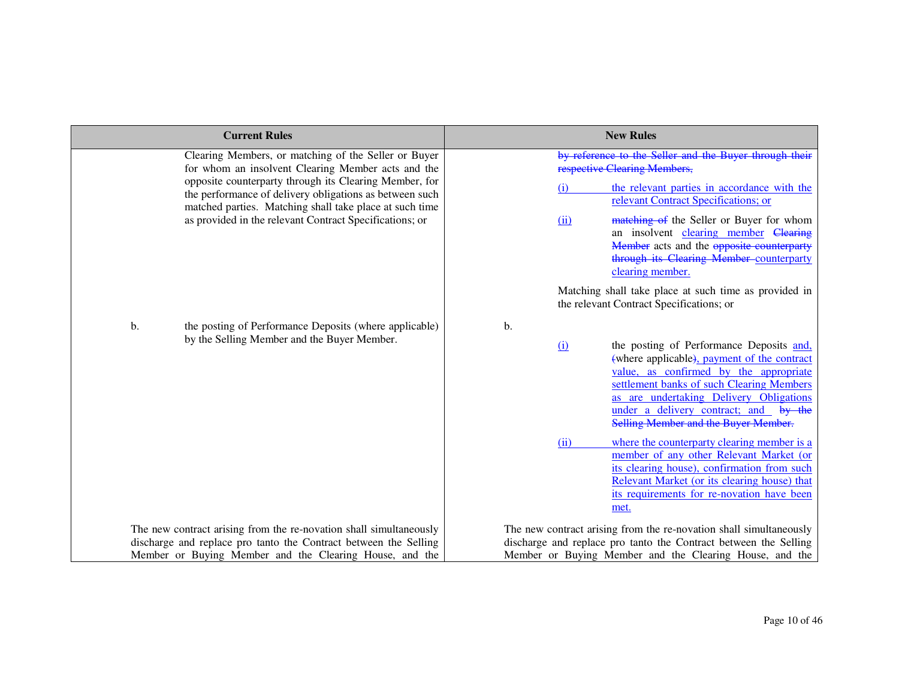| <b>Current Rules</b>                                                                                                                                                         | <b>New Rules</b>                                                                                                                                                                                                                                                                                                                                                               |
|------------------------------------------------------------------------------------------------------------------------------------------------------------------------------|--------------------------------------------------------------------------------------------------------------------------------------------------------------------------------------------------------------------------------------------------------------------------------------------------------------------------------------------------------------------------------|
| Clearing Members, or matching of the Seller or Buyer<br>for whom an insolvent Clearing Member acts and the                                                                   | by reference to the Seller and the Buyer through their<br>respective Clearing Members,                                                                                                                                                                                                                                                                                         |
| opposite counterparty through its Clearing Member, for<br>the performance of delivery obligations as between such<br>matched parties. Matching shall take place at such time | the relevant parties in accordance with the<br>(i)<br>relevant Contract Specifications; or                                                                                                                                                                                                                                                                                     |
| as provided in the relevant Contract Specifications; or                                                                                                                      | matching of the Seller or Buyer for whom<br>(ii)<br>an insolvent clearing member Clearing<br>Member acts and the opposite counterparty<br>through its Clearing Member-counterparty<br>clearing member.                                                                                                                                                                         |
|                                                                                                                                                                              | Matching shall take place at such time as provided in<br>the relevant Contract Specifications; or                                                                                                                                                                                                                                                                              |
| b.<br>the posting of Performance Deposits (where applicable)<br>by the Selling Member and the Buyer Member.                                                                  | b.<br>the posting of Performance Deposits and,<br>(i)<br>(where applicable), payment of the contract<br>value, as confirmed by the appropriate<br>settlement banks of such Clearing Members<br>as are undertaking Delivery Obligations<br>under a delivery contract; and by the<br>Selling Member and the Buyer Member.<br>where the counterparty clearing member is a<br>(ii) |
|                                                                                                                                                                              | member of any other Relevant Market (or<br>its clearing house), confirmation from such<br>Relevant Market (or its clearing house) that<br>its requirements for re-novation have been<br>met.                                                                                                                                                                                   |
| The new contract arising from the re-novation shall simultaneously<br>discharge and replace pro tanto the Contract between the Selling                                       | The new contract arising from the re-novation shall simultaneously<br>discharge and replace pro tanto the Contract between the Selling                                                                                                                                                                                                                                         |
| Member or Buying Member and the Clearing House, and the                                                                                                                      | Member or Buying Member and the Clearing House, and the                                                                                                                                                                                                                                                                                                                        |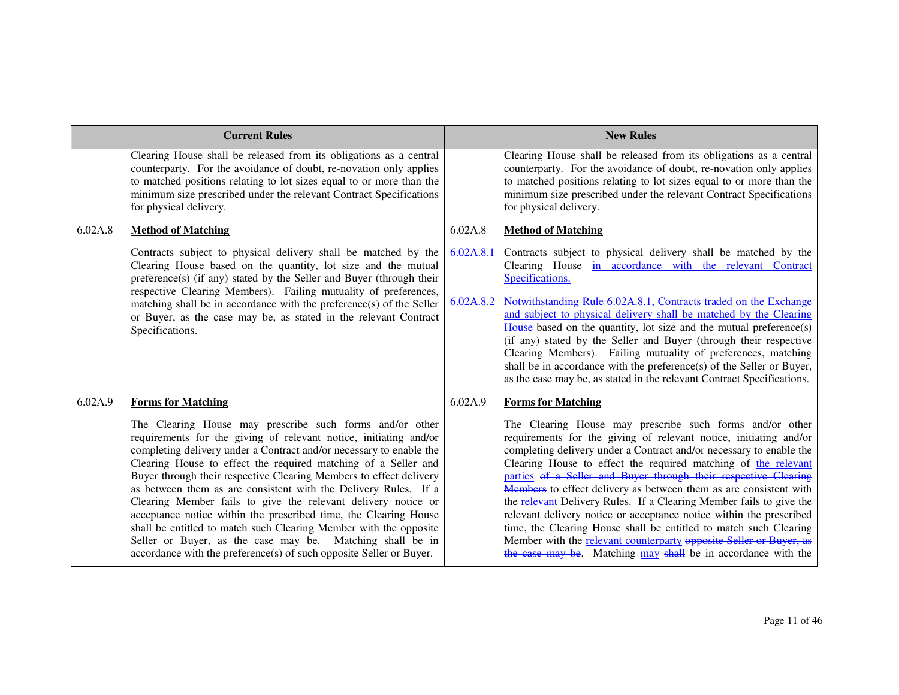|         | <b>Current Rules</b>                                                                                                                                                                                                                                                                                                                                                                                                                                                                                                                                                                                                                                                                                                                                          |                        | <b>New Rules</b>                                                                                                                                                                                                                                                                                                                                                                                                                                                                                                                                                                                                                                                                                                                                                                |
|---------|---------------------------------------------------------------------------------------------------------------------------------------------------------------------------------------------------------------------------------------------------------------------------------------------------------------------------------------------------------------------------------------------------------------------------------------------------------------------------------------------------------------------------------------------------------------------------------------------------------------------------------------------------------------------------------------------------------------------------------------------------------------|------------------------|---------------------------------------------------------------------------------------------------------------------------------------------------------------------------------------------------------------------------------------------------------------------------------------------------------------------------------------------------------------------------------------------------------------------------------------------------------------------------------------------------------------------------------------------------------------------------------------------------------------------------------------------------------------------------------------------------------------------------------------------------------------------------------|
|         | Clearing House shall be released from its obligations as a central<br>counterparty. For the avoidance of doubt, re-novation only applies<br>to matched positions relating to lot sizes equal to or more than the<br>minimum size prescribed under the relevant Contract Specifications<br>for physical delivery.                                                                                                                                                                                                                                                                                                                                                                                                                                              |                        | Clearing House shall be released from its obligations as a central<br>counterparty. For the avoidance of doubt, re-novation only applies<br>to matched positions relating to lot sizes equal to or more than the<br>minimum size prescribed under the relevant Contract Specifications<br>for physical delivery.                                                                                                                                                                                                                                                                                                                                                                                                                                                                |
| 6.02A.8 | <b>Method of Matching</b>                                                                                                                                                                                                                                                                                                                                                                                                                                                                                                                                                                                                                                                                                                                                     | 6.02A.8                | <b>Method of Matching</b>                                                                                                                                                                                                                                                                                                                                                                                                                                                                                                                                                                                                                                                                                                                                                       |
|         | Contracts subject to physical delivery shall be matched by the<br>Clearing House based on the quantity, lot size and the mutual<br>preference(s) (if any) stated by the Seller and Buyer (through their<br>respective Clearing Members). Failing mutuality of preferences,<br>matching shall be in accordance with the preference(s) of the Seller<br>or Buyer, as the case may be, as stated in the relevant Contract<br>Specifications.                                                                                                                                                                                                                                                                                                                     | 6.02A.8.1<br>6.02A.8.2 | Contracts subject to physical delivery shall be matched by the<br>Clearing House in accordance with the relevant Contract<br>Specifications.<br>Notwithstanding Rule 6.02A.8.1, Contracts traded on the Exchange<br>and subject to physical delivery shall be matched by the Clearing<br>House based on the quantity, lot size and the mutual preference(s)<br>(if any) stated by the Seller and Buyer (through their respective<br>Clearing Members). Failing mutuality of preferences, matching<br>shall be in accordance with the preference(s) of the Seller or Buyer,<br>as the case may be, as stated in the relevant Contract Specifications.                                                                                                                            |
| 6.02A.9 | <b>Forms for Matching</b>                                                                                                                                                                                                                                                                                                                                                                                                                                                                                                                                                                                                                                                                                                                                     | 6.02A.9                | <b>Forms for Matching</b>                                                                                                                                                                                                                                                                                                                                                                                                                                                                                                                                                                                                                                                                                                                                                       |
|         | The Clearing House may prescribe such forms and/or other<br>requirements for the giving of relevant notice, initiating and/or<br>completing delivery under a Contract and/or necessary to enable the<br>Clearing House to effect the required matching of a Seller and<br>Buyer through their respective Clearing Members to effect delivery<br>as between them as are consistent with the Delivery Rules. If a<br>Clearing Member fails to give the relevant delivery notice or<br>acceptance notice within the prescribed time, the Clearing House<br>shall be entitled to match such Clearing Member with the opposite<br>Seller or Buyer, as the case may be. Matching shall be in<br>accordance with the preference(s) of such opposite Seller or Buyer. |                        | The Clearing House may prescribe such forms and/or other<br>requirements for the giving of relevant notice, initiating and/or<br>completing delivery under a Contract and/or necessary to enable the<br>Clearing House to effect the required matching of the relevant<br>parties of a Seller and Buyer through their respective Clearing<br><b>Members</b> to effect delivery as between them as are consistent with<br>the relevant Delivery Rules. If a Clearing Member fails to give the<br>relevant delivery notice or acceptance notice within the prescribed<br>time, the Clearing House shall be entitled to match such Clearing<br>Member with the relevant counterparty opposite Seller or Buyer, as<br>the case may be. Matching may shall be in accordance with the |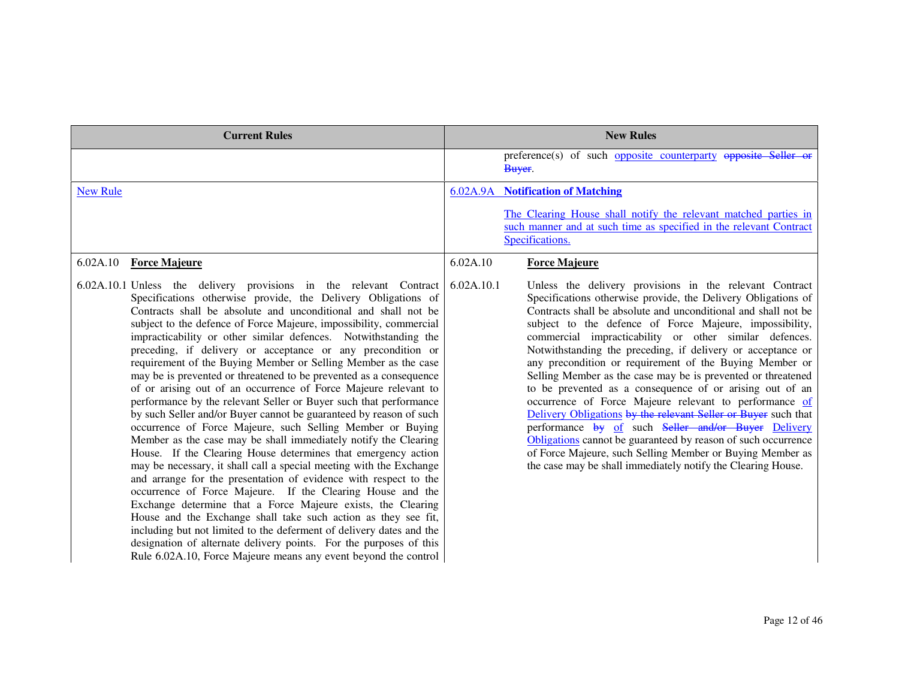| <b>Current Rules</b>                                                                                                                                                                                                                                                                                                                                                                                                                                                                                                                                                                                                                                                                                                                                                                                                                                                                                                                                                                                                                                                                                                                                                                                                                                                                                                                                                                                                                                                                                                              | <b>New Rules</b>                                                                                                                                                                                                                                                                                                                                                                                                                                                                                                                                                                                                                                                                                                                                                                                                                                                                                                                                                     |
|-----------------------------------------------------------------------------------------------------------------------------------------------------------------------------------------------------------------------------------------------------------------------------------------------------------------------------------------------------------------------------------------------------------------------------------------------------------------------------------------------------------------------------------------------------------------------------------------------------------------------------------------------------------------------------------------------------------------------------------------------------------------------------------------------------------------------------------------------------------------------------------------------------------------------------------------------------------------------------------------------------------------------------------------------------------------------------------------------------------------------------------------------------------------------------------------------------------------------------------------------------------------------------------------------------------------------------------------------------------------------------------------------------------------------------------------------------------------------------------------------------------------------------------|----------------------------------------------------------------------------------------------------------------------------------------------------------------------------------------------------------------------------------------------------------------------------------------------------------------------------------------------------------------------------------------------------------------------------------------------------------------------------------------------------------------------------------------------------------------------------------------------------------------------------------------------------------------------------------------------------------------------------------------------------------------------------------------------------------------------------------------------------------------------------------------------------------------------------------------------------------------------|
|                                                                                                                                                                                                                                                                                                                                                                                                                                                                                                                                                                                                                                                                                                                                                                                                                                                                                                                                                                                                                                                                                                                                                                                                                                                                                                                                                                                                                                                                                                                                   | preference(s) of such opposite counterparty opposite Seller or<br>Buyer.                                                                                                                                                                                                                                                                                                                                                                                                                                                                                                                                                                                                                                                                                                                                                                                                                                                                                             |
| <b>New Rule</b>                                                                                                                                                                                                                                                                                                                                                                                                                                                                                                                                                                                                                                                                                                                                                                                                                                                                                                                                                                                                                                                                                                                                                                                                                                                                                                                                                                                                                                                                                                                   | <b>6.02A.9A</b> Notification of Matching<br>The Clearing House shall notify the relevant matched parties in<br>such manner and at such time as specified in the relevant Contract                                                                                                                                                                                                                                                                                                                                                                                                                                                                                                                                                                                                                                                                                                                                                                                    |
|                                                                                                                                                                                                                                                                                                                                                                                                                                                                                                                                                                                                                                                                                                                                                                                                                                                                                                                                                                                                                                                                                                                                                                                                                                                                                                                                                                                                                                                                                                                                   | Specifications.                                                                                                                                                                                                                                                                                                                                                                                                                                                                                                                                                                                                                                                                                                                                                                                                                                                                                                                                                      |
| 6.02A.10 Force Majeure                                                                                                                                                                                                                                                                                                                                                                                                                                                                                                                                                                                                                                                                                                                                                                                                                                                                                                                                                                                                                                                                                                                                                                                                                                                                                                                                                                                                                                                                                                            | 6.02A.10<br><b>Force Majeure</b>                                                                                                                                                                                                                                                                                                                                                                                                                                                                                                                                                                                                                                                                                                                                                                                                                                                                                                                                     |
| 6.02A.10.1 Unless the delivery provisions in the relevant Contract<br>Specifications otherwise provide, the Delivery Obligations of<br>Contracts shall be absolute and unconditional and shall not be<br>subject to the defence of Force Majeure, impossibility, commercial<br>impracticability or other similar defences. Notwithstanding the<br>preceding, if delivery or acceptance or any precondition or<br>requirement of the Buying Member or Selling Member as the case<br>may be is prevented or threatened to be prevented as a consequence<br>of or arising out of an occurrence of Force Majeure relevant to<br>performance by the relevant Seller or Buyer such that performance<br>by such Seller and/or Buyer cannot be guaranteed by reason of such<br>occurrence of Force Majeure, such Selling Member or Buying<br>Member as the case may be shall immediately notify the Clearing<br>House. If the Clearing House determines that emergency action<br>may be necessary, it shall call a special meeting with the Exchange<br>and arrange for the presentation of evidence with respect to the<br>occurrence of Force Majeure. If the Clearing House and the<br>Exchange determine that a Force Majeure exists, the Clearing<br>House and the Exchange shall take such action as they see fit,<br>including but not limited to the deferment of delivery dates and the<br>designation of alternate delivery points. For the purposes of this<br>Rule 6.02A.10, Force Majeure means any event beyond the control | 6.02A.10.1<br>Unless the delivery provisions in the relevant Contract<br>Specifications otherwise provide, the Delivery Obligations of<br>Contracts shall be absolute and unconditional and shall not be<br>subject to the defence of Force Majeure, impossibility,<br>commercial impracticability or other similar defences.<br>Notwithstanding the preceding, if delivery or acceptance or<br>any precondition or requirement of the Buying Member or<br>Selling Member as the case may be is prevented or threatened<br>to be prevented as a consequence of or arising out of an<br>occurrence of Force Majeure relevant to performance of<br>Delivery Obligations by the relevant Seller or Buyer such that<br>performance by of such Seller and/or Buyer Delivery<br>Obligations cannot be guaranteed by reason of such occurrence<br>of Force Majeure, such Selling Member or Buying Member as<br>the case may be shall immediately notify the Clearing House. |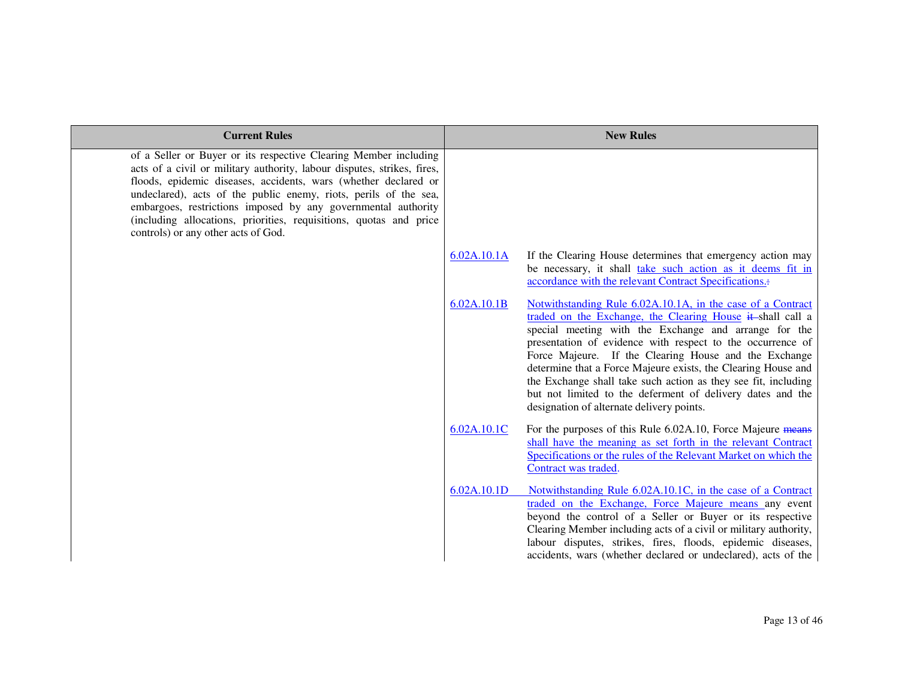| <b>Current Rules</b>                                                                                                                                                                                                                                                                                                                                                                                                                                             |             | <b>New Rules</b>                                                                                                                                                                                                                                                                                                                                                                                                                                                                                                                                        |
|------------------------------------------------------------------------------------------------------------------------------------------------------------------------------------------------------------------------------------------------------------------------------------------------------------------------------------------------------------------------------------------------------------------------------------------------------------------|-------------|---------------------------------------------------------------------------------------------------------------------------------------------------------------------------------------------------------------------------------------------------------------------------------------------------------------------------------------------------------------------------------------------------------------------------------------------------------------------------------------------------------------------------------------------------------|
| of a Seller or Buyer or its respective Clearing Member including<br>acts of a civil or military authority, labour disputes, strikes, fires,<br>floods, epidemic diseases, accidents, wars (whether declared or<br>undeclared), acts of the public enemy, riots, perils of the sea,<br>embargoes, restrictions imposed by any governmental authority<br>(including allocations, priorities, requisitions, quotas and price<br>controls) or any other acts of God. |             |                                                                                                                                                                                                                                                                                                                                                                                                                                                                                                                                                         |
|                                                                                                                                                                                                                                                                                                                                                                                                                                                                  | 6.02A.10.1A | If the Clearing House determines that emergency action may<br>be necessary, it shall take such action as it deems fit in<br>accordance with the relevant Contract Specifications.                                                                                                                                                                                                                                                                                                                                                                       |
|                                                                                                                                                                                                                                                                                                                                                                                                                                                                  | 6.02A.10.1B | Notwithstanding Rule 6.02A.10.1A, in the case of a Contract<br>traded on the Exchange, the Clearing House it shall call a<br>special meeting with the Exchange and arrange for the<br>presentation of evidence with respect to the occurrence of<br>Force Majeure. If the Clearing House and the Exchange<br>determine that a Force Majeure exists, the Clearing House and<br>the Exchange shall take such action as they see fit, including<br>but not limited to the deferment of delivery dates and the<br>designation of alternate delivery points. |
|                                                                                                                                                                                                                                                                                                                                                                                                                                                                  | 6.02A.10.1C | For the purposes of this Rule 6.02A.10, Force Majeure means<br>shall have the meaning as set forth in the relevant Contract<br>Specifications or the rules of the Relevant Market on which the<br>Contract was traded.                                                                                                                                                                                                                                                                                                                                  |
|                                                                                                                                                                                                                                                                                                                                                                                                                                                                  | 6.02A.10.1D | Notwithstanding Rule 6.02A.10.1C, in the case of a Contract<br>traded on the Exchange, Force Majeure means any event<br>beyond the control of a Seller or Buyer or its respective<br>Clearing Member including acts of a civil or military authority,<br>labour disputes, strikes, fires, floods, epidemic diseases,<br>accidents, wars (whether declared or undeclared), acts of the                                                                                                                                                                   |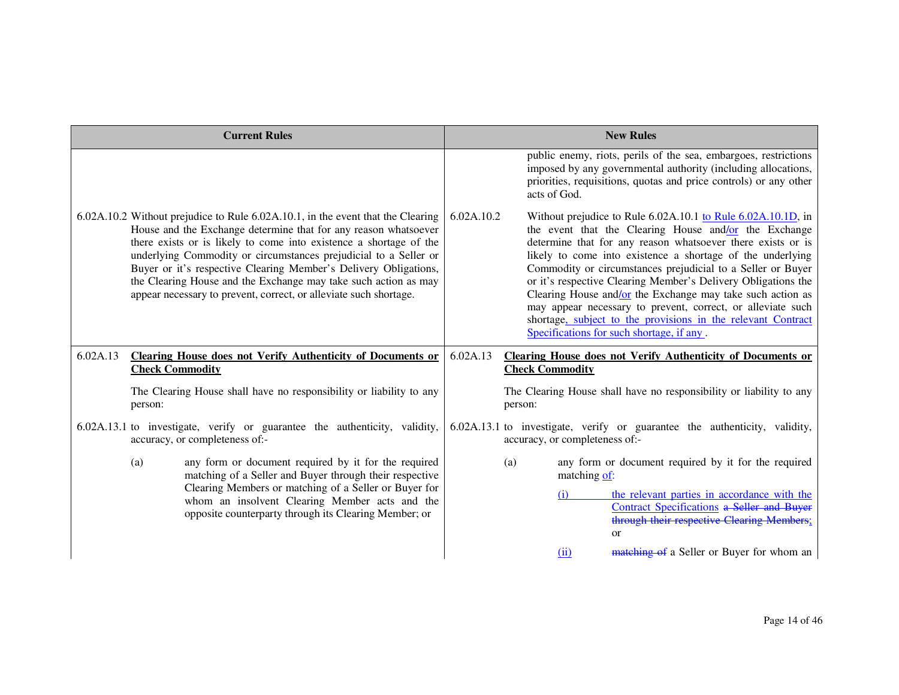|          |                                                                                                                                                                  | <b>Current Rules</b>                                                                                                                                                                                                                                                                                                                                                                                                                                                                                     |            |                  |                                                                                                                                                | <b>New Rules</b>                                                                                                                                                                                                                                                                                                                                                                                                                                                                                                                                                                |
|----------|------------------------------------------------------------------------------------------------------------------------------------------------------------------|----------------------------------------------------------------------------------------------------------------------------------------------------------------------------------------------------------------------------------------------------------------------------------------------------------------------------------------------------------------------------------------------------------------------------------------------------------------------------------------------------------|------------|------------------|------------------------------------------------------------------------------------------------------------------------------------------------|---------------------------------------------------------------------------------------------------------------------------------------------------------------------------------------------------------------------------------------------------------------------------------------------------------------------------------------------------------------------------------------------------------------------------------------------------------------------------------------------------------------------------------------------------------------------------------|
|          |                                                                                                                                                                  |                                                                                                                                                                                                                                                                                                                                                                                                                                                                                                          |            |                  | acts of God.                                                                                                                                   | public enemy, riots, perils of the sea, embargoes, restrictions<br>imposed by any governmental authority (including allocations,<br>priorities, requisitions, quotas and price controls) or any other                                                                                                                                                                                                                                                                                                                                                                           |
|          |                                                                                                                                                                  | 6.02A.10.2 Without prejudice to Rule 6.02A.10.1, in the event that the Clearing<br>House and the Exchange determine that for any reason whatsoever<br>there exists or is likely to come into existence a shortage of the<br>underlying Commodity or circumstances prejudicial to a Seller or<br>Buyer or it's respective Clearing Member's Delivery Obligations,<br>the Clearing House and the Exchange may take such action as may<br>appear necessary to prevent, correct, or alleviate such shortage. | 6.02A.10.2 |                  | Specifications for such shortage, if any.                                                                                                      | Without prejudice to Rule 6.02A.10.1 to Rule 6.02A.10.1D, in<br>the event that the Clearing House and/or the Exchange<br>determine that for any reason whatsoever there exists or is<br>likely to come into existence a shortage of the underlying<br>Commodity or circumstances prejudicial to a Seller or Buyer<br>or it's respective Clearing Member's Delivery Obligations the<br>Clearing House and/or the Exchange may take such action as<br>may appear necessary to prevent, correct, or alleviate such<br>shortage, subject to the provisions in the relevant Contract |
| 6.02A.13 | <b>Check Commodity</b>                                                                                                                                           | Clearing House does not Verify Authenticity of Documents or                                                                                                                                                                                                                                                                                                                                                                                                                                              | 6.02A.13   |                  | <b>Check Commodity</b>                                                                                                                         | <b>Clearing House does not Verify Authenticity of Documents or</b>                                                                                                                                                                                                                                                                                                                                                                                                                                                                                                              |
|          | person:                                                                                                                                                          | The Clearing House shall have no responsibility or liability to any                                                                                                                                                                                                                                                                                                                                                                                                                                      |            | person:          |                                                                                                                                                | The Clearing House shall have no responsibility or liability to any                                                                                                                                                                                                                                                                                                                                                                                                                                                                                                             |
|          |                                                                                                                                                                  | 6.02A.13.1 to investigate, verify or guarantee the authenticity, validity,<br>accuracy, or completeness of:-                                                                                                                                                                                                                                                                                                                                                                                             |            |                  | accuracy, or completeness of:-                                                                                                                 | 6.02A.13.1 to investigate, verify or guarantee the authenticity, validity,                                                                                                                                                                                                                                                                                                                                                                                                                                                                                                      |
|          | (a)                                                                                                                                                              | any form or document required by it for the required<br>matching of a Seller and Buyer through their respective                                                                                                                                                                                                                                                                                                                                                                                          |            | (a)              | matching of:                                                                                                                                   | any form or document required by it for the required                                                                                                                                                                                                                                                                                                                                                                                                                                                                                                                            |
|          | Clearing Members or matching of a Seller or Buyer for<br>whom an insolvent Clearing Member acts and the<br>opposite counterparty through its Clearing Member; or |                                                                                                                                                                                                                                                                                                                                                                                                                                                                                                          |            | (1)<br><b>or</b> | the relevant parties in accordance with the<br><b>Contract Specifications a Seller and Buyer</b><br>through their respective Clearing Members; |                                                                                                                                                                                                                                                                                                                                                                                                                                                                                                                                                                                 |
|          |                                                                                                                                                                  |                                                                                                                                                                                                                                                                                                                                                                                                                                                                                                          |            |                  | (ii)                                                                                                                                           | matching of a Seller or Buyer for whom an                                                                                                                                                                                                                                                                                                                                                                                                                                                                                                                                       |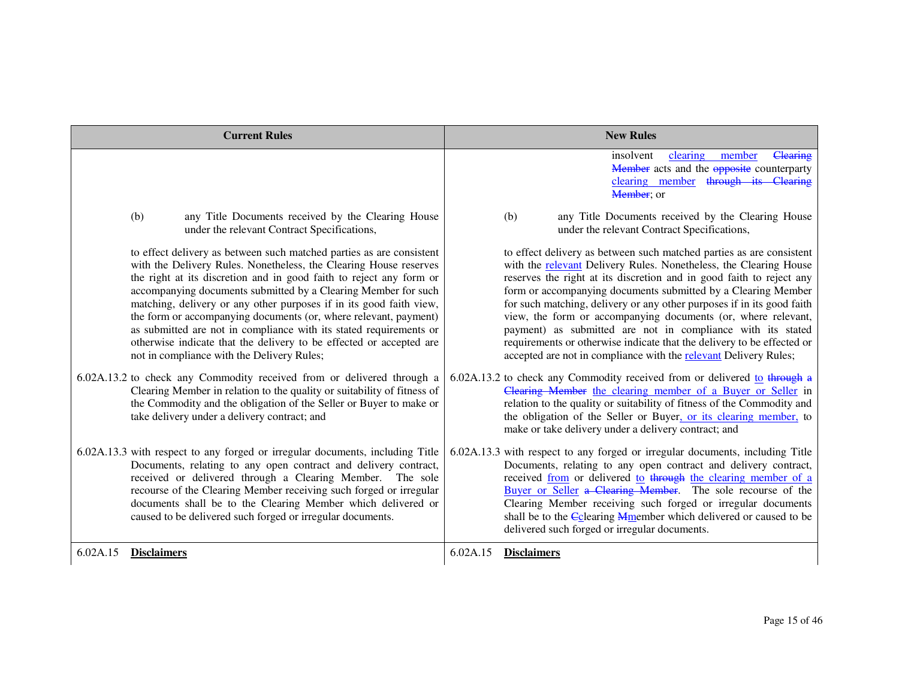| <b>Current Rules</b>                                                                                                                                                                                                                                                                                                                                                                                                                                                                                                                                                                                                                                                                               | <b>New Rules</b>                                                                                                                                                                                                                                                                                                                                                                                                                                                                                                                                                                                                                                                                                                        |
|----------------------------------------------------------------------------------------------------------------------------------------------------------------------------------------------------------------------------------------------------------------------------------------------------------------------------------------------------------------------------------------------------------------------------------------------------------------------------------------------------------------------------------------------------------------------------------------------------------------------------------------------------------------------------------------------------|-------------------------------------------------------------------------------------------------------------------------------------------------------------------------------------------------------------------------------------------------------------------------------------------------------------------------------------------------------------------------------------------------------------------------------------------------------------------------------------------------------------------------------------------------------------------------------------------------------------------------------------------------------------------------------------------------------------------------|
|                                                                                                                                                                                                                                                                                                                                                                                                                                                                                                                                                                                                                                                                                                    | clearing<br>Clearing<br>insolvent<br>member<br>Member acts and the opposite counterparty<br>clearing member through its Clearing<br>Member; or                                                                                                                                                                                                                                                                                                                                                                                                                                                                                                                                                                          |
| any Title Documents received by the Clearing House<br>(b)<br>under the relevant Contract Specifications,                                                                                                                                                                                                                                                                                                                                                                                                                                                                                                                                                                                           | any Title Documents received by the Clearing House<br>(b)<br>under the relevant Contract Specifications,                                                                                                                                                                                                                                                                                                                                                                                                                                                                                                                                                                                                                |
| to effect delivery as between such matched parties as are consistent<br>with the Delivery Rules. Nonetheless, the Clearing House reserves<br>the right at its discretion and in good faith to reject any form or<br>accompanying documents submitted by a Clearing Member for such<br>matching, delivery or any other purposes if in its good faith view,<br>the form or accompanying documents (or, where relevant, payment)<br>as submitted are not in compliance with its stated requirements or<br>otherwise indicate that the delivery to be effected or accepted are<br>not in compliance with the Delivery Rules;<br>6.02A.13.2 to check any Commodity received from or delivered through a | to effect delivery as between such matched parties as are consistent<br>with the relevant Delivery Rules. Nonetheless, the Clearing House<br>reserves the right at its discretion and in good faith to reject any<br>form or accompanying documents submitted by a Clearing Member<br>for such matching, delivery or any other purposes if in its good faith<br>view, the form or accompanying documents (or, where relevant,<br>payment) as submitted are not in compliance with its stated<br>requirements or otherwise indicate that the delivery to be effected or<br>accepted are not in compliance with the relevant Delivery Rules;<br>6.02A.13.2 to check any Commodity received from or delivered to through a |
| Clearing Member in relation to the quality or suitability of fitness of<br>the Commodity and the obligation of the Seller or Buyer to make or<br>take delivery under a delivery contract; and                                                                                                                                                                                                                                                                                                                                                                                                                                                                                                      | Clearing Member the clearing member of a Buyer or Seller in<br>relation to the quality or suitability of fitness of the Commodity and<br>the obligation of the Seller or Buyer, or its clearing member, to<br>make or take delivery under a delivery contract; and                                                                                                                                                                                                                                                                                                                                                                                                                                                      |
| 6.02A.13.3 with respect to any forged or irregular documents, including Title<br>Documents, relating to any open contract and delivery contract,<br>received or delivered through a Clearing Member. The sole<br>recourse of the Clearing Member receiving such forged or irregular<br>documents shall be to the Clearing Member which delivered or<br>caused to be delivered such forged or irregular documents.                                                                                                                                                                                                                                                                                  | 6.02A.13.3 with respect to any forged or irregular documents, including Title<br>Documents, relating to any open contract and delivery contract,<br>received from or delivered to through the clearing member of a<br>Buyer or Seller a Clearing Member. The sole recourse of the<br>Clearing Member receiving such forged or irregular documents<br>shall be to the Cclearing Mmember which delivered or caused to be<br>delivered such forged or irregular documents.                                                                                                                                                                                                                                                 |
| 6.02A.15<br><b>Disclaimers</b>                                                                                                                                                                                                                                                                                                                                                                                                                                                                                                                                                                                                                                                                     | 6.02A.15<br><b>Disclaimers</b>                                                                                                                                                                                                                                                                                                                                                                                                                                                                                                                                                                                                                                                                                          |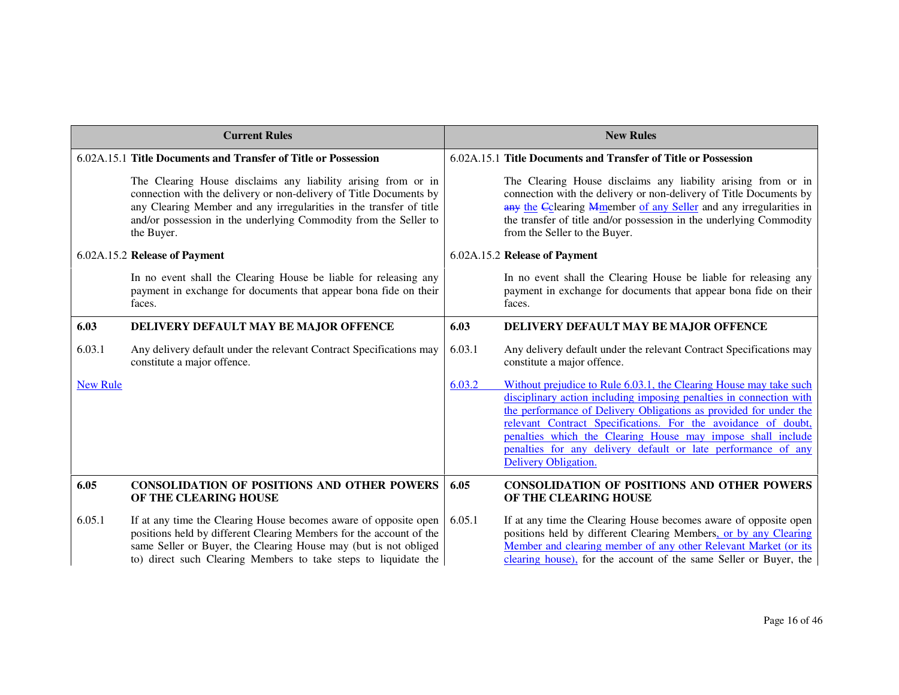| <b>Current Rules</b> |                                                                                                                                                                                                                                                                                              |        | <b>New Rules</b>                                                                                                                                                                                                                                                                                                                                                                                                                        |
|----------------------|----------------------------------------------------------------------------------------------------------------------------------------------------------------------------------------------------------------------------------------------------------------------------------------------|--------|-----------------------------------------------------------------------------------------------------------------------------------------------------------------------------------------------------------------------------------------------------------------------------------------------------------------------------------------------------------------------------------------------------------------------------------------|
|                      | 6.02A.15.1 Title Documents and Transfer of Title or Possession                                                                                                                                                                                                                               |        | 6.02A.15.1 Title Documents and Transfer of Title or Possession                                                                                                                                                                                                                                                                                                                                                                          |
|                      | The Clearing House disclaims any liability arising from or in<br>connection with the delivery or non-delivery of Title Documents by<br>any Clearing Member and any irregularities in the transfer of title<br>and/or possession in the underlying Commodity from the Seller to<br>the Buyer. |        | The Clearing House disclaims any liability arising from or in<br>connection with the delivery or non-delivery of Title Documents by<br>any the Cclearing Mmember of any Seller and any irregularities in<br>the transfer of title and/or possession in the underlying Commodity<br>from the Seller to the Buyer.                                                                                                                        |
|                      | 6.02A.15.2 Release of Payment                                                                                                                                                                                                                                                                |        | 6.02A.15.2 Release of Payment                                                                                                                                                                                                                                                                                                                                                                                                           |
|                      | In no event shall the Clearing House be liable for releasing any<br>payment in exchange for documents that appear bona fide on their<br>faces.                                                                                                                                               |        | In no event shall the Clearing House be liable for releasing any<br>payment in exchange for documents that appear bona fide on their<br>faces.                                                                                                                                                                                                                                                                                          |
| 6.03                 | DELIVERY DEFAULT MAY BE MAJOR OFFENCE                                                                                                                                                                                                                                                        | 6.03   | DELIVERY DEFAULT MAY BE MAJOR OFFENCE                                                                                                                                                                                                                                                                                                                                                                                                   |
| 6.03.1               | Any delivery default under the relevant Contract Specifications may<br>constitute a major offence.                                                                                                                                                                                           | 6.03.1 | Any delivery default under the relevant Contract Specifications may<br>constitute a major offence.                                                                                                                                                                                                                                                                                                                                      |
| <b>New Rule</b>      |                                                                                                                                                                                                                                                                                              | 6.03.2 | Without prejudice to Rule 6.03.1, the Clearing House may take such<br>disciplinary action including imposing penalties in connection with<br>the performance of Delivery Obligations as provided for under the<br>relevant Contract Specifications. For the avoidance of doubt,<br>penalties which the Clearing House may impose shall include<br>penalties for any delivery default or late performance of any<br>Delivery Obligation. |
| 6.05                 | <b>CONSOLIDATION OF POSITIONS AND OTHER POWERS</b><br>OF THE CLEARING HOUSE                                                                                                                                                                                                                  | 6.05   | <b>CONSOLIDATION OF POSITIONS AND OTHER POWERS</b><br>OF THE CLEARING HOUSE                                                                                                                                                                                                                                                                                                                                                             |
| 6.05.1               | If at any time the Clearing House becomes aware of opposite open<br>positions held by different Clearing Members for the account of the<br>same Seller or Buyer, the Clearing House may (but is not obliged<br>to) direct such Clearing Members to take steps to liquidate the               | 6.05.1 | If at any time the Clearing House becomes aware of opposite open<br>positions held by different Clearing Members, or by any Clearing<br>Member and clearing member of any other Relevant Market (or its<br>clearing house), for the account of the same Seller or Buyer, the                                                                                                                                                            |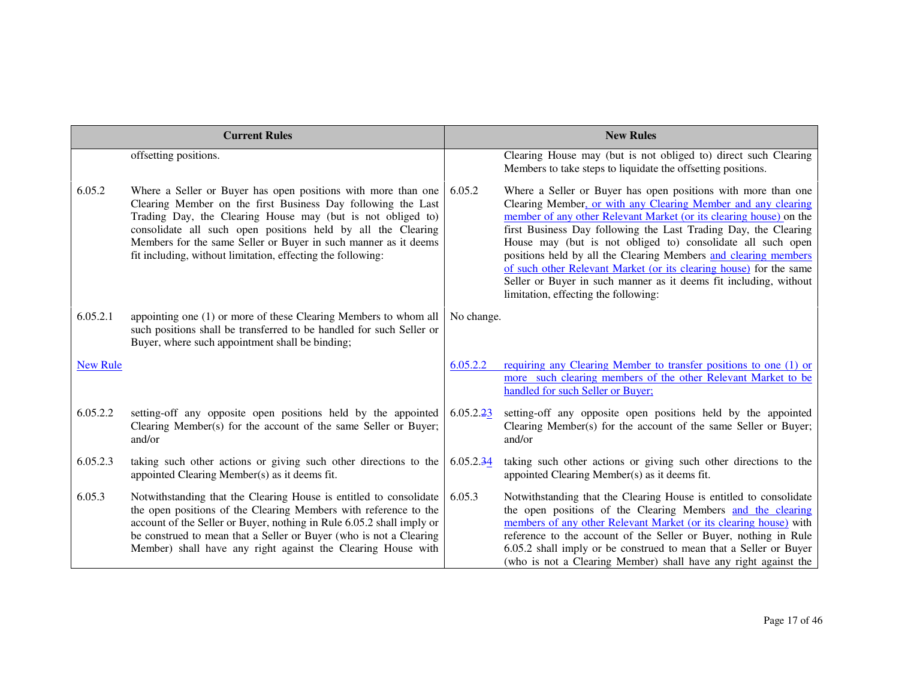|                 | <b>Current Rules</b>                                                                                                                                                                                                                                                                                                                                                                           |            | <b>New Rules</b>                                                                                                                                                                                                                                                                                                                                                                                                                                                                                                                                                                             |
|-----------------|------------------------------------------------------------------------------------------------------------------------------------------------------------------------------------------------------------------------------------------------------------------------------------------------------------------------------------------------------------------------------------------------|------------|----------------------------------------------------------------------------------------------------------------------------------------------------------------------------------------------------------------------------------------------------------------------------------------------------------------------------------------------------------------------------------------------------------------------------------------------------------------------------------------------------------------------------------------------------------------------------------------------|
|                 | offsetting positions.                                                                                                                                                                                                                                                                                                                                                                          |            | Clearing House may (but is not obliged to) direct such Clearing<br>Members to take steps to liquidate the offsetting positions.                                                                                                                                                                                                                                                                                                                                                                                                                                                              |
| 6.05.2          | Where a Seller or Buyer has open positions with more than one<br>Clearing Member on the first Business Day following the Last<br>Trading Day, the Clearing House may (but is not obliged to)<br>consolidate all such open positions held by all the Clearing<br>Members for the same Seller or Buyer in such manner as it deems<br>fit including, without limitation, effecting the following: | 6.05.2     | Where a Seller or Buyer has open positions with more than one<br>Clearing Member, or with any Clearing Member and any clearing<br>member of any other Relevant Market (or its clearing house) on the<br>first Business Day following the Last Trading Day, the Clearing<br>House may (but is not obliged to) consolidate all such open<br>positions held by all the Clearing Members and clearing members<br>of such other Relevant Market (or its clearing house) for the same<br>Seller or Buyer in such manner as it deems fit including, without<br>limitation, effecting the following: |
| 6.05.2.1        | appointing one (1) or more of these Clearing Members to whom all<br>such positions shall be transferred to be handled for such Seller or<br>Buyer, where such appointment shall be binding;                                                                                                                                                                                                    | No change. |                                                                                                                                                                                                                                                                                                                                                                                                                                                                                                                                                                                              |
| <b>New Rule</b> |                                                                                                                                                                                                                                                                                                                                                                                                | 6.05.2.2   | requiring any Clearing Member to transfer positions to one (1) or<br>more such clearing members of the other Relevant Market to be<br>handled for such Seller or Buyer;                                                                                                                                                                                                                                                                                                                                                                                                                      |
| 6.05.2.2        | setting-off any opposite open positions held by the appointed<br>Clearing Member(s) for the account of the same Seller or Buyer;<br>and/or                                                                                                                                                                                                                                                     | 6.05.2.23  | setting-off any opposite open positions held by the appointed<br>Clearing Member(s) for the account of the same Seller or Buyer;<br>and/or                                                                                                                                                                                                                                                                                                                                                                                                                                                   |
| 6.05.2.3        | taking such other actions or giving such other directions to the<br>appointed Clearing Member(s) as it deems fit.                                                                                                                                                                                                                                                                              | 6.05.2.34  | taking such other actions or giving such other directions to the<br>appointed Clearing Member(s) as it deems fit.                                                                                                                                                                                                                                                                                                                                                                                                                                                                            |
| 6.05.3          | Notwithstanding that the Clearing House is entitled to consolidate<br>the open positions of the Clearing Members with reference to the<br>account of the Seller or Buyer, nothing in Rule 6.05.2 shall imply or<br>be construed to mean that a Seller or Buyer (who is not a Clearing<br>Member) shall have any right against the Clearing House with                                          | 6.05.3     | Notwithstanding that the Clearing House is entitled to consolidate<br>the open positions of the Clearing Members and the clearing<br>members of any other Relevant Market (or its clearing house) with<br>reference to the account of the Seller or Buyer, nothing in Rule<br>6.05.2 shall imply or be construed to mean that a Seller or Buyer<br>(who is not a Clearing Member) shall have any right against the                                                                                                                                                                           |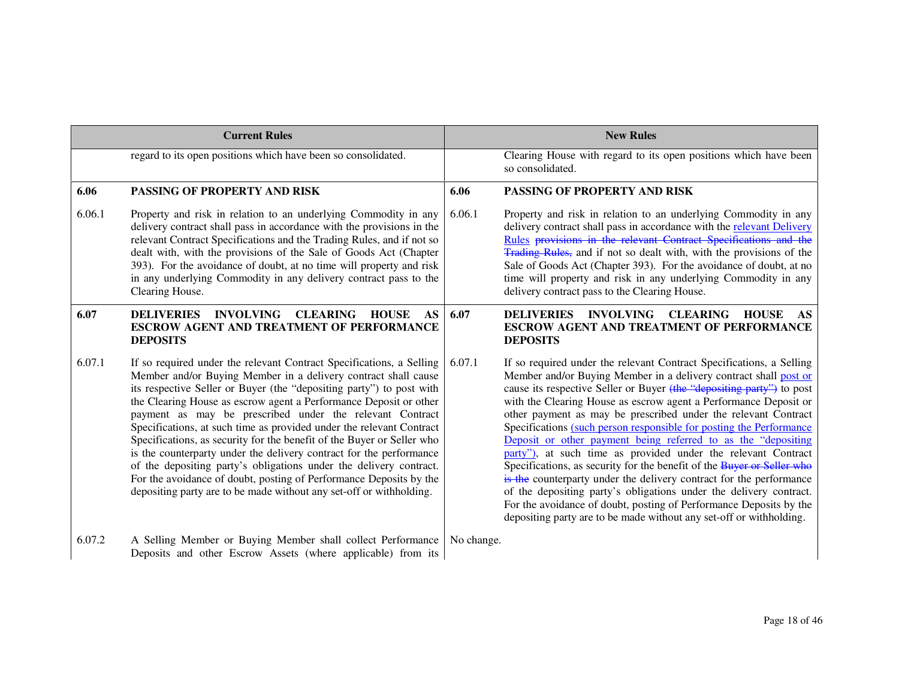|        | <b>Current Rules</b>                                                                                                                                                                                                                                                                                                                                                                                                                                                                                                                                                                                                                                                                                                                                                                        |            | <b>New Rules</b>                                                                                                                                                                                                                                                                                                                                                                                                                                                                                                                                                                                                                                                                                                                                                                                                                                                                                                                     |
|--------|---------------------------------------------------------------------------------------------------------------------------------------------------------------------------------------------------------------------------------------------------------------------------------------------------------------------------------------------------------------------------------------------------------------------------------------------------------------------------------------------------------------------------------------------------------------------------------------------------------------------------------------------------------------------------------------------------------------------------------------------------------------------------------------------|------------|--------------------------------------------------------------------------------------------------------------------------------------------------------------------------------------------------------------------------------------------------------------------------------------------------------------------------------------------------------------------------------------------------------------------------------------------------------------------------------------------------------------------------------------------------------------------------------------------------------------------------------------------------------------------------------------------------------------------------------------------------------------------------------------------------------------------------------------------------------------------------------------------------------------------------------------|
|        | regard to its open positions which have been so consolidated.                                                                                                                                                                                                                                                                                                                                                                                                                                                                                                                                                                                                                                                                                                                               |            | Clearing House with regard to its open positions which have been<br>so consolidated.                                                                                                                                                                                                                                                                                                                                                                                                                                                                                                                                                                                                                                                                                                                                                                                                                                                 |
| 6.06   | PASSING OF PROPERTY AND RISK                                                                                                                                                                                                                                                                                                                                                                                                                                                                                                                                                                                                                                                                                                                                                                | 6.06       | <b>PASSING OF PROPERTY AND RISK</b>                                                                                                                                                                                                                                                                                                                                                                                                                                                                                                                                                                                                                                                                                                                                                                                                                                                                                                  |
| 6.06.1 | Property and risk in relation to an underlying Commodity in any<br>delivery contract shall pass in accordance with the provisions in the<br>relevant Contract Specifications and the Trading Rules, and if not so<br>dealt with, with the provisions of the Sale of Goods Act (Chapter<br>393). For the avoidance of doubt, at no time will property and risk<br>in any underlying Commodity in any delivery contract pass to the<br>Clearing House.                                                                                                                                                                                                                                                                                                                                        | 6.06.1     | Property and risk in relation to an underlying Commodity in any<br>delivery contract shall pass in accordance with the relevant Delivery<br>Rules provisions in the relevant Contract Specifications and the<br><b>Trading Rules</b> , and if not so dealt with, with the provisions of the<br>Sale of Goods Act (Chapter 393). For the avoidance of doubt, at no<br>time will property and risk in any underlying Commodity in any<br>delivery contract pass to the Clearing House.                                                                                                                                                                                                                                                                                                                                                                                                                                                 |
| 6.07   | <b>DELIVERIES</b><br><b>INVOLVING</b><br><b>CLEARING</b><br><b>HOUSE</b><br>AS<br><b>ESCROW AGENT AND TREATMENT OF PERFORMANCE</b><br><b>DEPOSITS</b>                                                                                                                                                                                                                                                                                                                                                                                                                                                                                                                                                                                                                                       | 6.07       | <b>INVOLVING CLEARING</b><br><b>DELIVERIES</b><br><b>HOUSE</b><br>AS<br><b>ESCROW AGENT AND TREATMENT OF PERFORMANCE</b><br><b>DEPOSITS</b>                                                                                                                                                                                                                                                                                                                                                                                                                                                                                                                                                                                                                                                                                                                                                                                          |
| 6.07.1 | If so required under the relevant Contract Specifications, a Selling<br>Member and/or Buying Member in a delivery contract shall cause<br>its respective Seller or Buyer (the "depositing party") to post with<br>the Clearing House as escrow agent a Performance Deposit or other<br>payment as may be prescribed under the relevant Contract<br>Specifications, at such time as provided under the relevant Contract<br>Specifications, as security for the benefit of the Buyer or Seller who<br>is the counterparty under the delivery contract for the performance<br>of the depositing party's obligations under the delivery contract.<br>For the avoidance of doubt, posting of Performance Deposits by the<br>depositing party are to be made without any set-off or withholding. | 6.07.1     | If so required under the relevant Contract Specifications, a Selling<br>Member and/or Buying Member in a delivery contract shall post or<br>cause its respective Seller or Buyer (the "depositing party") to post<br>with the Clearing House as escrow agent a Performance Deposit or<br>other payment as may be prescribed under the relevant Contract<br>Specifications (such person responsible for posting the Performance<br>Deposit or other payment being referred to as the "depositing<br>party"), at such time as provided under the relevant Contract<br>Specifications, as security for the benefit of the Buyer or Seller who<br>is the counterparty under the delivery contract for the performance<br>of the depositing party's obligations under the delivery contract.<br>For the avoidance of doubt, posting of Performance Deposits by the<br>depositing party are to be made without any set-off or withholding. |
| 6.07.2 | A Selling Member or Buying Member shall collect Performance<br>Deposits and other Escrow Assets (where applicable) from its                                                                                                                                                                                                                                                                                                                                                                                                                                                                                                                                                                                                                                                                 | No change. |                                                                                                                                                                                                                                                                                                                                                                                                                                                                                                                                                                                                                                                                                                                                                                                                                                                                                                                                      |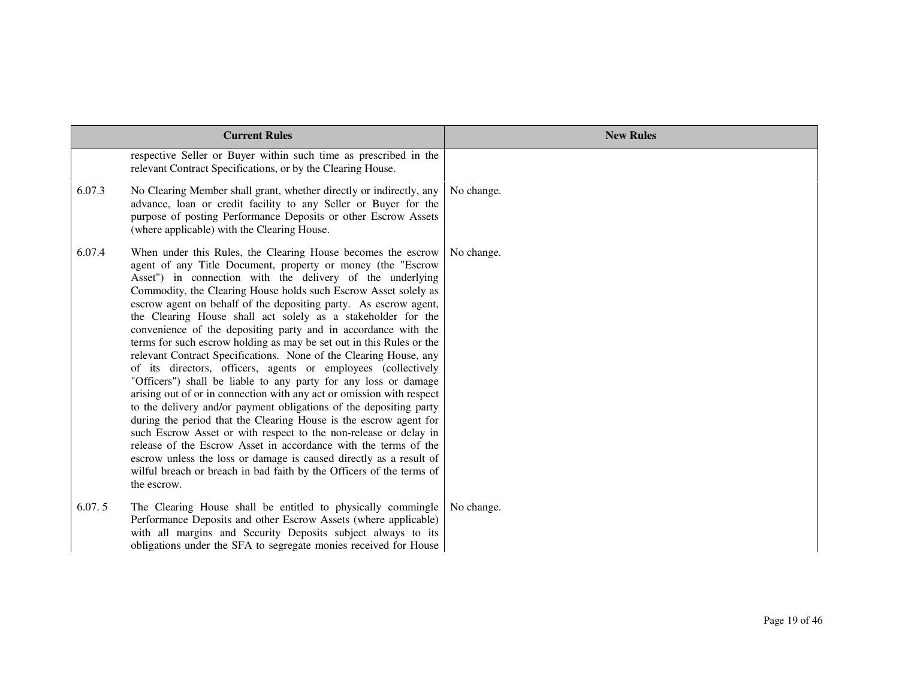|        | <b>Current Rules</b>                                                                                                                                                                                                                                                                                                                                                                                                                                                                                                                                                                                                                                                                                                                                                                                                                                                                                                                                                                                                                                                                                                                                                                                                                                                       | <b>New Rules</b> |
|--------|----------------------------------------------------------------------------------------------------------------------------------------------------------------------------------------------------------------------------------------------------------------------------------------------------------------------------------------------------------------------------------------------------------------------------------------------------------------------------------------------------------------------------------------------------------------------------------------------------------------------------------------------------------------------------------------------------------------------------------------------------------------------------------------------------------------------------------------------------------------------------------------------------------------------------------------------------------------------------------------------------------------------------------------------------------------------------------------------------------------------------------------------------------------------------------------------------------------------------------------------------------------------------|------------------|
|        | respective Seller or Buyer within such time as prescribed in the<br>relevant Contract Specifications, or by the Clearing House.                                                                                                                                                                                                                                                                                                                                                                                                                                                                                                                                                                                                                                                                                                                                                                                                                                                                                                                                                                                                                                                                                                                                            |                  |
| 6.07.3 | No Clearing Member shall grant, whether directly or indirectly, any<br>advance, loan or credit facility to any Seller or Buyer for the<br>purpose of posting Performance Deposits or other Escrow Assets<br>(where applicable) with the Clearing House.                                                                                                                                                                                                                                                                                                                                                                                                                                                                                                                                                                                                                                                                                                                                                                                                                                                                                                                                                                                                                    | No change.       |
| 6.07.4 | When under this Rules, the Clearing House becomes the escrow<br>agent of any Title Document, property or money (the "Escrow<br>Asset") in connection with the delivery of the underlying<br>Commodity, the Clearing House holds such Escrow Asset solely as<br>escrow agent on behalf of the depositing party. As escrow agent,<br>the Clearing House shall act solely as a stakeholder for the<br>convenience of the depositing party and in accordance with the<br>terms for such escrow holding as may be set out in this Rules or the<br>relevant Contract Specifications. None of the Clearing House, any<br>of its directors, officers, agents or employees (collectively<br>"Officers") shall be liable to any party for any loss or damage<br>arising out of or in connection with any act or omission with respect<br>to the delivery and/or payment obligations of the depositing party<br>during the period that the Clearing House is the escrow agent for<br>such Escrow Asset or with respect to the non-release or delay in<br>release of the Escrow Asset in accordance with the terms of the<br>escrow unless the loss or damage is caused directly as a result of<br>wilful breach or breach in bad faith by the Officers of the terms of<br>the escrow. | No change.       |
| 6.07.5 | The Clearing House shall be entitled to physically commingle<br>Performance Deposits and other Escrow Assets (where applicable)<br>with all margins and Security Deposits subject always to its<br>obligations under the SFA to segregate monies received for House                                                                                                                                                                                                                                                                                                                                                                                                                                                                                                                                                                                                                                                                                                                                                                                                                                                                                                                                                                                                        | No change.       |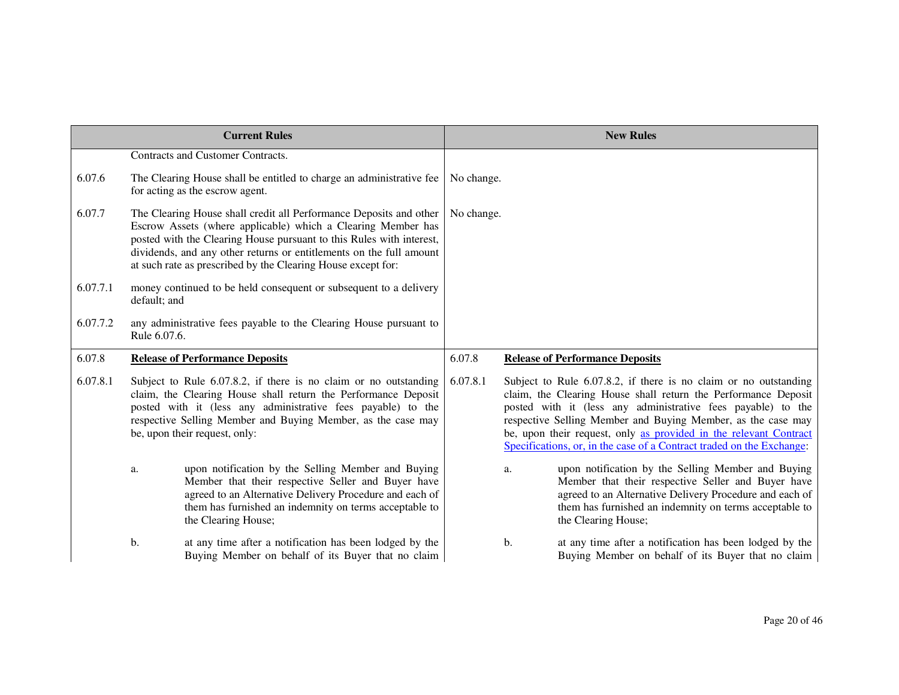|          |              | <b>Current Rules</b>                                                                                                                                                                                                                                                                                                                              |            |    | <b>New Rules</b>                                                                                                                                                                                                                                                                                                                                                                                                 |
|----------|--------------|---------------------------------------------------------------------------------------------------------------------------------------------------------------------------------------------------------------------------------------------------------------------------------------------------------------------------------------------------|------------|----|------------------------------------------------------------------------------------------------------------------------------------------------------------------------------------------------------------------------------------------------------------------------------------------------------------------------------------------------------------------------------------------------------------------|
|          |              | Contracts and Customer Contracts.                                                                                                                                                                                                                                                                                                                 |            |    |                                                                                                                                                                                                                                                                                                                                                                                                                  |
| 6.07.6   |              | The Clearing House shall be entitled to charge an administrative fee<br>for acting as the escrow agent.                                                                                                                                                                                                                                           | No change. |    |                                                                                                                                                                                                                                                                                                                                                                                                                  |
| 6.07.7   |              | The Clearing House shall credit all Performance Deposits and other<br>Escrow Assets (where applicable) which a Clearing Member has<br>posted with the Clearing House pursuant to this Rules with interest,<br>dividends, and any other returns or entitlements on the full amount<br>at such rate as prescribed by the Clearing House except for: | No change. |    |                                                                                                                                                                                                                                                                                                                                                                                                                  |
| 6.07.7.1 | default; and | money continued to be held consequent or subsequent to a delivery                                                                                                                                                                                                                                                                                 |            |    |                                                                                                                                                                                                                                                                                                                                                                                                                  |
| 6.07.7.2 | Rule 6.07.6. | any administrative fees payable to the Clearing House pursuant to                                                                                                                                                                                                                                                                                 |            |    |                                                                                                                                                                                                                                                                                                                                                                                                                  |
| 6.07.8   |              | <b>Release of Performance Deposits</b>                                                                                                                                                                                                                                                                                                            | 6.07.8     |    | <b>Release of Performance Deposits</b>                                                                                                                                                                                                                                                                                                                                                                           |
| 6.07.8.1 |              | Subject to Rule 6.07.8.2, if there is no claim or no outstanding<br>claim, the Clearing House shall return the Performance Deposit<br>posted with it (less any administrative fees payable) to the<br>respective Selling Member and Buying Member, as the case may<br>be, upon their request, only:                                               | 6.07.8.1   |    | Subject to Rule 6.07.8.2, if there is no claim or no outstanding<br>claim, the Clearing House shall return the Performance Deposit<br>posted with it (less any administrative fees payable) to the<br>respective Selling Member and Buying Member, as the case may<br>be, upon their request, only as provided in the relevant Contract<br>Specifications, or, in the case of a Contract traded on the Exchange: |
|          | a.           | upon notification by the Selling Member and Buying<br>Member that their respective Seller and Buyer have<br>agreed to an Alternative Delivery Procedure and each of<br>them has furnished an indemnity on terms acceptable to<br>the Clearing House;                                                                                              |            | a. | upon notification by the Selling Member and Buying<br>Member that their respective Seller and Buyer have<br>agreed to an Alternative Delivery Procedure and each of<br>them has furnished an indemnity on terms acceptable to<br>the Clearing House;                                                                                                                                                             |
|          | b.           | at any time after a notification has been lodged by the<br>Buying Member on behalf of its Buyer that no claim                                                                                                                                                                                                                                     |            | b. | at any time after a notification has been lodged by the<br>Buying Member on behalf of its Buyer that no claim                                                                                                                                                                                                                                                                                                    |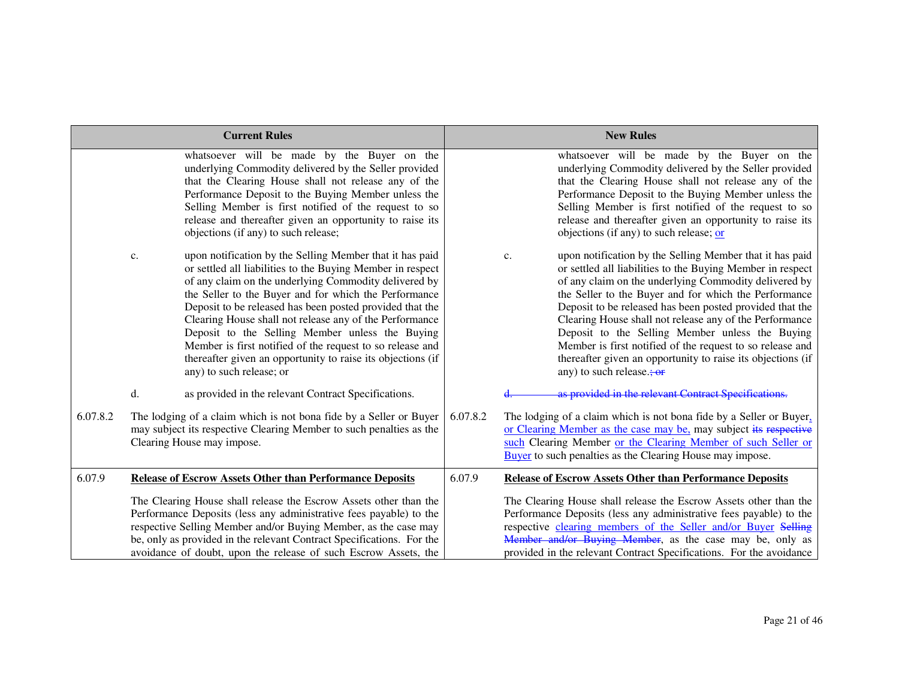|          | <b>Current Rules</b>                                                                                                                                                                                                                                                                                                                                                                                                                                                                                                                                                             | <b>New Rules</b>                                                                                                                                                                                                                                                                                                                                                                                                                                                                                                                                                                    |
|----------|----------------------------------------------------------------------------------------------------------------------------------------------------------------------------------------------------------------------------------------------------------------------------------------------------------------------------------------------------------------------------------------------------------------------------------------------------------------------------------------------------------------------------------------------------------------------------------|-------------------------------------------------------------------------------------------------------------------------------------------------------------------------------------------------------------------------------------------------------------------------------------------------------------------------------------------------------------------------------------------------------------------------------------------------------------------------------------------------------------------------------------------------------------------------------------|
|          | whatsoever will be made by the Buyer on the<br>underlying Commodity delivered by the Seller provided<br>that the Clearing House shall not release any of the<br>Performance Deposit to the Buying Member unless the<br>Selling Member is first notified of the request to so<br>release and thereafter given an opportunity to raise its<br>objections (if any) to such release;                                                                                                                                                                                                 | whatsoever will be made by the Buyer on the<br>underlying Commodity delivered by the Seller provided<br>that the Clearing House shall not release any of the<br>Performance Deposit to the Buying Member unless the<br>Selling Member is first notified of the request to so<br>release and thereafter given an opportunity to raise its<br>objections (if any) to such release; or                                                                                                                                                                                                 |
|          | upon notification by the Selling Member that it has paid<br>c.<br>or settled all liabilities to the Buying Member in respect<br>of any claim on the underlying Commodity delivered by<br>the Seller to the Buyer and for which the Performance<br>Deposit to be released has been posted provided that the<br>Clearing House shall not release any of the Performance<br>Deposit to the Selling Member unless the Buying<br>Member is first notified of the request to so release and<br>thereafter given an opportunity to raise its objections (if<br>any) to such release; or | upon notification by the Selling Member that it has paid<br>c.<br>or settled all liabilities to the Buying Member in respect<br>of any claim on the underlying Commodity delivered by<br>the Seller to the Buyer and for which the Performance<br>Deposit to be released has been posted provided that the<br>Clearing House shall not release any of the Performance<br>Deposit to the Selling Member unless the Buying<br>Member is first notified of the request to so release and<br>thereafter given an opportunity to raise its objections (if<br>any) to such release.; $or$ |
|          | d.<br>as provided in the relevant Contract Specifications.                                                                                                                                                                                                                                                                                                                                                                                                                                                                                                                       | as provided in the relevant Contract Specifications.                                                                                                                                                                                                                                                                                                                                                                                                                                                                                                                                |
| 6.07.8.2 | The lodging of a claim which is not bona fide by a Seller or Buyer<br>may subject its respective Clearing Member to such penalties as the<br>Clearing House may impose.                                                                                                                                                                                                                                                                                                                                                                                                          | 6.07.8.2<br>The lodging of a claim which is not bona fide by a Seller or Buyer,<br>or Clearing Member as the case may be, may subject its respective<br>such Clearing Member or the Clearing Member of such Seller or<br><b>Buyer</b> to such penalties as the Clearing House may impose.                                                                                                                                                                                                                                                                                           |
| 6.07.9   | <b>Release of Escrow Assets Other than Performance Deposits</b>                                                                                                                                                                                                                                                                                                                                                                                                                                                                                                                  | 6.07.9<br><b>Release of Escrow Assets Other than Performance Deposits</b>                                                                                                                                                                                                                                                                                                                                                                                                                                                                                                           |
|          | The Clearing House shall release the Escrow Assets other than the<br>Performance Deposits (less any administrative fees payable) to the<br>respective Selling Member and/or Buying Member, as the case may<br>be, only as provided in the relevant Contract Specifications. For the<br>avoidance of doubt, upon the release of such Escrow Assets, the                                                                                                                                                                                                                           | The Clearing House shall release the Escrow Assets other than the<br>Performance Deposits (less any administrative fees payable) to the<br>respective clearing members of the Seller and/or Buyer Selling<br>Member and/or Buying Member, as the case may be, only as<br>provided in the relevant Contract Specifications. For the avoidance                                                                                                                                                                                                                                        |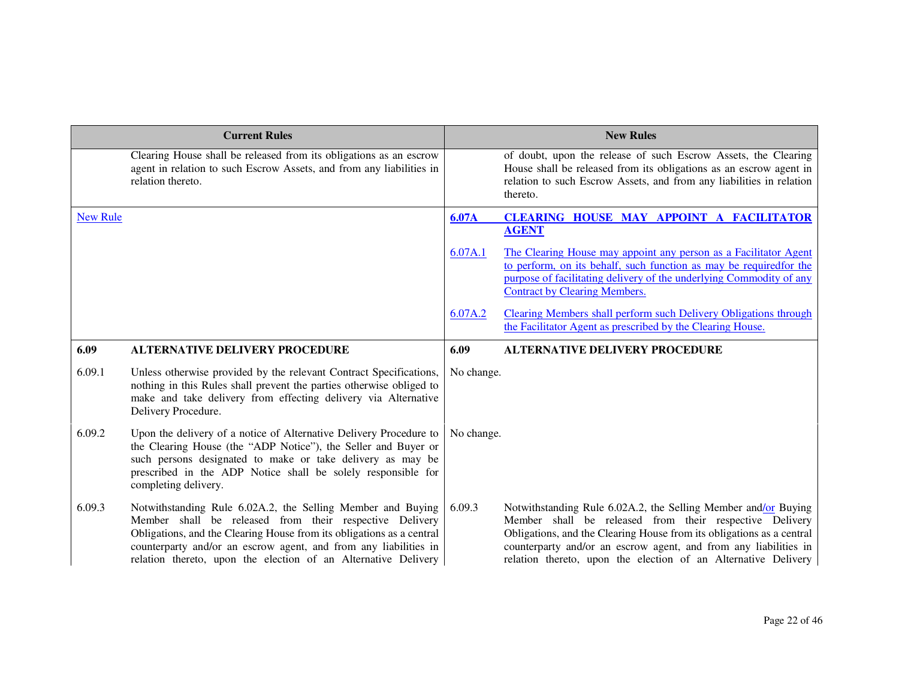|                 | <b>Current Rules</b>                                                                                                                                                                                                                                                                                                                  |              | <b>New Rules</b>                                                                                                                                                                                                                                                                                                                         |
|-----------------|---------------------------------------------------------------------------------------------------------------------------------------------------------------------------------------------------------------------------------------------------------------------------------------------------------------------------------------|--------------|------------------------------------------------------------------------------------------------------------------------------------------------------------------------------------------------------------------------------------------------------------------------------------------------------------------------------------------|
|                 | Clearing House shall be released from its obligations as an escrow<br>agent in relation to such Escrow Assets, and from any liabilities in<br>relation thereto.                                                                                                                                                                       |              | of doubt, upon the release of such Escrow Assets, the Clearing<br>House shall be released from its obligations as an escrow agent in<br>relation to such Escrow Assets, and from any liabilities in relation<br>thereto.                                                                                                                 |
| <b>New Rule</b> |                                                                                                                                                                                                                                                                                                                                       | <b>6.07A</b> | <b>CLEARING HOUSE MAY APPOINT A FACILITATOR</b><br><b>AGENT</b>                                                                                                                                                                                                                                                                          |
|                 |                                                                                                                                                                                                                                                                                                                                       | 6.07A.1      | The Clearing House may appoint any person as a Facilitator Agent<br>to perform, on its behalf, such function as may be required for the<br>purpose of facilitating delivery of the underlying Commodity of any<br><b>Contract by Clearing Members.</b>                                                                                   |
|                 |                                                                                                                                                                                                                                                                                                                                       | 6.07A.2      | Clearing Members shall perform such Delivery Obligations through<br>the Facilitator Agent as prescribed by the Clearing House.                                                                                                                                                                                                           |
| 6.09            | <b>ALTERNATIVE DELIVERY PROCEDURE</b>                                                                                                                                                                                                                                                                                                 | 6.09         | <b>ALTERNATIVE DELIVERY PROCEDURE</b>                                                                                                                                                                                                                                                                                                    |
| 6.09.1          | Unless otherwise provided by the relevant Contract Specifications,<br>nothing in this Rules shall prevent the parties otherwise obliged to<br>make and take delivery from effecting delivery via Alternative<br>Delivery Procedure.                                                                                                   | No change.   |                                                                                                                                                                                                                                                                                                                                          |
| 6.09.2          | Upon the delivery of a notice of Alternative Delivery Procedure to<br>the Clearing House (the "ADP Notice"), the Seller and Buyer or<br>such persons designated to make or take delivery as may be<br>prescribed in the ADP Notice shall be solely responsible for<br>completing delivery.                                            | No change.   |                                                                                                                                                                                                                                                                                                                                          |
| 6.09.3          | Notwithstanding Rule 6.02A.2, the Selling Member and Buying<br>Member shall be released from their respective Delivery<br>Obligations, and the Clearing House from its obligations as a central<br>counterparty and/or an escrow agent, and from any liabilities in<br>relation thereto, upon the election of an Alternative Delivery | 6.09.3       | Notwithstanding Rule 6.02A.2, the Selling Member and/or Buying<br>Member shall be released from their respective Delivery<br>Obligations, and the Clearing House from its obligations as a central<br>counterparty and/or an escrow agent, and from any liabilities in<br>relation thereto, upon the election of an Alternative Delivery |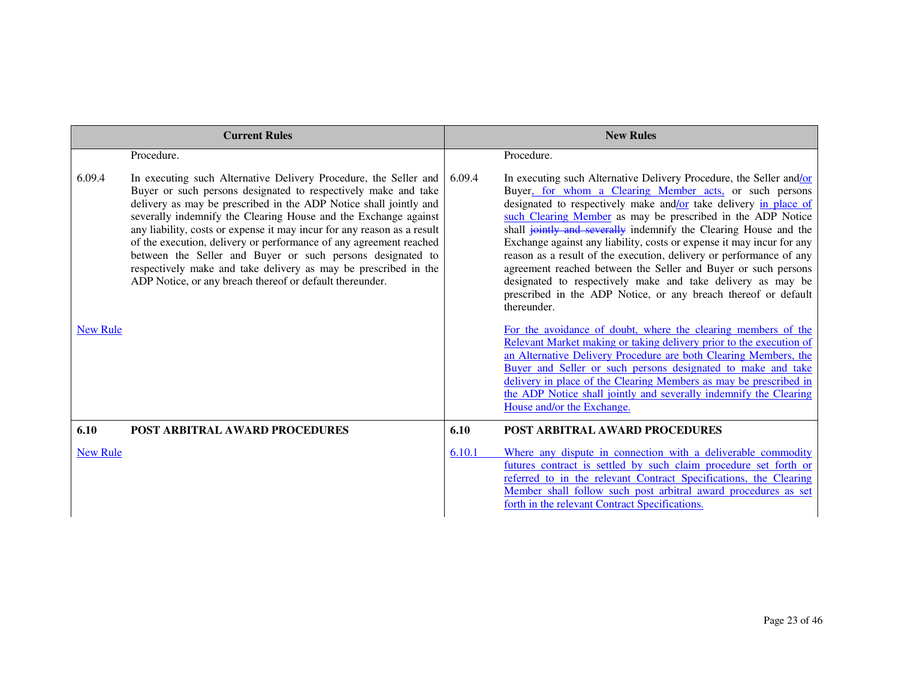|                 | <b>Current Rules</b>                                                                                                                                                                                                                                                                                                                                                                                                                                                                                                                                                                                                     |        | <b>New Rules</b>                                                                                                                                                                                                                                                                                                                                                                                                                                                                                                                                                                                                                                                                                        |
|-----------------|--------------------------------------------------------------------------------------------------------------------------------------------------------------------------------------------------------------------------------------------------------------------------------------------------------------------------------------------------------------------------------------------------------------------------------------------------------------------------------------------------------------------------------------------------------------------------------------------------------------------------|--------|---------------------------------------------------------------------------------------------------------------------------------------------------------------------------------------------------------------------------------------------------------------------------------------------------------------------------------------------------------------------------------------------------------------------------------------------------------------------------------------------------------------------------------------------------------------------------------------------------------------------------------------------------------------------------------------------------------|
|                 | Procedure.                                                                                                                                                                                                                                                                                                                                                                                                                                                                                                                                                                                                               |        | Procedure.                                                                                                                                                                                                                                                                                                                                                                                                                                                                                                                                                                                                                                                                                              |
| 6.09.4          | In executing such Alternative Delivery Procedure, the Seller and<br>Buyer or such persons designated to respectively make and take<br>delivery as may be prescribed in the ADP Notice shall jointly and<br>severally indemnify the Clearing House and the Exchange against<br>any liability, costs or expense it may incur for any reason as a result<br>of the execution, delivery or performance of any agreement reached<br>between the Seller and Buyer or such persons designated to<br>respectively make and take delivery as may be prescribed in the<br>ADP Notice, or any breach thereof or default thereunder. | 6.09.4 | In executing such Alternative Delivery Procedure, the Seller and/or<br>Buyer, for whom a Clearing Member acts, or such persons<br>designated to respectively make and/or take delivery in place of<br>such Clearing Member as may be prescribed in the ADP Notice<br>shall jointly and severally indemnify the Clearing House and the<br>Exchange against any liability, costs or expense it may incur for any<br>reason as a result of the execution, delivery or performance of any<br>agreement reached between the Seller and Buyer or such persons<br>designated to respectively make and take delivery as may be<br>prescribed in the ADP Notice, or any breach thereof or default<br>thereunder. |
| <b>New Rule</b> |                                                                                                                                                                                                                                                                                                                                                                                                                                                                                                                                                                                                                          |        | For the avoidance of doubt, where the clearing members of the<br>Relevant Market making or taking delivery prior to the execution of<br>an Alternative Delivery Procedure are both Clearing Members, the<br>Buyer and Seller or such persons designated to make and take<br>delivery in place of the Clearing Members as may be prescribed in<br>the ADP Notice shall jointly and severally indemnify the Clearing<br>House and/or the Exchange.                                                                                                                                                                                                                                                        |
| 6.10            | <b>POST ARBITRAL AWARD PROCEDURES</b>                                                                                                                                                                                                                                                                                                                                                                                                                                                                                                                                                                                    | 6.10   | <b>POST ARBITRAL AWARD PROCEDURES</b>                                                                                                                                                                                                                                                                                                                                                                                                                                                                                                                                                                                                                                                                   |
| <b>New Rule</b> |                                                                                                                                                                                                                                                                                                                                                                                                                                                                                                                                                                                                                          | 6.10.1 | Where any dispute in connection with a deliverable commodity<br>futures contract is settled by such claim procedure set forth or<br>referred to in the relevant Contract Specifications, the Clearing<br>Member shall follow such post arbitral award procedures as set<br>forth in the relevant Contract Specifications.                                                                                                                                                                                                                                                                                                                                                                               |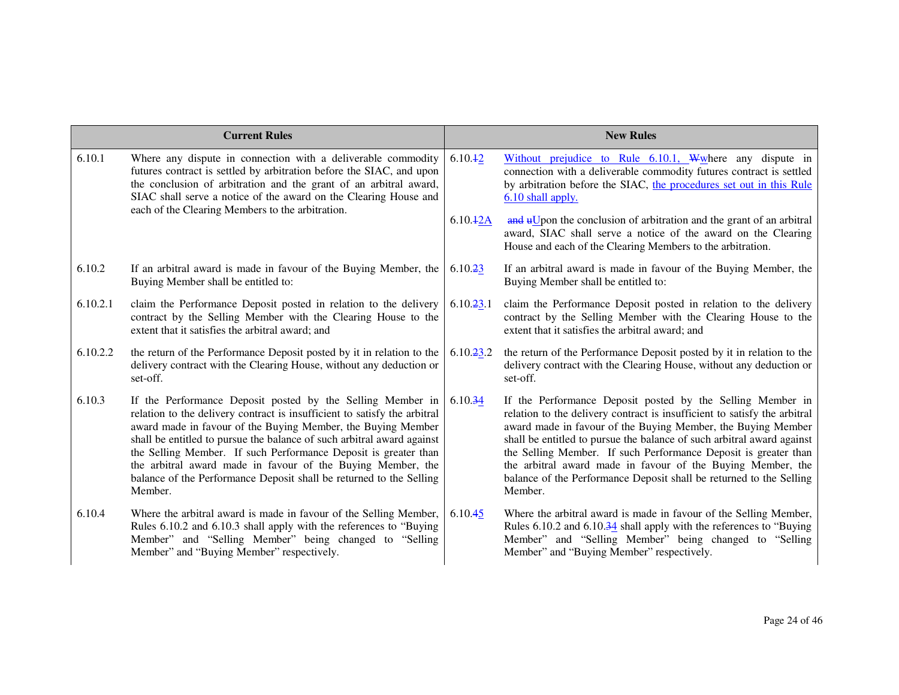|          | <b>Current Rules</b>                                                                                                                                                                                                                                                                                                                                                                                                                                                                                  | <b>New Rules</b>    |                                                                                                                                                                                                                                                                                                                                                                                                                                                                                                       |
|----------|-------------------------------------------------------------------------------------------------------------------------------------------------------------------------------------------------------------------------------------------------------------------------------------------------------------------------------------------------------------------------------------------------------------------------------------------------------------------------------------------------------|---------------------|-------------------------------------------------------------------------------------------------------------------------------------------------------------------------------------------------------------------------------------------------------------------------------------------------------------------------------------------------------------------------------------------------------------------------------------------------------------------------------------------------------|
| 6.10.1   | Where any dispute in connection with a deliverable commodity<br>futures contract is settled by arbitration before the SIAC, and upon<br>the conclusion of arbitration and the grant of an arbitral award,<br>SIAC shall serve a notice of the award on the Clearing House and<br>each of the Clearing Members to the arbitration.                                                                                                                                                                     | 6.10.42<br>6.10.42A | Without prejudice to Rule $6.10.1$ , Wwhere any dispute in<br>connection with a deliverable commodity futures contract is settled<br>by arbitration before the SIAC, the procedures set out in this Rule<br>6.10 shall apply.<br>and uUpon the conclusion of arbitration and the grant of an arbitral<br>award, SIAC shall serve a notice of the award on the Clearing<br>House and each of the Clearing Members to the arbitration.                                                                  |
| 6.10.2   | If an arbitral award is made in favour of the Buying Member, the<br>Buying Member shall be entitled to:                                                                                                                                                                                                                                                                                                                                                                                               | 6.10.23             | If an arbitral award is made in favour of the Buying Member, the<br>Buying Member shall be entitled to:                                                                                                                                                                                                                                                                                                                                                                                               |
| 6.10.2.1 | claim the Performance Deposit posted in relation to the delivery<br>contract by the Selling Member with the Clearing House to the<br>extent that it satisfies the arbitral award; and                                                                                                                                                                                                                                                                                                                 | 6.10.23.1           | claim the Performance Deposit posted in relation to the delivery<br>contract by the Selling Member with the Clearing House to the<br>extent that it satisfies the arbitral award; and                                                                                                                                                                                                                                                                                                                 |
| 6.10.2.2 | the return of the Performance Deposit posted by it in relation to the<br>delivery contract with the Clearing House, without any deduction or<br>set-off.                                                                                                                                                                                                                                                                                                                                              | 6.10.23.2           | the return of the Performance Deposit posted by it in relation to the<br>delivery contract with the Clearing House, without any deduction or<br>set-off.                                                                                                                                                                                                                                                                                                                                              |
| 6.10.3   | If the Performance Deposit posted by the Selling Member in<br>relation to the delivery contract is insufficient to satisfy the arbitral<br>award made in favour of the Buying Member, the Buying Member<br>shall be entitled to pursue the balance of such arbitral award against<br>the Selling Member. If such Performance Deposit is greater than<br>the arbitral award made in favour of the Buying Member, the<br>balance of the Performance Deposit shall be returned to the Selling<br>Member. | 6.10.34             | If the Performance Deposit posted by the Selling Member in<br>relation to the delivery contract is insufficient to satisfy the arbitral<br>award made in favour of the Buying Member, the Buying Member<br>shall be entitled to pursue the balance of such arbitral award against<br>the Selling Member. If such Performance Deposit is greater than<br>the arbitral award made in favour of the Buying Member, the<br>balance of the Performance Deposit shall be returned to the Selling<br>Member. |
| 6.10.4   | Where the arbitral award is made in favour of the Selling Member,<br>Rules 6.10.2 and 6.10.3 shall apply with the references to "Buying<br>Member" and "Selling Member" being changed to "Selling<br>Member" and "Buying Member" respectively.                                                                                                                                                                                                                                                        | 6.10.45             | Where the arbitral award is made in favour of the Selling Member,<br>Rules 6.10.2 and 6.10.34 shall apply with the references to "Buying<br>Member" and "Selling Member" being changed to "Selling<br>Member" and "Buying Member" respectively.                                                                                                                                                                                                                                                       |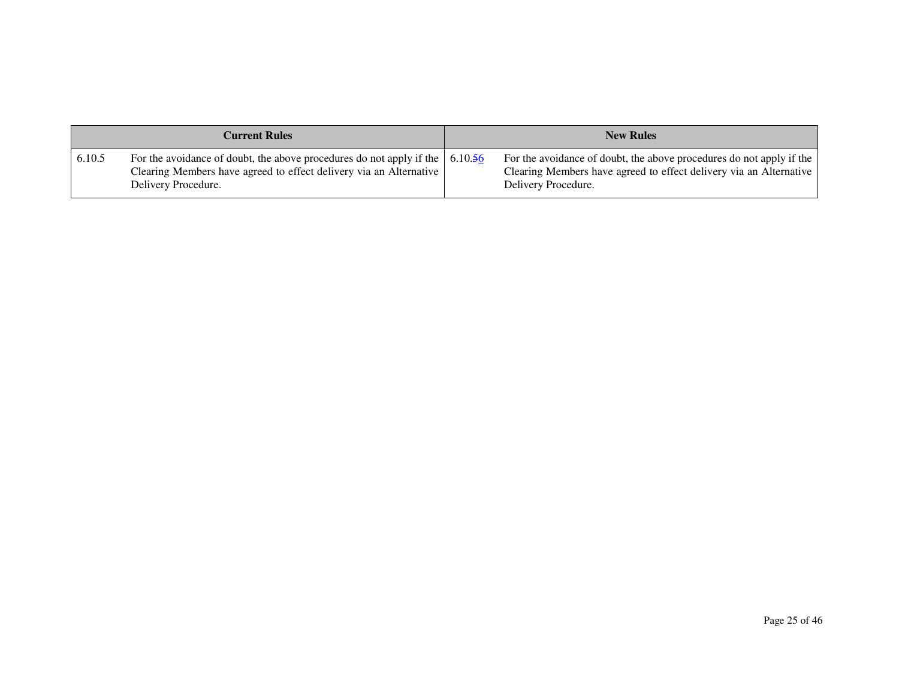| <b>Current Rules</b> |                                                                                                                                                                                           | <b>New Rules</b> |                                                                                                                                                                   |
|----------------------|-------------------------------------------------------------------------------------------------------------------------------------------------------------------------------------------|------------------|-------------------------------------------------------------------------------------------------------------------------------------------------------------------|
| 6.10.5               | For the avoidance of doubt, the above procedures do not apply if the $\vert 6.10.56 \rangle$<br>Clearing Members have agreed to effect delivery via an Alternative<br>Delivery Procedure. |                  | For the avoidance of doubt, the above procedures do not apply if the<br>Clearing Members have agreed to effect delivery via an Alternative<br>Delivery Procedure. |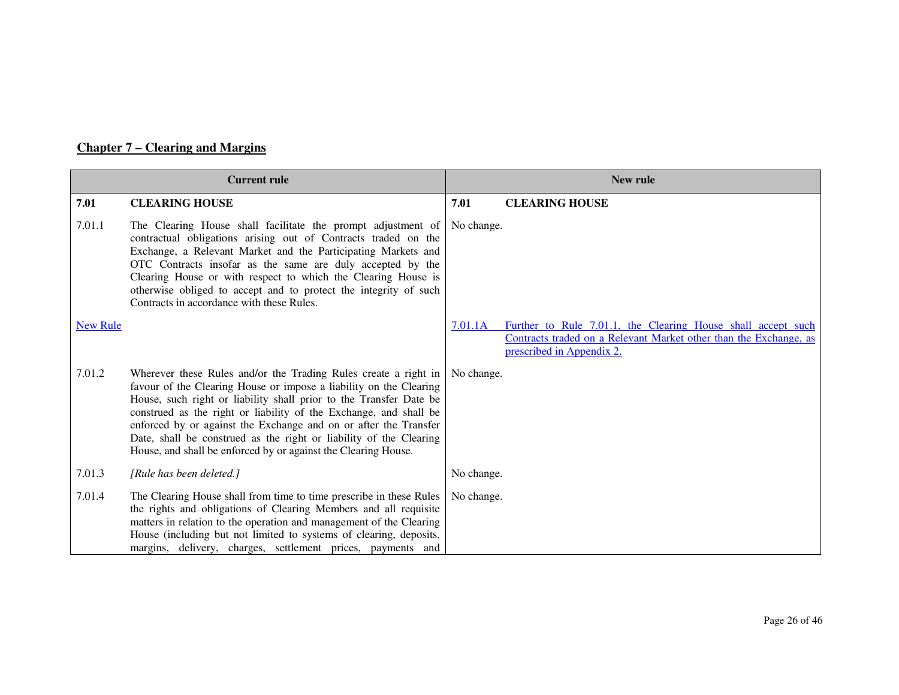# **Chapter 7 – Clearing and Margins**

|                 | <b>Current rule</b>                                                                                                                                                                                                                                                                                                                                                                                                                                                                          | New rule   |                                                                                                                                                                |  |
|-----------------|----------------------------------------------------------------------------------------------------------------------------------------------------------------------------------------------------------------------------------------------------------------------------------------------------------------------------------------------------------------------------------------------------------------------------------------------------------------------------------------------|------------|----------------------------------------------------------------------------------------------------------------------------------------------------------------|--|
| 7.01            | <b>CLEARING HOUSE</b>                                                                                                                                                                                                                                                                                                                                                                                                                                                                        | 7.01       | <b>CLEARING HOUSE</b>                                                                                                                                          |  |
| 7.01.1          | The Clearing House shall facilitate the prompt adjustment of<br>contractual obligations arising out of Contracts traded on the<br>Exchange, a Relevant Market and the Participating Markets and<br>OTC Contracts insofar as the same are duly accepted by the<br>Clearing House or with respect to which the Clearing House is<br>otherwise obliged to accept and to protect the integrity of such<br>Contracts in accordance with these Rules.                                              | No change. |                                                                                                                                                                |  |
| <b>New Rule</b> |                                                                                                                                                                                                                                                                                                                                                                                                                                                                                              | 7.01.1A    | Further to Rule 7.01.1, the Clearing House shall accept such<br>Contracts traded on a Relevant Market other than the Exchange, as<br>prescribed in Appendix 2. |  |
| 7.01.2          | Wherever these Rules and/or the Trading Rules create a right in<br>favour of the Clearing House or impose a liability on the Clearing<br>House, such right or liability shall prior to the Transfer Date be<br>construed as the right or liability of the Exchange, and shall be<br>enforced by or against the Exchange and on or after the Transfer<br>Date, shall be construed as the right or liability of the Clearing<br>House, and shall be enforced by or against the Clearing House. | No change. |                                                                                                                                                                |  |
| 7.01.3          | [Rule has been deleted.]                                                                                                                                                                                                                                                                                                                                                                                                                                                                     | No change. |                                                                                                                                                                |  |
| 7.01.4          | The Clearing House shall from time to time prescribe in these Rules<br>the rights and obligations of Clearing Members and all requisite<br>matters in relation to the operation and management of the Clearing<br>House (including but not limited to systems of clearing, deposits,<br>margins, delivery, charges, settlement prices, payments and                                                                                                                                          | No change. |                                                                                                                                                                |  |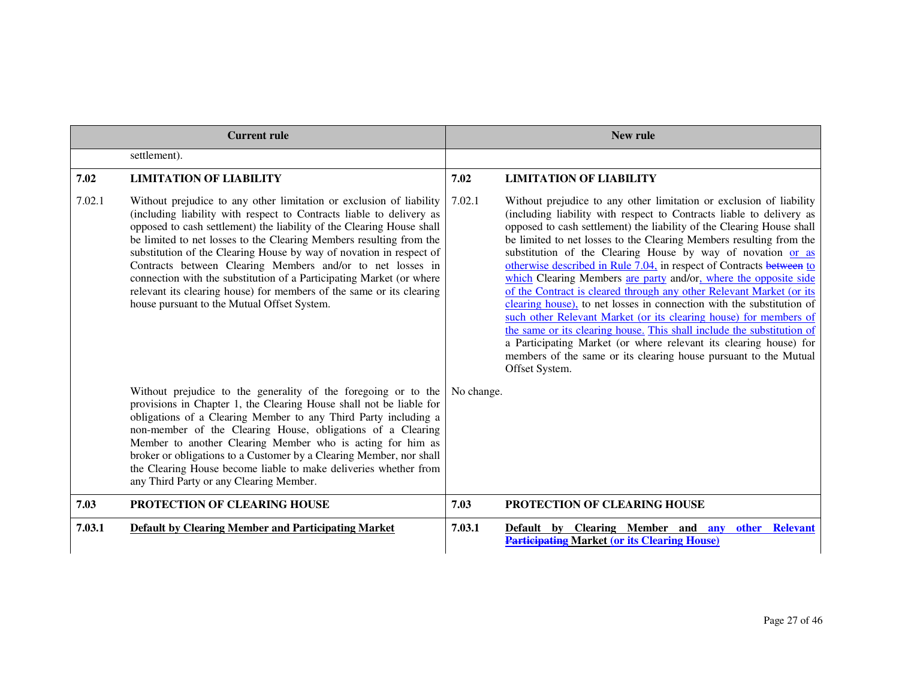| <b>Current rule</b> |                                                                                                                                                                                                                                                                                                                                                                                                                                                                                                                                                                                                                                 | New rule   |                                                                                                                                                                                                                                                                                                                                                                                                                                                                                                                                                                                                                                                                                                                                                                                                                                                                                                                                                                   |
|---------------------|---------------------------------------------------------------------------------------------------------------------------------------------------------------------------------------------------------------------------------------------------------------------------------------------------------------------------------------------------------------------------------------------------------------------------------------------------------------------------------------------------------------------------------------------------------------------------------------------------------------------------------|------------|-------------------------------------------------------------------------------------------------------------------------------------------------------------------------------------------------------------------------------------------------------------------------------------------------------------------------------------------------------------------------------------------------------------------------------------------------------------------------------------------------------------------------------------------------------------------------------------------------------------------------------------------------------------------------------------------------------------------------------------------------------------------------------------------------------------------------------------------------------------------------------------------------------------------------------------------------------------------|
|                     | settlement).                                                                                                                                                                                                                                                                                                                                                                                                                                                                                                                                                                                                                    |            |                                                                                                                                                                                                                                                                                                                                                                                                                                                                                                                                                                                                                                                                                                                                                                                                                                                                                                                                                                   |
| 7.02                | <b>LIMITATION OF LIABILITY</b>                                                                                                                                                                                                                                                                                                                                                                                                                                                                                                                                                                                                  | 7.02       | <b>LIMITATION OF LIABILITY</b>                                                                                                                                                                                                                                                                                                                                                                                                                                                                                                                                                                                                                                                                                                                                                                                                                                                                                                                                    |
| 7.02.1              | Without prejudice to any other limitation or exclusion of liability<br>(including liability with respect to Contracts liable to delivery as<br>opposed to cash settlement) the liability of the Clearing House shall<br>be limited to net losses to the Clearing Members resulting from the<br>substitution of the Clearing House by way of novation in respect of<br>Contracts between Clearing Members and/or to net losses in<br>connection with the substitution of a Participating Market (or where<br>relevant its clearing house) for members of the same or its clearing<br>house pursuant to the Mutual Offset System. | 7.02.1     | Without prejudice to any other limitation or exclusion of liability<br>(including liability with respect to Contracts liable to delivery as<br>opposed to cash settlement) the liability of the Clearing House shall<br>be limited to net losses to the Clearing Members resulting from the<br>substitution of the Clearing House by way of novation or as<br>otherwise described in Rule 7.04, in respect of Contracts between to<br>which Clearing Members are party and/or, where the opposite side<br>of the Contract is cleared through any other Relevant Market (or its<br>clearing house), to net losses in connection with the substitution of<br>such other Relevant Market (or its clearing house) for members of<br>the same or its clearing house. This shall include the substitution of<br>a Participating Market (or where relevant its clearing house) for<br>members of the same or its clearing house pursuant to the Mutual<br>Offset System. |
|                     | Without prejudice to the generality of the foregoing or to the<br>provisions in Chapter 1, the Clearing House shall not be liable for<br>obligations of a Clearing Member to any Third Party including a<br>non-member of the Clearing House, obligations of a Clearing<br>Member to another Clearing Member who is acting for him as<br>broker or obligations to a Customer by a Clearing Member, nor shall<br>the Clearing House become liable to make deliveries whether from<br>any Third Party or any Clearing Member.                                                                                                     | No change. |                                                                                                                                                                                                                                                                                                                                                                                                                                                                                                                                                                                                                                                                                                                                                                                                                                                                                                                                                                   |
| 7.03                | PROTECTION OF CLEARING HOUSE                                                                                                                                                                                                                                                                                                                                                                                                                                                                                                                                                                                                    | 7.03       | PROTECTION OF CLEARING HOUSE                                                                                                                                                                                                                                                                                                                                                                                                                                                                                                                                                                                                                                                                                                                                                                                                                                                                                                                                      |
| 7.03.1              | <b>Default by Clearing Member and Participating Market</b>                                                                                                                                                                                                                                                                                                                                                                                                                                                                                                                                                                      | 7.03.1     | Default by Clearing Member and any other Relevant<br><b>Participating Market (or its Clearing House)</b>                                                                                                                                                                                                                                                                                                                                                                                                                                                                                                                                                                                                                                                                                                                                                                                                                                                          |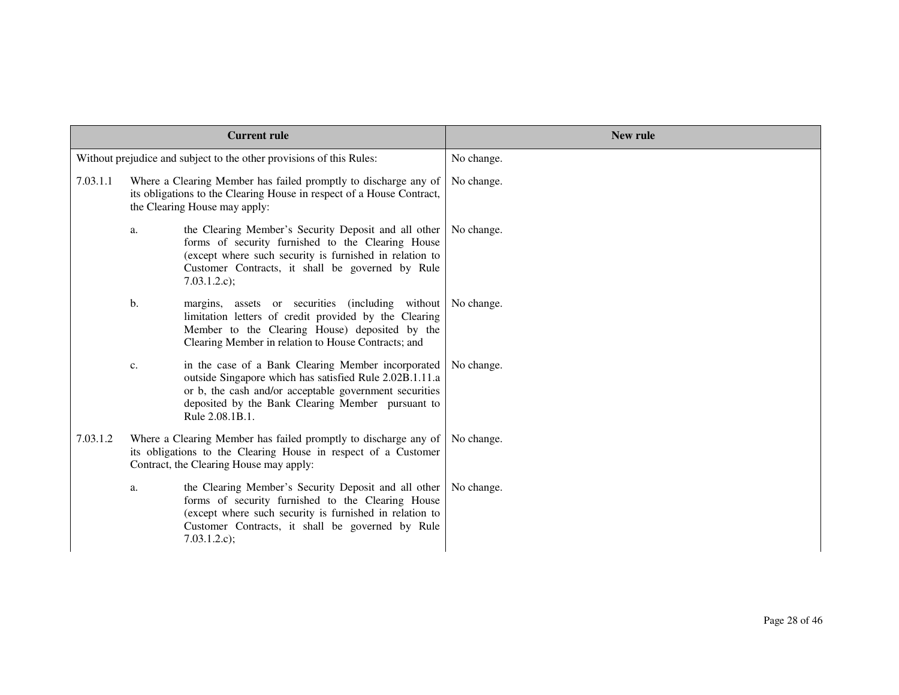|          |    | <b>Current rule</b>                                                                                                                                                                                                                             | <b>New rule</b> |
|----------|----|-------------------------------------------------------------------------------------------------------------------------------------------------------------------------------------------------------------------------------------------------|-----------------|
|          |    | Without prejudice and subject to the other provisions of this Rules:                                                                                                                                                                            | No change.      |
| 7.03.1.1 |    | Where a Clearing Member has failed promptly to discharge any of<br>its obligations to the Clearing House in respect of a House Contract,<br>the Clearing House may apply:                                                                       | No change.      |
|          | a. | the Clearing Member's Security Deposit and all other<br>forms of security furnished to the Clearing House<br>(except where such security is furnished in relation to<br>Customer Contracts, it shall be governed by Rule<br>7.03.1.2.c);        | No change.      |
|          | b. | margins, assets or securities (including without<br>limitation letters of credit provided by the Clearing<br>Member to the Clearing House) deposited by the<br>Clearing Member in relation to House Contracts; and                              | No change.      |
|          | c. | in the case of a Bank Clearing Member incorporated<br>outside Singapore which has satisfied Rule 2.02B.1.11.a<br>or b, the cash and/or acceptable government securities<br>deposited by the Bank Clearing Member pursuant to<br>Rule 2.08.1B.1. | No change.      |
| 7.03.1.2 |    | Where a Clearing Member has failed promptly to discharge any of<br>its obligations to the Clearing House in respect of a Customer<br>Contract, the Clearing House may apply:                                                                    | No change.      |
|          | a. | the Clearing Member's Security Deposit and all other<br>forms of security furnished to the Clearing House<br>(except where such security is furnished in relation to<br>Customer Contracts, it shall be governed by Rule<br>7.03.1.2.c);        | No change.      |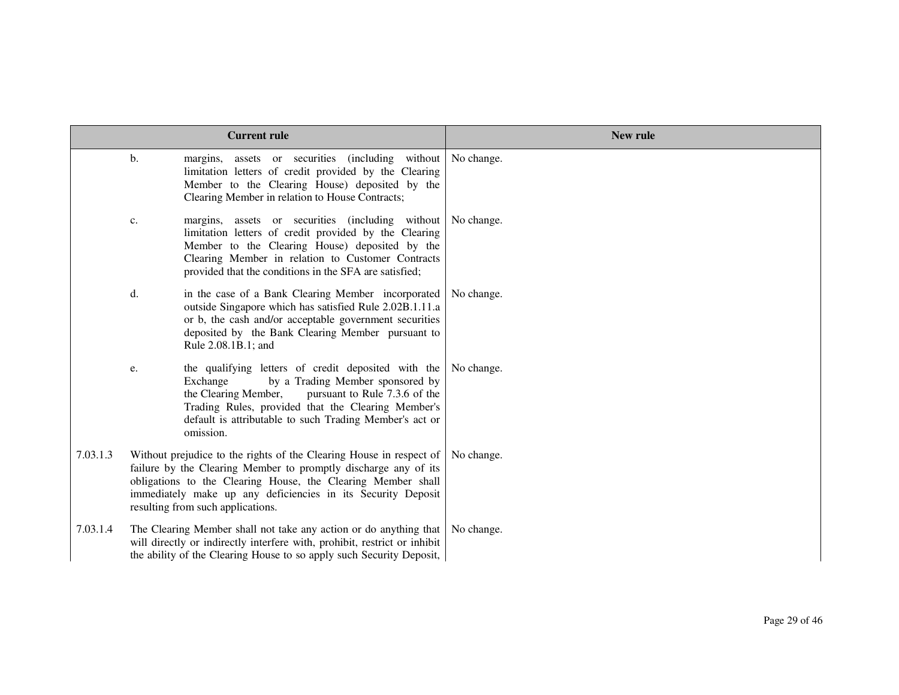|          |    | <b>Current rule</b>                                                                                                                                                                                                                                                                                         | New rule   |
|----------|----|-------------------------------------------------------------------------------------------------------------------------------------------------------------------------------------------------------------------------------------------------------------------------------------------------------------|------------|
|          | b. | margins, assets or securities (including without<br>limitation letters of credit provided by the Clearing<br>Member to the Clearing House) deposited by the<br>Clearing Member in relation to House Contracts;                                                                                              | No change. |
|          | c. | margins, assets or securities (including without No change.<br>limitation letters of credit provided by the Clearing<br>Member to the Clearing House) deposited by the<br>Clearing Member in relation to Customer Contracts<br>provided that the conditions in the SFA are satisfied;                       |            |
|          | d. | in the case of a Bank Clearing Member incorporated<br>outside Singapore which has satisfied Rule 2.02B.1.11.a<br>or b, the cash and/or acceptable government securities<br>deposited by the Bank Clearing Member pursuant to<br>Rule 2.08.1B.1; and                                                         | No change. |
|          | e. | the qualifying letters of credit deposited with the<br>by a Trading Member sponsored by<br>Exchange<br>the Clearing Member,<br>pursuant to Rule 7.3.6 of the<br>Trading Rules, provided that the Clearing Member's<br>default is attributable to such Trading Member's act or<br>omission.                  | No change. |
| 7.03.1.3 |    | Without prejudice to the rights of the Clearing House in respect of<br>failure by the Clearing Member to promptly discharge any of its<br>obligations to the Clearing House, the Clearing Member shall<br>immediately make up any deficiencies in its Security Deposit<br>resulting from such applications. | No change. |
| 7.03.1.4 |    | The Clearing Member shall not take any action or do anything that<br>will directly or indirectly interfere with, prohibit, restrict or inhibit<br>the ability of the Clearing House to so apply such Security Deposit,                                                                                      | No change. |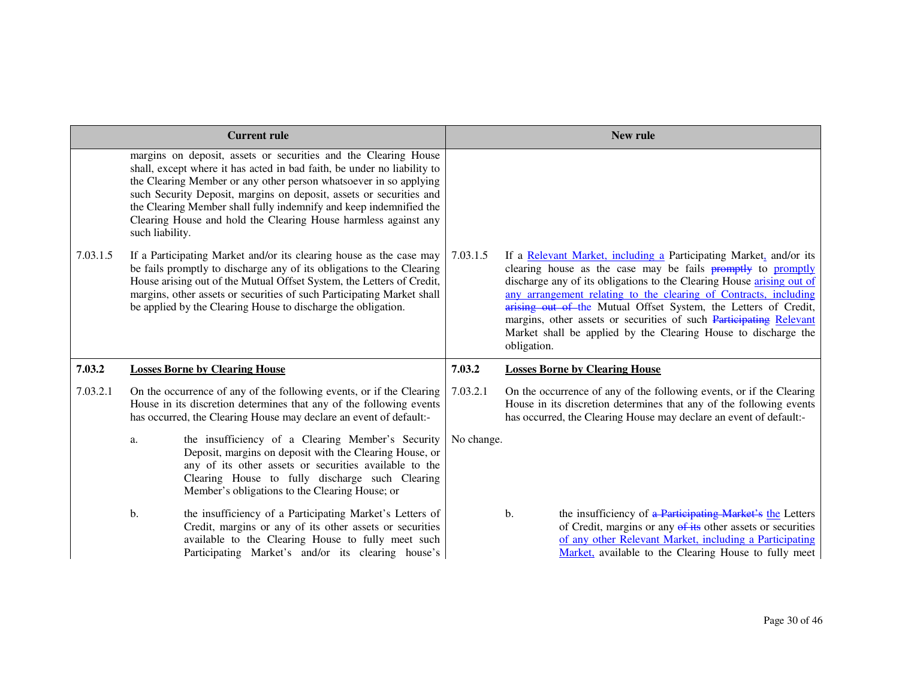|          |                 | <b>Current rule</b>                                                                                                                                                                                                                                                                                                                                                                                                             |            | New rule                                                                                                                                                                                                                                                                                                                                                                                                                                                                                                         |  |
|----------|-----------------|---------------------------------------------------------------------------------------------------------------------------------------------------------------------------------------------------------------------------------------------------------------------------------------------------------------------------------------------------------------------------------------------------------------------------------|------------|------------------------------------------------------------------------------------------------------------------------------------------------------------------------------------------------------------------------------------------------------------------------------------------------------------------------------------------------------------------------------------------------------------------------------------------------------------------------------------------------------------------|--|
|          | such liability. | margins on deposit, assets or securities and the Clearing House<br>shall, except where it has acted in bad faith, be under no liability to<br>the Clearing Member or any other person whatsoever in so applying<br>such Security Deposit, margins on deposit, assets or securities and<br>the Clearing Member shall fully indemnify and keep indemnified the<br>Clearing House and hold the Clearing House harmless against any |            |                                                                                                                                                                                                                                                                                                                                                                                                                                                                                                                  |  |
| 7.03.1.5 |                 | If a Participating Market and/or its clearing house as the case may<br>be fails promptly to discharge any of its obligations to the Clearing<br>House arising out of the Mutual Offset System, the Letters of Credit,<br>margins, other assets or securities of such Participating Market shall<br>be applied by the Clearing House to discharge the obligation.                                                                | 7.03.1.5   | If a Relevant Market, including a Participating Market, and/or its<br>clearing house as the case may be fails <b>promptly</b> to promptly<br>discharge any of its obligations to the Clearing House arising out of<br>any arrangement relating to the clearing of Contracts, including<br>arising out of the Mutual Offset System, the Letters of Credit,<br>margins, other assets or securities of such Participating Relevant<br>Market shall be applied by the Clearing House to discharge the<br>obligation. |  |
| 7.03.2   |                 | <b>Losses Borne by Clearing House</b>                                                                                                                                                                                                                                                                                                                                                                                           | 7.03.2     | <b>Losses Borne by Clearing House</b>                                                                                                                                                                                                                                                                                                                                                                                                                                                                            |  |
| 7.03.2.1 |                 | On the occurrence of any of the following events, or if the Clearing<br>House in its discretion determines that any of the following events<br>has occurred, the Clearing House may declare an event of default:-                                                                                                                                                                                                               | 7.03.2.1   | On the occurrence of any of the following events, or if the Clearing<br>House in its discretion determines that any of the following events<br>has occurred, the Clearing House may declare an event of default:-                                                                                                                                                                                                                                                                                                |  |
|          | a.              | the insufficiency of a Clearing Member's Security<br>Deposit, margins on deposit with the Clearing House, or<br>any of its other assets or securities available to the<br>Clearing House to fully discharge such Clearing<br>Member's obligations to the Clearing House; or                                                                                                                                                     | No change. |                                                                                                                                                                                                                                                                                                                                                                                                                                                                                                                  |  |
|          | b.              | the insufficiency of a Participating Market's Letters of<br>Credit, margins or any of its other assets or securities<br>available to the Clearing House to fully meet such<br>Participating Market's and/or its clearing house's                                                                                                                                                                                                |            | the insufficiency of a Participating Market's the Letters<br>b.<br>of Credit, margins or any of its other assets or securities<br>of any other Relevant Market, including a Participating<br>Market, available to the Clearing House to fully meet                                                                                                                                                                                                                                                               |  |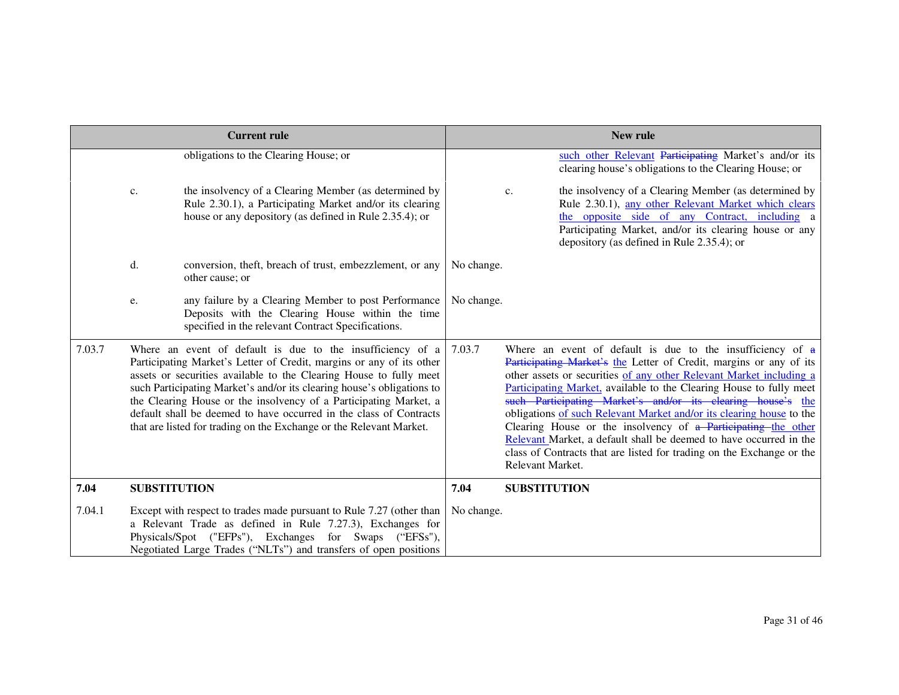|        |                     | <b>Current rule</b>                                                                                                                                                                                                                                                                                                                                                                                                                                                                                  |            |                     | New rule                                                                                                                                                                                                                                                                                                                                                                                                                                                                                                                                                                                                                                |
|--------|---------------------|------------------------------------------------------------------------------------------------------------------------------------------------------------------------------------------------------------------------------------------------------------------------------------------------------------------------------------------------------------------------------------------------------------------------------------------------------------------------------------------------------|------------|---------------------|-----------------------------------------------------------------------------------------------------------------------------------------------------------------------------------------------------------------------------------------------------------------------------------------------------------------------------------------------------------------------------------------------------------------------------------------------------------------------------------------------------------------------------------------------------------------------------------------------------------------------------------------|
|        |                     | obligations to the Clearing House; or                                                                                                                                                                                                                                                                                                                                                                                                                                                                |            |                     | such other Relevant Participating Market's and/or its<br>clearing house's obligations to the Clearing House; or                                                                                                                                                                                                                                                                                                                                                                                                                                                                                                                         |
|        | c.                  | the insolvency of a Clearing Member (as determined by<br>Rule 2.30.1), a Participating Market and/or its clearing<br>house or any depository (as defined in Rule 2.35.4); or                                                                                                                                                                                                                                                                                                                         |            | c.                  | the insolvency of a Clearing Member (as determined by<br>Rule 2.30.1), any other Relevant Market which clears<br>the opposite side of any Contract, including a<br>Participating Market, and/or its clearing house or any<br>depository (as defined in Rule 2.35.4); or                                                                                                                                                                                                                                                                                                                                                                 |
|        | d.                  | conversion, theft, breach of trust, embezzlement, or any<br>other cause; or                                                                                                                                                                                                                                                                                                                                                                                                                          | No change. |                     |                                                                                                                                                                                                                                                                                                                                                                                                                                                                                                                                                                                                                                         |
|        | e.                  | any failure by a Clearing Member to post Performance<br>Deposits with the Clearing House within the time<br>specified in the relevant Contract Specifications.                                                                                                                                                                                                                                                                                                                                       | No change. |                     |                                                                                                                                                                                                                                                                                                                                                                                                                                                                                                                                                                                                                                         |
| 7.03.7 |                     | Where an event of default is due to the insufficiency of a<br>Participating Market's Letter of Credit, margins or any of its other<br>assets or securities available to the Clearing House to fully meet<br>such Participating Market's and/or its clearing house's obligations to<br>the Clearing House or the insolvency of a Participating Market, a<br>default shall be deemed to have occurred in the class of Contracts<br>that are listed for trading on the Exchange or the Relevant Market. | 7.03.7     | Relevant Market.    | Where an event of default is due to the insufficiency of $a$<br>Participating Market's the Letter of Credit, margins or any of its<br>other assets or securities of any other Relevant Market including a<br>Participating Market, available to the Clearing House to fully meet<br>such Participating Market's and/or its clearing house's the<br>obligations of such Relevant Market and/or its clearing house to the<br>Clearing House or the insolvency of a Participating the other<br>Relevant Market, a default shall be deemed to have occurred in the<br>class of Contracts that are listed for trading on the Exchange or the |
| 7.04   | <b>SUBSTITUTION</b> |                                                                                                                                                                                                                                                                                                                                                                                                                                                                                                      | 7.04       | <b>SUBSTITUTION</b> |                                                                                                                                                                                                                                                                                                                                                                                                                                                                                                                                                                                                                                         |
| 7.04.1 |                     | Except with respect to trades made pursuant to Rule 7.27 (other than<br>a Relevant Trade as defined in Rule 7.27.3), Exchanges for<br>Physicals/Spot ("EFPs"), Exchanges for Swaps ("EFSs"),<br>Negotiated Large Trades ("NLTs") and transfers of open positions                                                                                                                                                                                                                                     | No change. |                     |                                                                                                                                                                                                                                                                                                                                                                                                                                                                                                                                                                                                                                         |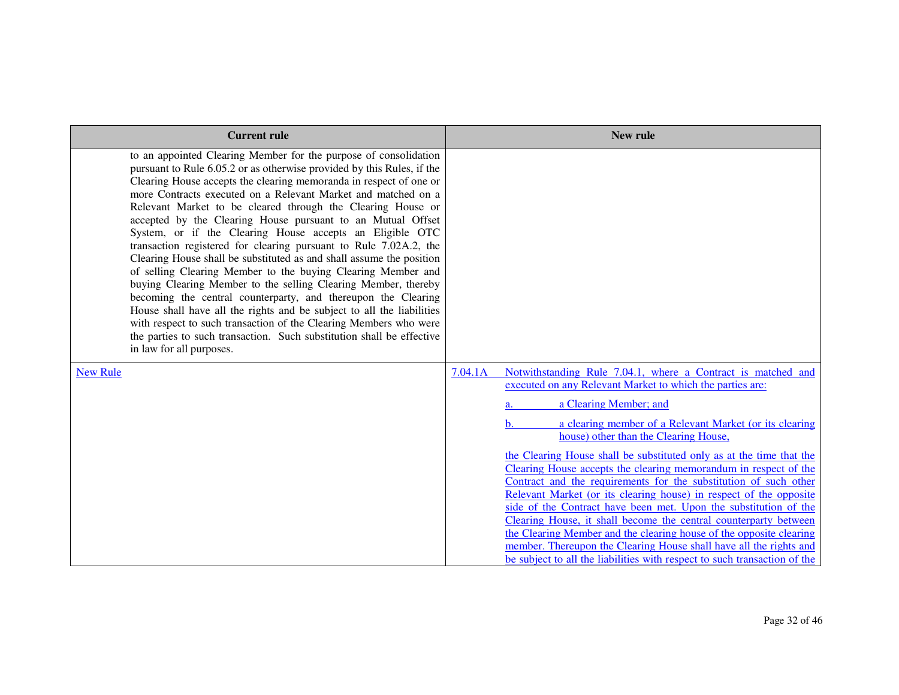| <b>Current rule</b>                                                                                                                                                                                                                                                                                                                                                                                                                                                                                                                                                                                                                                                                                                                                                                                                                                                                                                                                                                                                                                                            | New rule                                                                                                                                                                                                                                                                                                                                                                                                                                                                                                                                                                                                                                                                                                                                                                                                                                                                                                                         |
|--------------------------------------------------------------------------------------------------------------------------------------------------------------------------------------------------------------------------------------------------------------------------------------------------------------------------------------------------------------------------------------------------------------------------------------------------------------------------------------------------------------------------------------------------------------------------------------------------------------------------------------------------------------------------------------------------------------------------------------------------------------------------------------------------------------------------------------------------------------------------------------------------------------------------------------------------------------------------------------------------------------------------------------------------------------------------------|----------------------------------------------------------------------------------------------------------------------------------------------------------------------------------------------------------------------------------------------------------------------------------------------------------------------------------------------------------------------------------------------------------------------------------------------------------------------------------------------------------------------------------------------------------------------------------------------------------------------------------------------------------------------------------------------------------------------------------------------------------------------------------------------------------------------------------------------------------------------------------------------------------------------------------|
| to an appointed Clearing Member for the purpose of consolidation<br>pursuant to Rule 6.05.2 or as otherwise provided by this Rules, if the<br>Clearing House accepts the clearing memoranda in respect of one or<br>more Contracts executed on a Relevant Market and matched on a<br>Relevant Market to be cleared through the Clearing House or<br>accepted by the Clearing House pursuant to an Mutual Offset<br>System, or if the Clearing House accepts an Eligible OTC<br>transaction registered for clearing pursuant to Rule 7.02A.2, the<br>Clearing House shall be substituted as and shall assume the position<br>of selling Clearing Member to the buying Clearing Member and<br>buying Clearing Member to the selling Clearing Member, thereby<br>becoming the central counterparty, and thereupon the Clearing<br>House shall have all the rights and be subject to all the liabilities<br>with respect to such transaction of the Clearing Members who were<br>the parties to such transaction. Such substitution shall be effective<br>in law for all purposes. |                                                                                                                                                                                                                                                                                                                                                                                                                                                                                                                                                                                                                                                                                                                                                                                                                                                                                                                                  |
| <b>New Rule</b>                                                                                                                                                                                                                                                                                                                                                                                                                                                                                                                                                                                                                                                                                                                                                                                                                                                                                                                                                                                                                                                                | Notwithstanding Rule 7.04.1, where a Contract is matched and<br>7.04.1A<br>executed on any Relevant Market to which the parties are:<br>a Clearing Member; and<br>a clearing member of a Relevant Market (or its clearing<br>h.<br>house) other than the Clearing House,<br>the Clearing House shall be substituted only as at the time that the<br>Clearing House accepts the clearing memorandum in respect of the<br>Contract and the requirements for the substitution of such other<br>Relevant Market (or its clearing house) in respect of the opposite<br>side of the Contract have been met. Upon the substitution of the<br>Clearing House, it shall become the central counterparty between<br>the Clearing Member and the clearing house of the opposite clearing<br>member. Thereupon the Clearing House shall have all the rights and<br>be subject to all the liabilities with respect to such transaction of the |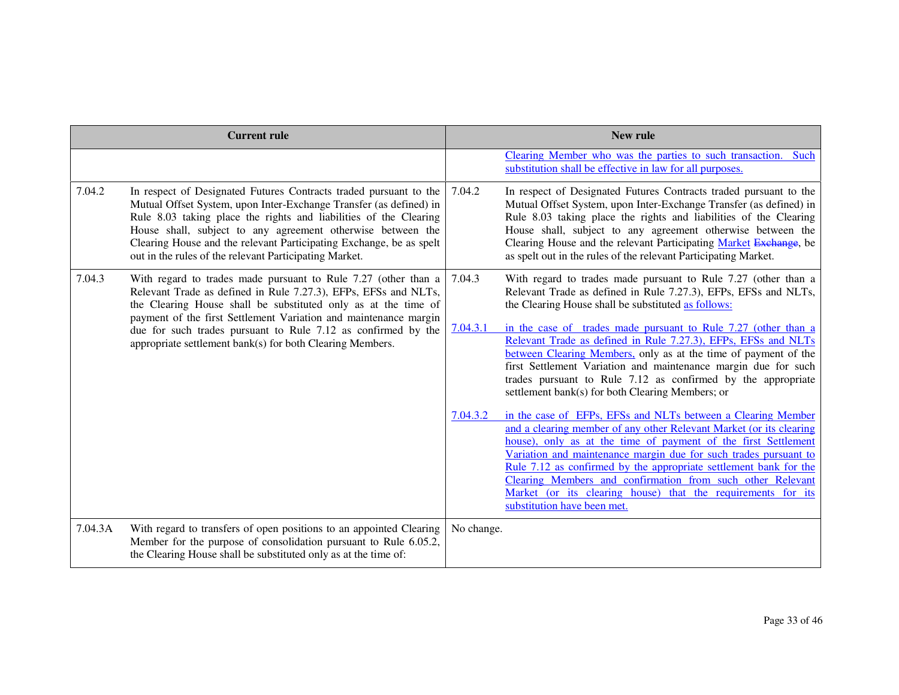|         | <b>Current rule</b>                                                                                                                                                                                                                                                                                                                                                                                          | New rule   |                                                                                                                                                                                                                                                                                                                                                                                                                                                                                                             |  |
|---------|--------------------------------------------------------------------------------------------------------------------------------------------------------------------------------------------------------------------------------------------------------------------------------------------------------------------------------------------------------------------------------------------------------------|------------|-------------------------------------------------------------------------------------------------------------------------------------------------------------------------------------------------------------------------------------------------------------------------------------------------------------------------------------------------------------------------------------------------------------------------------------------------------------------------------------------------------------|--|
|         |                                                                                                                                                                                                                                                                                                                                                                                                              |            | Clearing Member who was the parties to such transaction. Such<br>substitution shall be effective in law for all purposes.                                                                                                                                                                                                                                                                                                                                                                                   |  |
| 7.04.2  | In respect of Designated Futures Contracts traded pursuant to the<br>Mutual Offset System, upon Inter-Exchange Transfer (as defined) in<br>Rule 8.03 taking place the rights and liabilities of the Clearing<br>House shall, subject to any agreement otherwise between the<br>Clearing House and the relevant Participating Exchange, be as spelt<br>out in the rules of the relevant Participating Market. | 7.04.2     | In respect of Designated Futures Contracts traded pursuant to the<br>Mutual Offset System, upon Inter-Exchange Transfer (as defined) in<br>Rule 8.03 taking place the rights and liabilities of the Clearing<br>House shall, subject to any agreement otherwise between the<br>Clearing House and the relevant Participating Market Exchange, be<br>as spelt out in the rules of the relevant Participating Market.                                                                                         |  |
| 7.04.3  | With regard to trades made pursuant to Rule 7.27 (other than a<br>Relevant Trade as defined in Rule 7.27.3), EFPs, EFSs and NLTs,<br>the Clearing House shall be substituted only as at the time of<br>payment of the first Settlement Variation and maintenance margin<br>due for such trades pursuant to Rule 7.12 as confirmed by the<br>appropriate settlement bank(s) for both Clearing Members.        | 7.04.3     | With regard to trades made pursuant to Rule 7.27 (other than a<br>Relevant Trade as defined in Rule 7.27.3), EFPs, EFSs and NLTs,<br>the Clearing House shall be substituted as follows:                                                                                                                                                                                                                                                                                                                    |  |
|         |                                                                                                                                                                                                                                                                                                                                                                                                              | 7.04.3.1   | in the case of trades made pursuant to Rule 7.27 (other than a<br>Relevant Trade as defined in Rule 7.27.3), EFPs, EFSs and NLTs<br>between Clearing Members, only as at the time of payment of the<br>first Settlement Variation and maintenance margin due for such<br>trades pursuant to Rule 7.12 as confirmed by the appropriate<br>settlement bank(s) for both Clearing Members; or                                                                                                                   |  |
|         |                                                                                                                                                                                                                                                                                                                                                                                                              | 7.04.3.2   | in the case of EFPs, EFSs and NLTs between a Clearing Member<br>and a clearing member of any other Relevant Market (or its clearing<br>house), only as at the time of payment of the first Settlement<br>Variation and maintenance margin due for such trades pursuant to<br>Rule 7.12 as confirmed by the appropriate settlement bank for the<br>Clearing Members and confirmation from such other Relevant<br>Market (or its clearing house) that the requirements for its<br>substitution have been met. |  |
| 7.04.3A | With regard to transfers of open positions to an appointed Clearing<br>Member for the purpose of consolidation pursuant to Rule 6.05.2,<br>the Clearing House shall be substituted only as at the time of:                                                                                                                                                                                                   | No change. |                                                                                                                                                                                                                                                                                                                                                                                                                                                                                                             |  |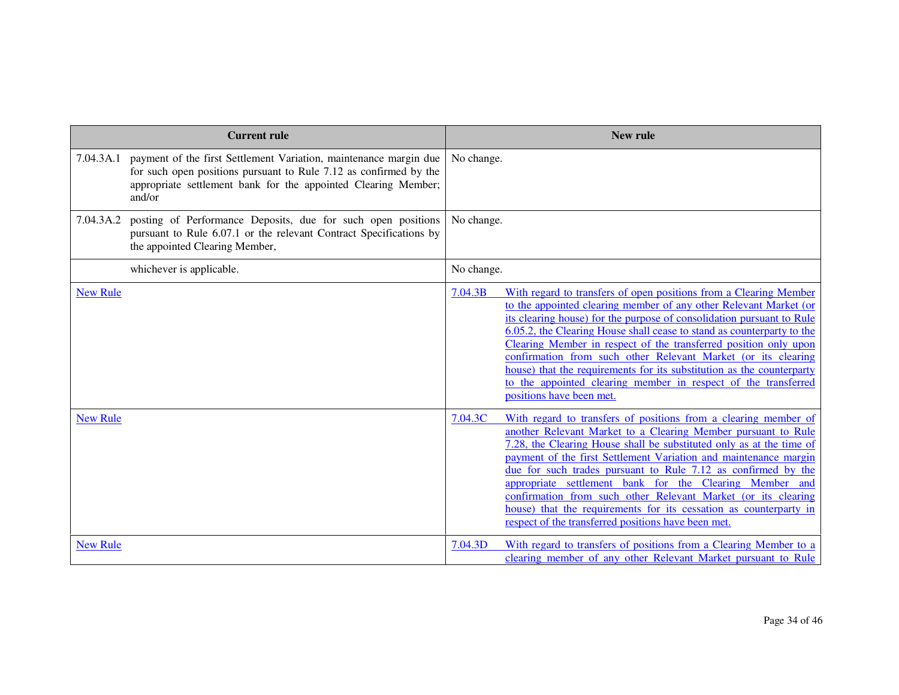|                 | <b>Current rule</b>                                                                                                                                                                                                          | <b>New rule</b>                                                                                                                                                                                                                                                                                                                                                                                                                                                                                                                                                                                                  |
|-----------------|------------------------------------------------------------------------------------------------------------------------------------------------------------------------------------------------------------------------------|------------------------------------------------------------------------------------------------------------------------------------------------------------------------------------------------------------------------------------------------------------------------------------------------------------------------------------------------------------------------------------------------------------------------------------------------------------------------------------------------------------------------------------------------------------------------------------------------------------------|
|                 | 7.04.3A.1 payment of the first Settlement Variation, maintenance margin due<br>for such open positions pursuant to Rule 7.12 as confirmed by the<br>appropriate settlement bank for the appointed Clearing Member;<br>and/or | No change.                                                                                                                                                                                                                                                                                                                                                                                                                                                                                                                                                                                                       |
| 7.04.3A.2       | posting of Performance Deposits, due for such open positions<br>pursuant to Rule 6.07.1 or the relevant Contract Specifications by<br>the appointed Clearing Member,                                                         | No change.                                                                                                                                                                                                                                                                                                                                                                                                                                                                                                                                                                                                       |
|                 | whichever is applicable.                                                                                                                                                                                                     | No change.                                                                                                                                                                                                                                                                                                                                                                                                                                                                                                                                                                                                       |
| <b>New Rule</b> |                                                                                                                                                                                                                              | 7.04.3B<br>With regard to transfers of open positions from a Clearing Member<br>to the appointed clearing member of any other Relevant Market (or<br>its clearing house) for the purpose of consolidation pursuant to Rule<br>6.05.2, the Clearing House shall cease to stand as counterparty to the<br>Clearing Member in respect of the transferred position only upon<br>confirmation from such other Relevant Market (or its clearing<br>house) that the requirements for its substitution as the counterparty<br>to the appointed clearing member in respect of the transferred<br>positions have been met. |
| <b>New Rule</b> |                                                                                                                                                                                                                              | With regard to transfers of positions from a clearing member of<br>7.04.3C<br>another Relevant Market to a Clearing Member pursuant to Rule<br>7.28, the Clearing House shall be substituted only as at the time of<br>payment of the first Settlement Variation and maintenance margin<br>due for such trades pursuant to Rule 7.12 as confirmed by the<br>appropriate settlement bank for the Clearing Member and<br>confirmation from such other Relevant Market (or its clearing<br>house) that the requirements for its cessation as counterparty in<br>respect of the transferred positions have been met. |
| <b>New Rule</b> |                                                                                                                                                                                                                              | With regard to transfers of positions from a Clearing Member to a<br>7.04.3D<br>clearing member of any other Relevant Market pursuant to Rule                                                                                                                                                                                                                                                                                                                                                                                                                                                                    |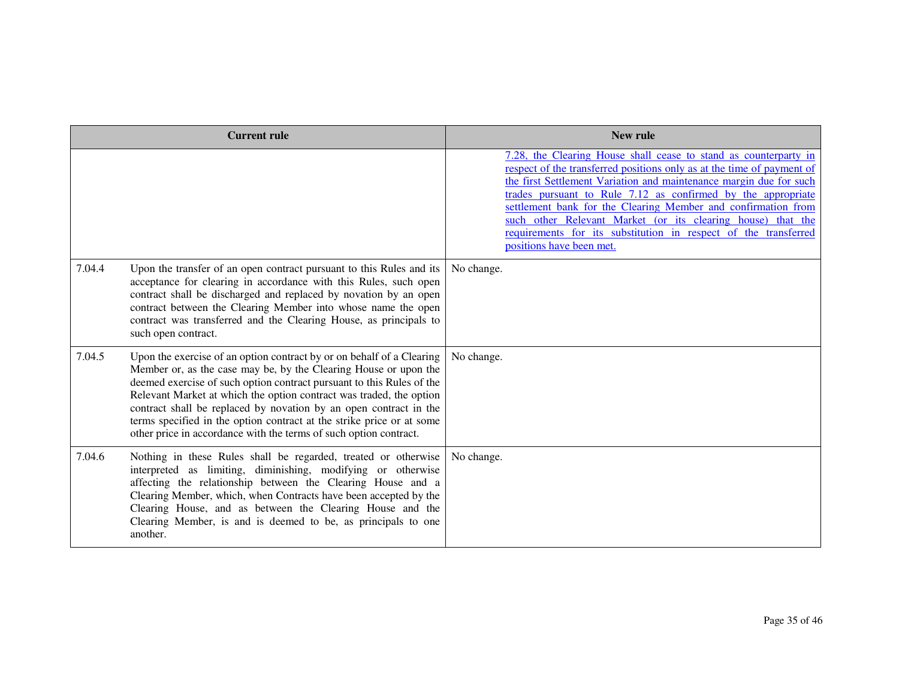|                    | <b>Current rule</b>                                                                                                                                                                                                                                                                                                                                                                                                                                                                                          | New rule                                                                                                                                                                                                                                                                                                                                                                                                                                                                                                        |
|--------------------|--------------------------------------------------------------------------------------------------------------------------------------------------------------------------------------------------------------------------------------------------------------------------------------------------------------------------------------------------------------------------------------------------------------------------------------------------------------------------------------------------------------|-----------------------------------------------------------------------------------------------------------------------------------------------------------------------------------------------------------------------------------------------------------------------------------------------------------------------------------------------------------------------------------------------------------------------------------------------------------------------------------------------------------------|
|                    |                                                                                                                                                                                                                                                                                                                                                                                                                                                                                                              | 7.28, the Clearing House shall cease to stand as counterparty in<br>respect of the transferred positions only as at the time of payment of<br>the first Settlement Variation and maintenance margin due for such<br>trades pursuant to Rule 7.12 as confirmed by the appropriate<br>settlement bank for the Clearing Member and confirmation from<br>such other Relevant Market (or its clearing house) that the<br>requirements for its substitution in respect of the transferred<br>positions have been met. |
| 7.04.4             | Upon the transfer of an open contract pursuant to this Rules and its<br>acceptance for clearing in accordance with this Rules, such open<br>contract shall be discharged and replaced by novation by an open<br>contract between the Clearing Member into whose name the open<br>contract was transferred and the Clearing House, as principals to<br>such open contract.                                                                                                                                    | No change.                                                                                                                                                                                                                                                                                                                                                                                                                                                                                                      |
| 7.04.5             | Upon the exercise of an option contract by or on behalf of a Clearing<br>Member or, as the case may be, by the Clearing House or upon the<br>deemed exercise of such option contract pursuant to this Rules of the<br>Relevant Market at which the option contract was traded, the option<br>contract shall be replaced by novation by an open contract in the<br>terms specified in the option contract at the strike price or at some<br>other price in accordance with the terms of such option contract. | No change.                                                                                                                                                                                                                                                                                                                                                                                                                                                                                                      |
| 7.04.6<br>another. | Nothing in these Rules shall be regarded, treated or otherwise<br>interpreted as limiting, diminishing, modifying or otherwise<br>affecting the relationship between the Clearing House and a<br>Clearing Member, which, when Contracts have been accepted by the<br>Clearing House, and as between the Clearing House and the<br>Clearing Member, is and is deemed to be, as principals to one                                                                                                              | No change.                                                                                                                                                                                                                                                                                                                                                                                                                                                                                                      |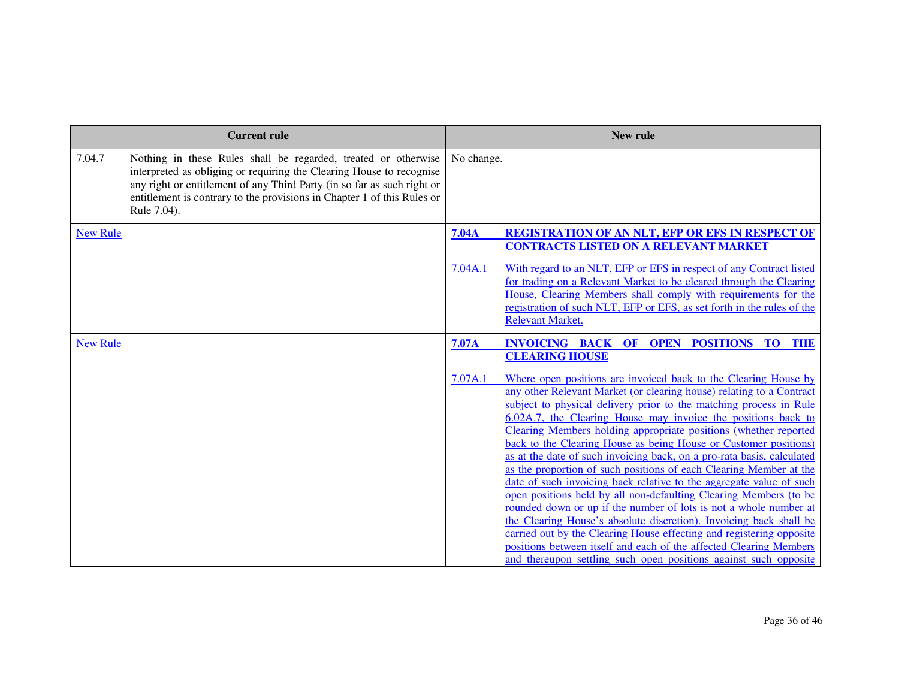|                 | <b>Current rule</b>                                                                                                                                                                                                                                                                                         | <b>New rule</b>         |                                                                                                                                                                                                                                                                                                                                                                                                                                                                                                                                                                                                                                                                                                                                                                                                                                                                                                                                                                                                                                                                                 |  |
|-----------------|-------------------------------------------------------------------------------------------------------------------------------------------------------------------------------------------------------------------------------------------------------------------------------------------------------------|-------------------------|---------------------------------------------------------------------------------------------------------------------------------------------------------------------------------------------------------------------------------------------------------------------------------------------------------------------------------------------------------------------------------------------------------------------------------------------------------------------------------------------------------------------------------------------------------------------------------------------------------------------------------------------------------------------------------------------------------------------------------------------------------------------------------------------------------------------------------------------------------------------------------------------------------------------------------------------------------------------------------------------------------------------------------------------------------------------------------|--|
| 7.04.7          | Nothing in these Rules shall be regarded, treated or otherwise<br>interpreted as obliging or requiring the Clearing House to recognise<br>any right or entitlement of any Third Party (in so far as such right or<br>entitlement is contrary to the provisions in Chapter 1 of this Rules or<br>Rule 7.04). | No change.              |                                                                                                                                                                                                                                                                                                                                                                                                                                                                                                                                                                                                                                                                                                                                                                                                                                                                                                                                                                                                                                                                                 |  |
| <b>New Rule</b> |                                                                                                                                                                                                                                                                                                             | <b>7.04A</b><br>7.04A.1 | <b>REGISTRATION OF AN NLT, EFP OR EFS IN RESPECT OF</b><br><b>CONTRACTS LISTED ON A RELEVANT MARKET</b><br>With regard to an NLT, EFP or EFS in respect of any Contract listed<br>for trading on a Relevant Market to be cleared through the Clearing<br>House, Clearing Members shall comply with requirements for the<br>registration of such NLT, EFP or EFS, as set forth in the rules of the<br><b>Relevant Market.</b>                                                                                                                                                                                                                                                                                                                                                                                                                                                                                                                                                                                                                                                    |  |
| <b>New Rule</b> |                                                                                                                                                                                                                                                                                                             | 7.07A                   | <b>INVOICING BACK OF OPEN POSITIONS TO THE</b><br><b>CLEARING HOUSE</b>                                                                                                                                                                                                                                                                                                                                                                                                                                                                                                                                                                                                                                                                                                                                                                                                                                                                                                                                                                                                         |  |
|                 |                                                                                                                                                                                                                                                                                                             | 7.07A.1                 | Where open positions are invoiced back to the Clearing House by<br>any other Relevant Market (or clearing house) relating to a Contract<br>subject to physical delivery prior to the matching process in Rule<br>6.02A.7, the Clearing House may invoice the positions back to<br>Clearing Members holding appropriate positions (whether reported<br>back to the Clearing House as being House or Customer positions)<br>as at the date of such invoicing back, on a pro-rata basis, calculated<br>as the proportion of such positions of each Clearing Member at the<br>date of such invoicing back relative to the aggregate value of such<br>open positions held by all non-defaulting Clearing Members (to be<br>rounded down or up if the number of lots is not a whole number at<br>the Clearing House's absolute discretion). Invoicing back shall be<br>carried out by the Clearing House effecting and registering opposite<br>positions between itself and each of the affected Clearing Members<br>and thereupon settling such open positions against such opposite |  |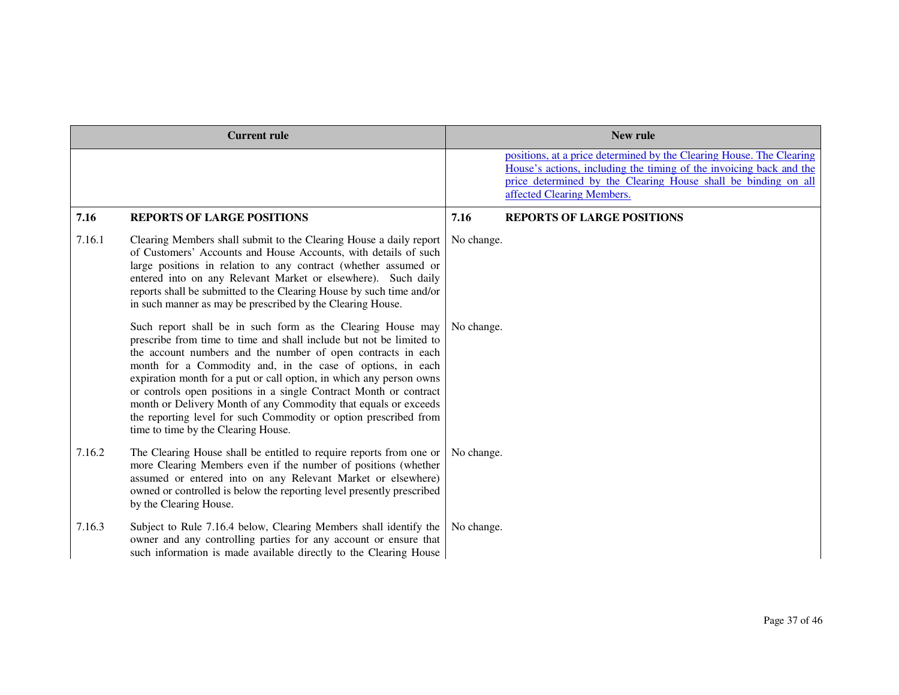| <b>Current rule</b> |                                                                                                                                                                                                                                                                                                                                                                                                                                                                                                                                                                                            | New rule   |                                                                                                                                                                                                                                             |
|---------------------|--------------------------------------------------------------------------------------------------------------------------------------------------------------------------------------------------------------------------------------------------------------------------------------------------------------------------------------------------------------------------------------------------------------------------------------------------------------------------------------------------------------------------------------------------------------------------------------------|------------|---------------------------------------------------------------------------------------------------------------------------------------------------------------------------------------------------------------------------------------------|
|                     |                                                                                                                                                                                                                                                                                                                                                                                                                                                                                                                                                                                            |            | positions, at a price determined by the Clearing House. The Clearing<br>House's actions, including the timing of the invoicing back and the<br>price determined by the Clearing House shall be binding on all<br>affected Clearing Members. |
| 7.16                | <b>REPORTS OF LARGE POSITIONS</b>                                                                                                                                                                                                                                                                                                                                                                                                                                                                                                                                                          | 7.16       | <b>REPORTS OF LARGE POSITIONS</b>                                                                                                                                                                                                           |
| 7.16.1              | Clearing Members shall submit to the Clearing House a daily report<br>of Customers' Accounts and House Accounts, with details of such<br>large positions in relation to any contract (whether assumed or<br>entered into on any Relevant Market or elsewhere). Such daily<br>reports shall be submitted to the Clearing House by such time and/or<br>in such manner as may be prescribed by the Clearing House.                                                                                                                                                                            | No change. |                                                                                                                                                                                                                                             |
|                     | Such report shall be in such form as the Clearing House may<br>prescribe from time to time and shall include but not be limited to<br>the account numbers and the number of open contracts in each<br>month for a Commodity and, in the case of options, in each<br>expiration month for a put or call option, in which any person owns<br>or controls open positions in a single Contract Month or contract<br>month or Delivery Month of any Commodity that equals or exceeds<br>the reporting level for such Commodity or option prescribed from<br>time to time by the Clearing House. | No change. |                                                                                                                                                                                                                                             |
| 7.16.2              | The Clearing House shall be entitled to require reports from one or<br>more Clearing Members even if the number of positions (whether<br>assumed or entered into on any Relevant Market or elsewhere)<br>owned or controlled is below the reporting level presently prescribed<br>by the Clearing House.                                                                                                                                                                                                                                                                                   | No change. |                                                                                                                                                                                                                                             |
| 7.16.3              | Subject to Rule 7.16.4 below, Clearing Members shall identify the<br>owner and any controlling parties for any account or ensure that<br>such information is made available directly to the Clearing House                                                                                                                                                                                                                                                                                                                                                                                 | No change. |                                                                                                                                                                                                                                             |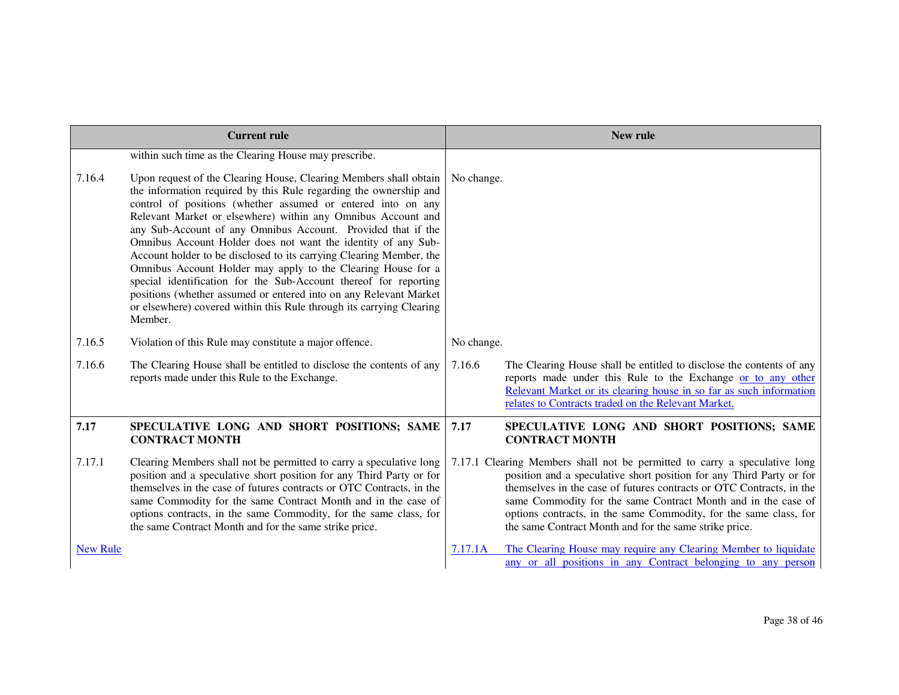| <b>Current rule</b> |                                                                                                                                                                                                                                                                                                                                                                                                                                                                                                                                                                                                                                                                                                                                                                            | New rule   |                                                                                                                                                                                                                                                                                                                                                                                                                            |
|---------------------|----------------------------------------------------------------------------------------------------------------------------------------------------------------------------------------------------------------------------------------------------------------------------------------------------------------------------------------------------------------------------------------------------------------------------------------------------------------------------------------------------------------------------------------------------------------------------------------------------------------------------------------------------------------------------------------------------------------------------------------------------------------------------|------------|----------------------------------------------------------------------------------------------------------------------------------------------------------------------------------------------------------------------------------------------------------------------------------------------------------------------------------------------------------------------------------------------------------------------------|
|                     | within such time as the Clearing House may prescribe.                                                                                                                                                                                                                                                                                                                                                                                                                                                                                                                                                                                                                                                                                                                      |            |                                                                                                                                                                                                                                                                                                                                                                                                                            |
| 7.16.4              | Upon request of the Clearing House, Clearing Members shall obtain<br>the information required by this Rule regarding the ownership and<br>control of positions (whether assumed or entered into on any<br>Relevant Market or elsewhere) within any Omnibus Account and<br>any Sub-Account of any Omnibus Account. Provided that if the<br>Omnibus Account Holder does not want the identity of any Sub-<br>Account holder to be disclosed to its carrying Clearing Member, the<br>Omnibus Account Holder may apply to the Clearing House for a<br>special identification for the Sub-Account thereof for reporting<br>positions (whether assumed or entered into on any Relevant Market<br>or elsewhere) covered within this Rule through its carrying Clearing<br>Member. | No change. |                                                                                                                                                                                                                                                                                                                                                                                                                            |
| 7.16.5              | Violation of this Rule may constitute a major offence.                                                                                                                                                                                                                                                                                                                                                                                                                                                                                                                                                                                                                                                                                                                     | No change. |                                                                                                                                                                                                                                                                                                                                                                                                                            |
| 7.16.6              | The Clearing House shall be entitled to disclose the contents of any<br>reports made under this Rule to the Exchange.                                                                                                                                                                                                                                                                                                                                                                                                                                                                                                                                                                                                                                                      | 7.16.6     | The Clearing House shall be entitled to disclose the contents of any<br>reports made under this Rule to the Exchange or to any other<br>Relevant Market or its clearing house in so far as such information<br>relates to Contracts traded on the Relevant Market.                                                                                                                                                         |
| 7.17                | SPECULATIVE LONG AND SHORT POSITIONS; SAME<br><b>CONTRACT MONTH</b>                                                                                                                                                                                                                                                                                                                                                                                                                                                                                                                                                                                                                                                                                                        | 7.17       | SPECULATIVE LONG AND SHORT POSITIONS; SAME<br><b>CONTRACT MONTH</b>                                                                                                                                                                                                                                                                                                                                                        |
| 7.17.1              | Clearing Members shall not be permitted to carry a speculative long<br>position and a speculative short position for any Third Party or for<br>themselves in the case of futures contracts or OTC Contracts, in the<br>same Commodity for the same Contract Month and in the case of<br>options contracts, in the same Commodity, for the same class, for<br>the same Contract Month and for the same strike price.                                                                                                                                                                                                                                                                                                                                                        |            | 7.17.1 Clearing Members shall not be permitted to carry a speculative long<br>position and a speculative short position for any Third Party or for<br>themselves in the case of futures contracts or OTC Contracts, in the<br>same Commodity for the same Contract Month and in the case of<br>options contracts, in the same Commodity, for the same class, for<br>the same Contract Month and for the same strike price. |
| <b>New Rule</b>     |                                                                                                                                                                                                                                                                                                                                                                                                                                                                                                                                                                                                                                                                                                                                                                            | 7.17.1A    | The Clearing House may require any Clearing Member to liquidate<br>any or all positions in any Contract belonging to any person                                                                                                                                                                                                                                                                                            |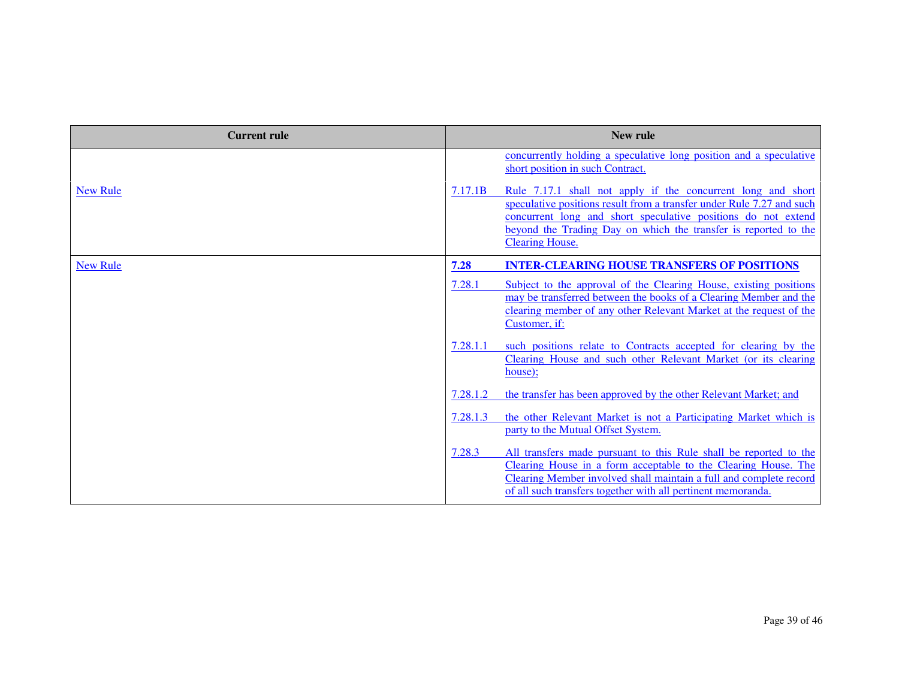| <b>Current rule</b> | New rule                                                                                                                                                                                                                                                                                                       |
|---------------------|----------------------------------------------------------------------------------------------------------------------------------------------------------------------------------------------------------------------------------------------------------------------------------------------------------------|
|                     | concurrently holding a speculative long position and a speculative<br>short position in such Contract.                                                                                                                                                                                                         |
| <b>New Rule</b>     | Rule 7.17.1 shall not apply if the concurrent long and short<br>7.17.1B<br>speculative positions result from a transfer under Rule 7.27 and such<br>concurrent long and short speculative positions do not extend<br>beyond the Trading Day on which the transfer is reported to the<br><b>Clearing House.</b> |
| <b>New Rule</b>     | <b>INTER-CLEARING HOUSE TRANSFERS OF POSITIONS</b><br>7.28                                                                                                                                                                                                                                                     |
|                     | 7.28.1<br>Subject to the approval of the Clearing House, existing positions<br>may be transferred between the books of a Clearing Member and the<br>clearing member of any other Relevant Market at the request of the<br>Customer, if:                                                                        |
|                     | 7.28.1.1<br>such positions relate to Contracts accepted for clearing by the<br>Clearing House and such other Relevant Market (or its clearing<br>house):                                                                                                                                                       |
|                     | 7.28.1.2<br>the transfer has been approved by the other Relevant Market; and                                                                                                                                                                                                                                   |
|                     | 7.28.1.3<br>the other Relevant Market is not a Participating Market which is<br>party to the Mutual Offset System.                                                                                                                                                                                             |
|                     | 7.28.3<br>All transfers made pursuant to this Rule shall be reported to the<br>Clearing House in a form acceptable to the Clearing House. The<br>Clearing Member involved shall maintain a full and complete record<br>of all such transfers together with all pertinent memoranda.                            |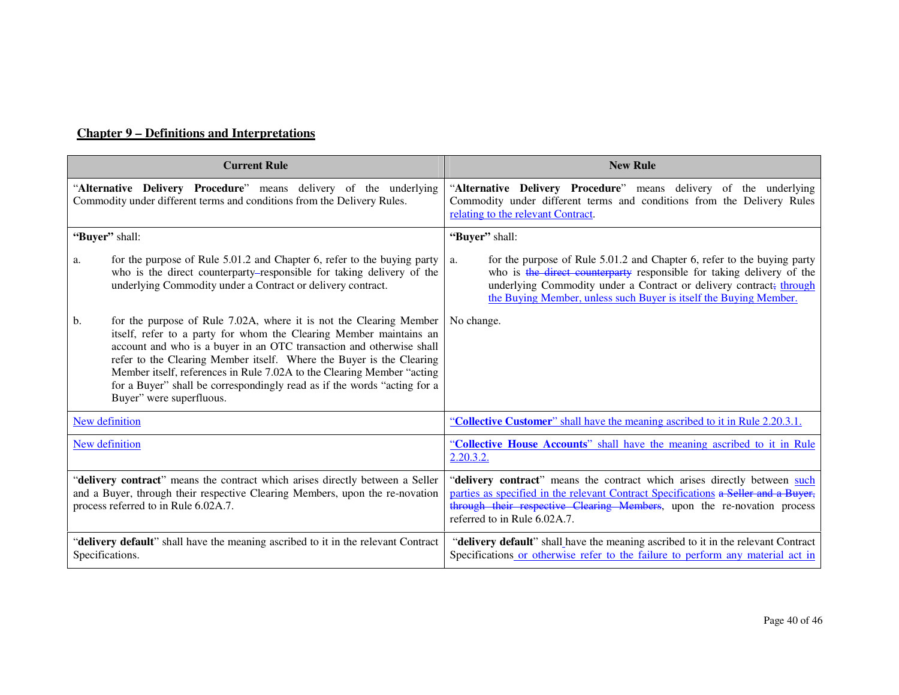# **Chapter 9 – Definitions and Interpretations**

| <b>Current Rule</b>                                                                                                                                                                                   |                                                                                                                                                                                                                                                                                                                                                                                                                                                                            | <b>New Rule</b>                                                                                                                                                                                                                                                                                    |  |
|-------------------------------------------------------------------------------------------------------------------------------------------------------------------------------------------------------|----------------------------------------------------------------------------------------------------------------------------------------------------------------------------------------------------------------------------------------------------------------------------------------------------------------------------------------------------------------------------------------------------------------------------------------------------------------------------|----------------------------------------------------------------------------------------------------------------------------------------------------------------------------------------------------------------------------------------------------------------------------------------------------|--|
| "Alternative Delivery Procedure" means delivery of the underlying<br>Commodity under different terms and conditions from the Delivery Rules.                                                          |                                                                                                                                                                                                                                                                                                                                                                                                                                                                            | "Alternative Delivery Procedure" means delivery of the underlying<br>Commodity under different terms and conditions from the Delivery Rules<br>relating to the relevant Contract.                                                                                                                  |  |
| "Buyer" shall:                                                                                                                                                                                        |                                                                                                                                                                                                                                                                                                                                                                                                                                                                            | "Buyer" shall:                                                                                                                                                                                                                                                                                     |  |
| a.                                                                                                                                                                                                    | for the purpose of Rule 5.01.2 and Chapter 6, refer to the buying party<br>who is the direct counterparty-responsible for taking delivery of the<br>underlying Commodity under a Contract or delivery contract.                                                                                                                                                                                                                                                            | for the purpose of Rule 5.01.2 and Chapter 6, refer to the buying party<br>a.<br>who is the direct counterparty responsible for taking delivery of the<br>underlying Commodity under a Contract or delivery contract; through<br>the Buying Member, unless such Buyer is itself the Buying Member. |  |
| b.                                                                                                                                                                                                    | for the purpose of Rule 7.02A, where it is not the Clearing Member<br>itself, refer to a party for whom the Clearing Member maintains an<br>account and who is a buyer in an OTC transaction and otherwise shall<br>refer to the Clearing Member itself. Where the Buyer is the Clearing<br>Member itself, references in Rule 7.02A to the Clearing Member "acting<br>for a Buyer" shall be correspondingly read as if the words "acting for a<br>Buyer" were superfluous. | No change.                                                                                                                                                                                                                                                                                         |  |
|                                                                                                                                                                                                       | New definition                                                                                                                                                                                                                                                                                                                                                                                                                                                             | "Collective Customer" shall have the meaning ascribed to it in Rule 2.20.3.1.                                                                                                                                                                                                                      |  |
| New definition                                                                                                                                                                                        |                                                                                                                                                                                                                                                                                                                                                                                                                                                                            | "Collective House Accounts" shall have the meaning ascribed to it in Rule<br>2.20.3.2.                                                                                                                                                                                                             |  |
| "delivery contract" means the contract which arises directly between a Seller<br>and a Buyer, through their respective Clearing Members, upon the re-novation<br>process referred to in Rule 6.02A.7. |                                                                                                                                                                                                                                                                                                                                                                                                                                                                            | "delivery contract" means the contract which arises directly between such<br>parties as specified in the relevant Contract Specifications a Seller and a Buyer,<br>through their respective Clearing Members, upon the re-novation process<br>referred to in Rule 6.02A.7.                         |  |
| "delivery default" shall have the meaning ascribed to it in the relevant Contract<br>Specifications.                                                                                                  |                                                                                                                                                                                                                                                                                                                                                                                                                                                                            | "delivery default" shall have the meaning ascribed to it in the relevant Contract<br>Specifications or otherwise refer to the failure to perform any material act in                                                                                                                               |  |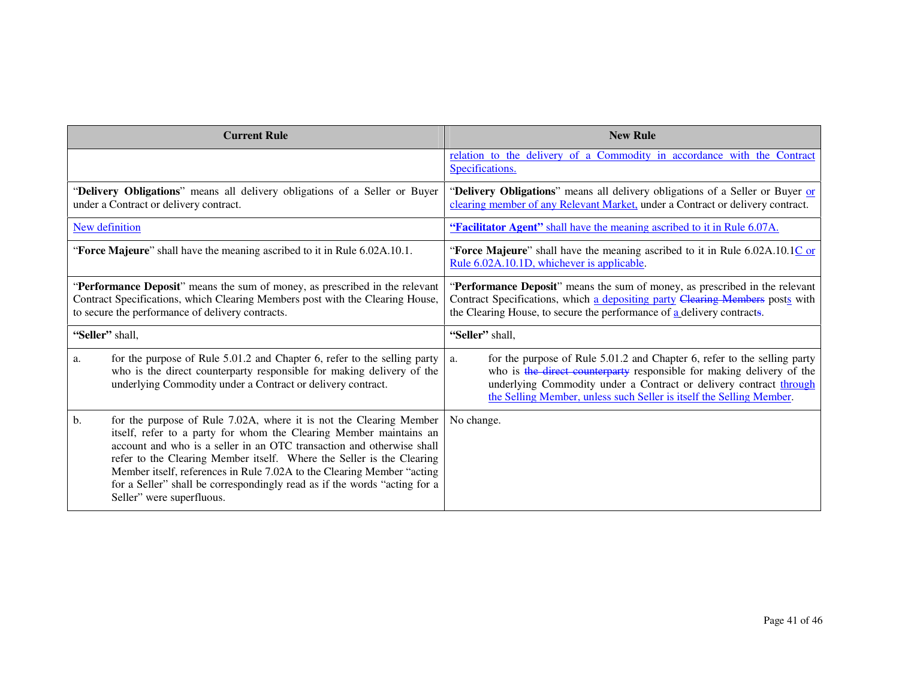| <b>Current Rule</b>                                                                                                                                                                                                                                                                                                                                                                                                                                                                  | <b>New Rule</b>                                                                                                                                                                                                                                                                                       |  |
|--------------------------------------------------------------------------------------------------------------------------------------------------------------------------------------------------------------------------------------------------------------------------------------------------------------------------------------------------------------------------------------------------------------------------------------------------------------------------------------|-------------------------------------------------------------------------------------------------------------------------------------------------------------------------------------------------------------------------------------------------------------------------------------------------------|--|
|                                                                                                                                                                                                                                                                                                                                                                                                                                                                                      | relation to the delivery of a Commodity in accordance with the Contract<br>Specifications.                                                                                                                                                                                                            |  |
| "Delivery Obligations" means all delivery obligations of a Seller or Buyer<br>under a Contract or delivery contract.                                                                                                                                                                                                                                                                                                                                                                 | "Delivery Obligations" means all delivery obligations of a Seller or Buyer or<br>clearing member of any Relevant Market, under a Contract or delivery contract.                                                                                                                                       |  |
| New definition                                                                                                                                                                                                                                                                                                                                                                                                                                                                       | "Facilitator Agent" shall have the meaning ascribed to it in Rule 6.07A.                                                                                                                                                                                                                              |  |
| "Force Majeure" shall have the meaning ascribed to it in Rule 6.02A.10.1.                                                                                                                                                                                                                                                                                                                                                                                                            | "Force Majeure" shall have the meaning ascribed to it in Rule 6.02A.10.1C or<br>Rule 6.02A.10.1D, whichever is applicable.                                                                                                                                                                            |  |
| "Performance Deposit" means the sum of money, as prescribed in the relevant<br>Contract Specifications, which Clearing Members post with the Clearing House,<br>to secure the performance of delivery contracts.                                                                                                                                                                                                                                                                     | "Performance Deposit" means the sum of money, as prescribed in the relevant<br>Contract Specifications, which a depositing party Clearing Members posts with<br>the Clearing House, to secure the performance of a delivery contracts.                                                                |  |
| "Seller" shall,                                                                                                                                                                                                                                                                                                                                                                                                                                                                      | "Seller" shall,                                                                                                                                                                                                                                                                                       |  |
| for the purpose of Rule 5.01.2 and Chapter 6, refer to the selling party<br>a.<br>who is the direct counterparty responsible for making delivery of the<br>underlying Commodity under a Contract or delivery contract.                                                                                                                                                                                                                                                               | for the purpose of Rule 5.01.2 and Chapter 6, refer to the selling party<br>a.<br>who is the direct counterparty responsible for making delivery of the<br>underlying Commodity under a Contract or delivery contract through<br>the Selling Member, unless such Seller is itself the Selling Member. |  |
| for the purpose of Rule 7.02A, where it is not the Clearing Member<br>b.<br>itself, refer to a party for whom the Clearing Member maintains an<br>account and who is a seller in an OTC transaction and otherwise shall<br>refer to the Clearing Member itself. Where the Seller is the Clearing<br>Member itself, references in Rule 7.02A to the Clearing Member "acting<br>for a Seller" shall be correspondingly read as if the words "acting for a<br>Seller" were superfluous. | No change.                                                                                                                                                                                                                                                                                            |  |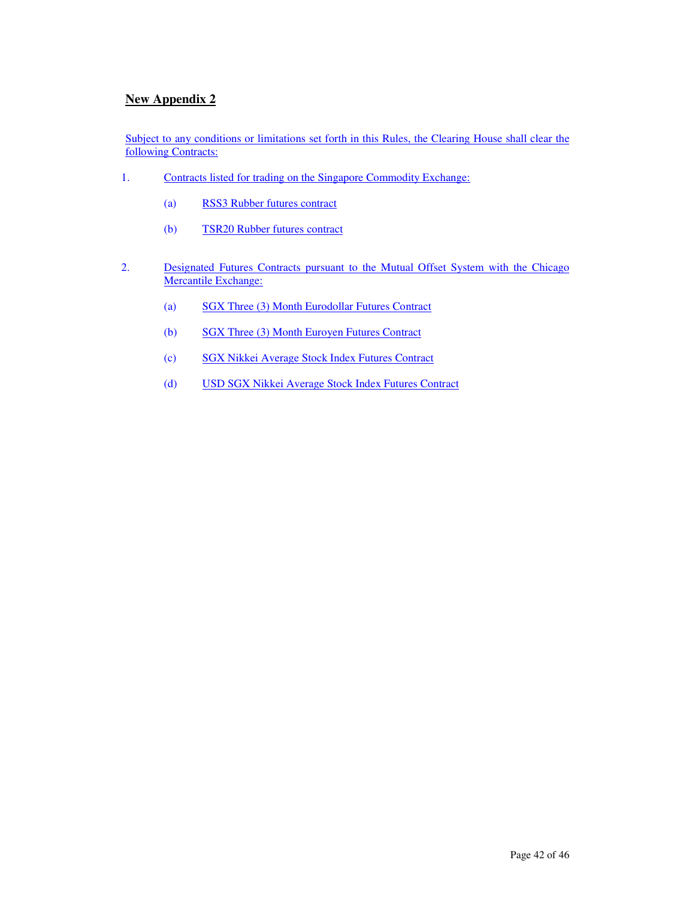### **New Appendix 2**

Subject to any conditions or limitations set forth in this Rules, the Clearing House shall clear the following Contracts:

- 1. Contracts listed for trading on the Singapore Commodity Exchange:
	- (a) RSS3 Rubber futures contract
	- (b) TSR20 Rubber futures contract
- 2. Designated Futures Contracts pursuant to the Mutual Offset System with the Chicago Mercantile Exchange:
	- (a) SGX Three (3) Month Eurodollar Futures Contract
	- (b) SGX Three (3) Month Euroyen Futures Contract
	- (c) SGX Nikkei Average Stock Index Futures Contract
	- (d) USD SGX Nikkei Average Stock Index Futures Contract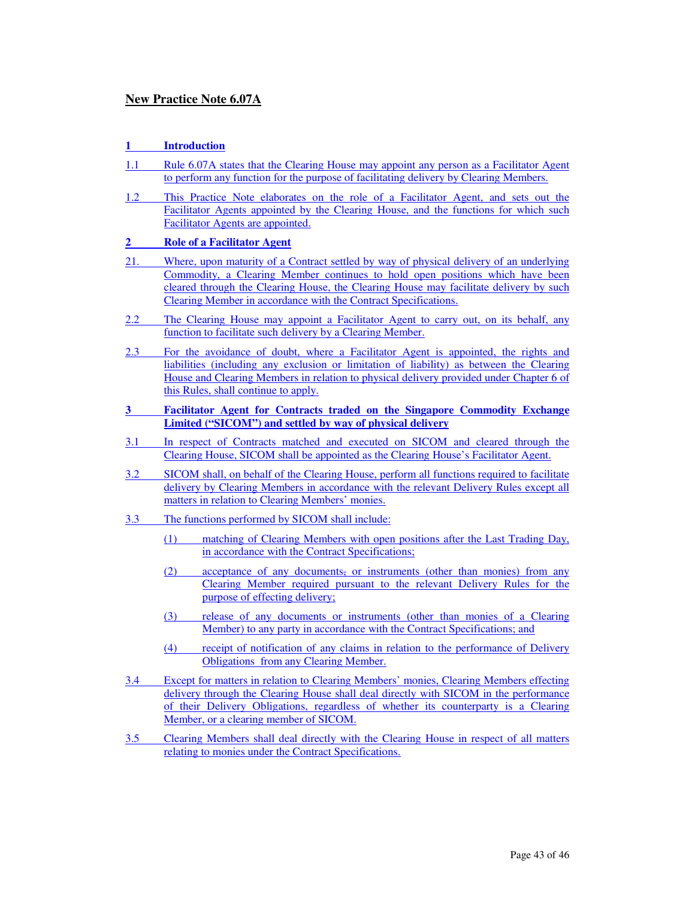#### **New Practice Note 6.07A**

#### **1 Introduction**

- 1.1 Rule 6.07A states that the Clearing House may appoint any person as a Facilitator Agent to perform any function for the purpose of facilitating delivery by Clearing Members.
- 1.2 This Practice Note elaborates on the role of a Facilitator Agent, and sets out the Facilitator Agents appointed by the Clearing House, and the functions for which such Facilitator Agents are appointed.

#### **2 Role of a Facilitator Agent**

- 21. Where, upon maturity of a Contract settled by way of physical delivery of an underlying Commodity, a Clearing Member continues to hold open positions which have been cleared through the Clearing House, the Clearing House may facilitate delivery by such Clearing Member in accordance with the Contract Specifications.
- 2.2 The Clearing House may appoint a Facilitator Agent to carry out, on its behalf, any function to facilitate such delivery by a Clearing Member.
- 2.3 For the avoidance of doubt, where a Facilitator Agent is appointed, the rights and liabilities (including any exclusion or limitation of liability) as between the Clearing House and Clearing Members in relation to physical delivery provided under Chapter 6 of this Rules, shall continue to apply.
- **3 Facilitator Agent for Contracts traded on the Singapore Commodity Exchange Limited ("SICOM") and settled by way of physical delivery**
- 3.1 In respect of Contracts matched and executed on SICOM and cleared through the Clearing House, SICOM shall be appointed as the Clearing House's Facilitator Agent.
- 3.2 SICOM shall, on behalf of the Clearing House, perform all functions required to facilitate delivery by Clearing Members in accordance with the relevant Delivery Rules except all matters in relation to Clearing Members' monies.
- 3.3 The functions performed by SICOM shall include:
	- (1) matching of Clearing Members with open positions after the Last Trading Day, in accordance with the Contract Specifications;
	- (2) acceptance of any documents, or instruments (other than monies) from any Clearing Member required pursuant to the relevant Delivery Rules for the purpose of effecting delivery;
	- (3) release of any documents or instruments (other than monies of a Clearing Member) to any party in accordance with the Contract Specifications; and
	- (4) receipt of notification of any claims in relation to the performance of Delivery Obligations from any Clearing Member.
- 3.4 Except for matters in relation to Clearing Members' monies, Clearing Members effecting delivery through the Clearing House shall deal directly with SICOM in the performance of their Delivery Obligations, regardless of whether its counterparty is a Clearing Member, or a clearing member of SICOM.
- 3.5 Clearing Members shall deal directly with the Clearing House in respect of all matters relating to monies under the Contract Specifications.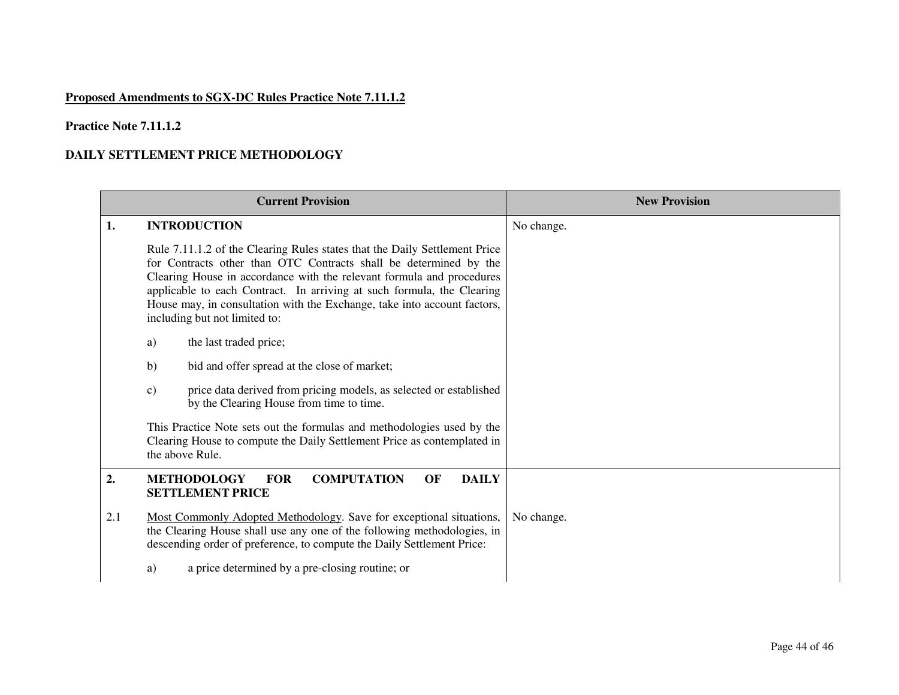## **Proposed Amendments to SGX-DC Rules Practice Note 7.11.1.2**

### **Practice Note 7.11.1.2**

#### **DAILY SETTLEMENT PRICE METHODOLOGY**

|     | <b>Current Provision</b>                                                                                                                                                                                                                                                                                                                                                                                        | <b>New Provision</b> |
|-----|-----------------------------------------------------------------------------------------------------------------------------------------------------------------------------------------------------------------------------------------------------------------------------------------------------------------------------------------------------------------------------------------------------------------|----------------------|
| 1.  | <b>INTRODUCTION</b>                                                                                                                                                                                                                                                                                                                                                                                             | No change.           |
|     | Rule 7.11.1.2 of the Clearing Rules states that the Daily Settlement Price<br>for Contracts other than OTC Contracts shall be determined by the<br>Clearing House in accordance with the relevant formula and procedures<br>applicable to each Contract. In arriving at such formula, the Clearing<br>House may, in consultation with the Exchange, take into account factors,<br>including but not limited to: |                      |
|     | the last traded price;<br>a)                                                                                                                                                                                                                                                                                                                                                                                    |                      |
|     | b)<br>bid and offer spread at the close of market;                                                                                                                                                                                                                                                                                                                                                              |                      |
|     | price data derived from pricing models, as selected or established<br>$\mathbf{c})$<br>by the Clearing House from time to time.                                                                                                                                                                                                                                                                                 |                      |
|     | This Practice Note sets out the formulas and methodologies used by the<br>Clearing House to compute the Daily Settlement Price as contemplated in<br>the above Rule.                                                                                                                                                                                                                                            |                      |
| 2.  | <b>FOR</b><br><b>COMPUTATION</b><br>OF<br><b>DAILY</b><br><b>METHODOLOGY</b><br><b>SETTLEMENT PRICE</b>                                                                                                                                                                                                                                                                                                         |                      |
| 2.1 | Most Commonly Adopted Methodology. Save for exceptional situations,<br>the Clearing House shall use any one of the following methodologies, in<br>descending order of preference, to compute the Daily Settlement Price:                                                                                                                                                                                        | No change.           |
|     | a price determined by a pre-closing routine; or<br>a)                                                                                                                                                                                                                                                                                                                                                           |                      |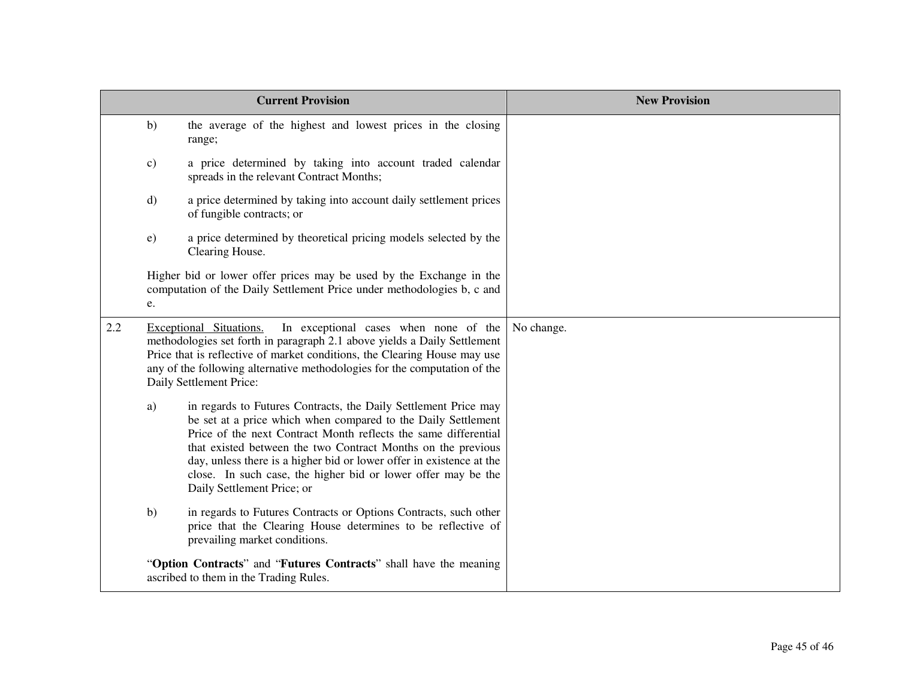| <b>Current Provision</b> |               |                                                                                                                                                                                                                                                                                                                                                                                                                                            | <b>New Provision</b> |
|--------------------------|---------------|--------------------------------------------------------------------------------------------------------------------------------------------------------------------------------------------------------------------------------------------------------------------------------------------------------------------------------------------------------------------------------------------------------------------------------------------|----------------------|
|                          | b)            | the average of the highest and lowest prices in the closing<br>range;                                                                                                                                                                                                                                                                                                                                                                      |                      |
|                          | $\mathbf{c})$ | a price determined by taking into account traded calendar<br>spreads in the relevant Contract Months;                                                                                                                                                                                                                                                                                                                                      |                      |
|                          | $\mathbf{d}$  | a price determined by taking into account daily settlement prices<br>of fungible contracts; or                                                                                                                                                                                                                                                                                                                                             |                      |
|                          | $\epsilon$ )  | a price determined by theoretical pricing models selected by the<br>Clearing House.                                                                                                                                                                                                                                                                                                                                                        |                      |
|                          | e.            | Higher bid or lower offer prices may be used by the Exchange in the<br>computation of the Daily Settlement Price under methodologies b, c and                                                                                                                                                                                                                                                                                              |                      |
| 2.2                      |               | In exceptional cases when none of the<br>Exceptional Situations.<br>methodologies set forth in paragraph 2.1 above yields a Daily Settlement<br>Price that is reflective of market conditions, the Clearing House may use<br>any of the following alternative methodologies for the computation of the<br>Daily Settlement Price:                                                                                                          | No change.           |
|                          | a)            | in regards to Futures Contracts, the Daily Settlement Price may<br>be set at a price which when compared to the Daily Settlement<br>Price of the next Contract Month reflects the same differential<br>that existed between the two Contract Months on the previous<br>day, unless there is a higher bid or lower offer in existence at the<br>close. In such case, the higher bid or lower offer may be the<br>Daily Settlement Price; or |                      |
|                          | b)            | in regards to Futures Contracts or Options Contracts, such other<br>price that the Clearing House determines to be reflective of<br>prevailing market conditions.                                                                                                                                                                                                                                                                          |                      |
|                          |               | "Option Contracts" and "Futures Contracts" shall have the meaning<br>ascribed to them in the Trading Rules.                                                                                                                                                                                                                                                                                                                                |                      |